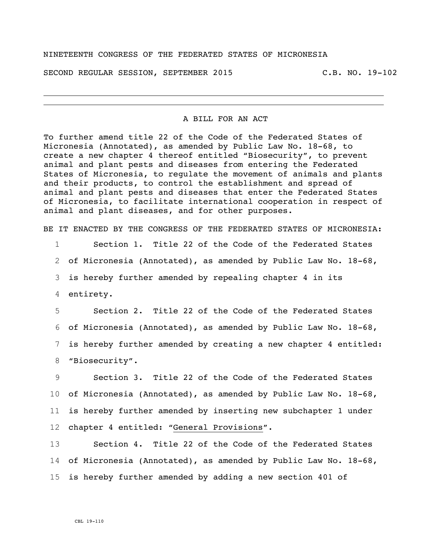SECOND REGULAR SESSION, SEPTEMBER 2015 C.B. NO. 19-102

A BILL FOR AN ACT

To further amend title 22 of the Code of the Federated States of Micronesia (Annotated), as amended by Public Law No. 18-68, to create a new chapter 4 thereof entitled "Biosecurity", to prevent animal and plant pests and diseases from entering the Federated States of Micronesia, to regulate the movement of animals and plants and their products, to control the establishment and spread of animal and plant pests and diseases that enter the Federated States of Micronesia, to facilitate international cooperation in respect of animal and plant diseases, and for other purposes.

BE IT ENACTED BY THE CONGRESS OF THE FEDERATED STATES OF MICRONESIA:

 Section 1. Title 22 of the Code of the Federated States of Micronesia (Annotated), as amended by Public Law No. 18-68, is hereby further amended by repealing chapter 4 in its entirety.

 Section 2. Title 22 of the Code of the Federated States of Micronesia (Annotated), as amended by Public Law No. 18-68, is hereby further amended by creating a new chapter 4 entitled: "Biosecurity".

 Section 3. Title 22 of the Code of the Federated States of Micronesia (Annotated), as amended by Public Law No. 18-68, is hereby further amended by inserting new subchapter 1 under chapter 4 entitled: "General Provisions".

13 Section 4. Title 22 of the Code of the Federated States 14 of Micronesia (Annotated), as amended by Public Law No. 18-68, 15 is hereby further amended by adding a new section 401 of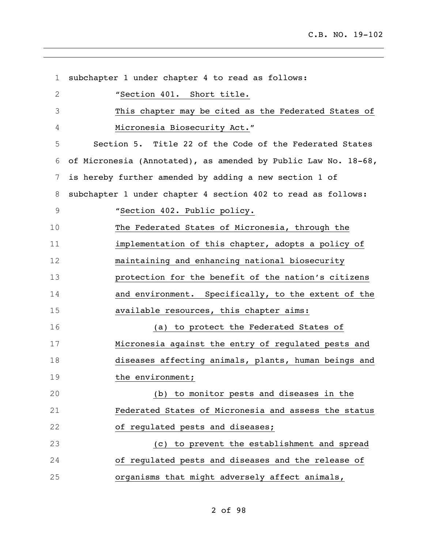subchapter 1 under chapter 4 to read as follows: "Section 401. Short title. This chapter may be cited as the Federated States of Micronesia Biosecurity Act." Section 5. Title 22 of the Code of the Federated States of Micronesia (Annotated), as amended by Public Law No. 18-68, is hereby further amended by adding a new section 1 of subchapter 1 under chapter 4 section 402 to read as follows: "Section 402. Public policy. The Federated States of Micronesia, through the implementation of this chapter, adopts a policy of maintaining and enhancing national biosecurity protection for the benefit of the nation's citizens 14 and environment. Specifically, to the extent of the available resources, this chapter aims: (a) to protect the Federated States of Micronesia against the entry of regulated pests and diseases affecting animals, plants, human beings and 19 the environment; (b) to monitor pests and diseases in the Federated States of Micronesia and assess the status of regulated pests and diseases; (c) to prevent the establishment and spread of regulated pests and diseases and the release of organisms that might adversely affect animals,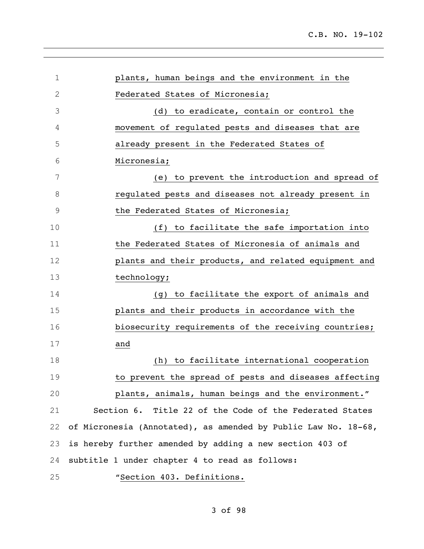| $\mathbf 1$  | plants, human beings and the environment in the                |
|--------------|----------------------------------------------------------------|
| $\mathbf{2}$ | Federated States of Micronesia;                                |
| 3            | (d) to eradicate, contain or control the                       |
| 4            | movement of regulated pests and diseases that are              |
| 5            | already present in the Federated States of                     |
| 6            | Micronesia;                                                    |
| 7            | (e) to prevent the introduction and spread of                  |
| 8            | regulated pests and diseases not already present in            |
| 9            | the Federated States of Micronesia;                            |
| 10           | (f) to facilitate the safe importation into                    |
| 11           | the Federated States of Micronesia of animals and              |
| 12           | plants and their products, and related equipment and           |
| 13           | technology;                                                    |
| 14           | (g) to facilitate the export of animals and                    |
| 15           | plants and their products in accordance with the               |
| 16           | biosecurity requirements of the receiving countries;           |
| 17           | and                                                            |
| 18           | (h) to facilitate international cooperation                    |
| 19           | to prevent the spread of pests and diseases affecting          |
| 20           | plants, animals, human beings and the environment."            |
| 21           | Section 6. Title 22 of the Code of the Federated States        |
| 22           | of Micronesia (Annotated), as amended by Public Law No. 18-68, |
| 23           | is hereby further amended by adding a new section 403 of       |
| 24           | subtitle 1 under chapter 4 to read as follows:                 |
| 25           | "Section 403. Definitions.                                     |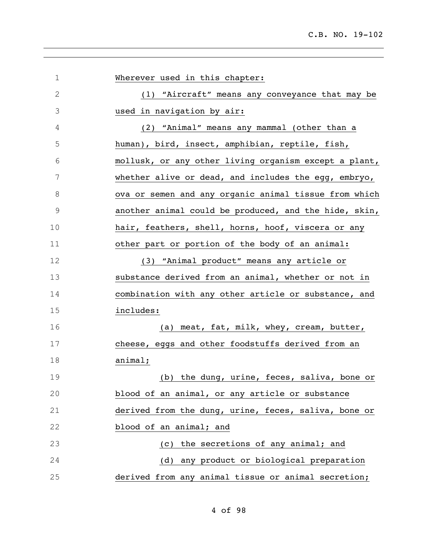| $\mathbf 1$   | Wherever used in this chapter:                        |
|---------------|-------------------------------------------------------|
| $\mathbf{2}$  | (1) "Aircraft" means any conveyance that may be       |
| 3             | used in navigation by air:                            |
| 4             | (2) "Animal" means any mammal (other than a           |
| 5             | human), bird, insect, amphibian, reptile, fish,       |
| 6             | mollusk, or any other living organism except a plant, |
| 7             | whether alive or dead, and includes the egg, embryo,  |
| 8             | ova or semen and any organic animal tissue from which |
| $\mathcal{G}$ | another animal could be produced, and the hide, skin, |
| 10            | hair, feathers, shell, horns, hoof, viscera or any    |
| 11            | other part or portion of the body of an animal:       |
| 12            | (3) "Animal product" means any article or             |
| 13            | substance derived from an animal, whether or not in   |
| 14            | combination with any other article or substance, and  |
| 15            | includes:                                             |
| 16            | (a) meat, fat, milk, whey, cream, butter,             |
| 17            | cheese, eggs and other foodstuffs derived from an     |
| 18            | animal;                                               |
| 19            | (b) the dung, urine, feces, saliva, bone or           |
| 20            | blood of an animal, or any article or substance       |
| 21            | derived from the dung, urine, feces, saliva, bone or  |
| 22            | blood of an animal; and                               |
| 23            | (c) the secretions of any animal; and                 |
| 24            | (d) any product or biological preparation             |
| 25            | derived from any animal tissue or animal secretion;   |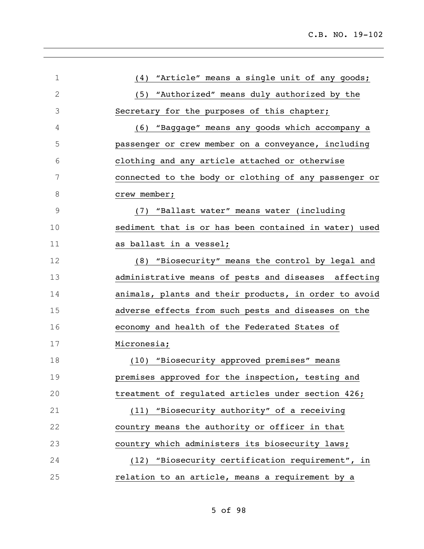| 1             | "Article" means a single unit of any goods;<br>(4)    |
|---------------|-------------------------------------------------------|
| $\mathbf{2}$  | (5) "Authorized" means duly authorized by the         |
| 3             | Secretary for the purposes of this chapter;           |
| 4             | (6) "Baggage" means any goods which accompany a       |
| 5             | passenger or crew member on a conveyance, including   |
| 6             | clothing and any article attached or otherwise        |
| 7             | connected to the body or clothing of any passenger or |
| 8             | crew member;                                          |
| $\mathcal{G}$ | (7) "Ballast water" means water (including            |
| 10            | sediment that is or has been contained in water) used |
| 11            | as ballast in a vessel;                               |
| 12            | (8) "Biosecurity" means the control by legal and      |
| 13            | administrative means of pests and diseases affecting  |
| 14            | animals, plants and their products, in order to avoid |
| 15            | adverse effects from such pests and diseases on the   |
| 16            | economy and health of the Federated States of         |
| 17            | Micronesia;                                           |
| 18            | (10) "Biosecurity approved premises" means            |
| 19            | premises approved for the inspection, testing and     |
| 20            | treatment of regulated articles under section 426;    |
| 21            | (11) "Biosecurity authority" of a receiving           |
| 22            | country means the authority or officer in that        |
| 23            | country which administers its biosecurity laws;       |
| 24            | (12) "Biosecurity certification requirement", in      |
| 25            | relation to an article, means a requirement by a      |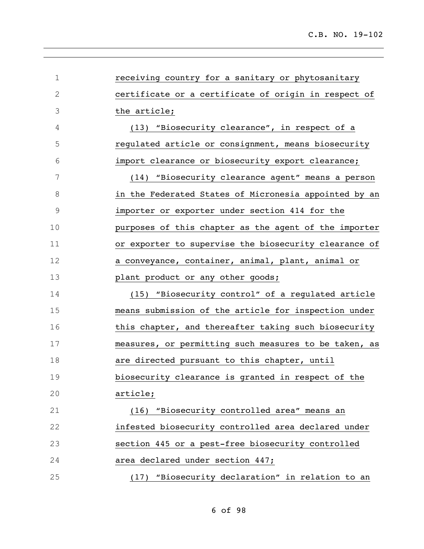| $\mathbf 1$ | receiving country for a sanitary or phytosanitary     |
|-------------|-------------------------------------------------------|
| $\mathbf 2$ | certificate or a certificate of origin in respect of  |
| 3           | the article;                                          |
| 4           | (13) "Biosecurity clearance", in respect of a         |
| 5           | regulated article or consignment, means biosecurity   |
| 6           | import clearance or biosecurity export clearance;     |
| 7           | (14) "Biosecurity clearance agent" means a person     |
| 8           | in the Federated States of Micronesia appointed by an |
| $\mathsf 9$ | importer or exporter under section 414 for the        |
| 10          | purposes of this chapter as the agent of the importer |
| 11          | or exporter to supervise the biosecurity clearance of |
| 12          | a conveyance, container, animal, plant, animal or     |
| 13          | plant product or any other goods;                     |
| 14          | (15) "Biosecurity control" of a regulated article     |
| 15          | means submission of the article for inspection under  |
| 16          | this chapter, and thereafter taking such biosecurity  |
| 17          | measures, or permitting such measures to be taken, as |
| 18          | are directed pursuant to this chapter, until          |
| 19          | biosecurity clearance is granted in respect of the    |
| 20          | article;                                              |
| 21          | (16) "Biosecurity controlled area" means an           |
| 22          | infested biosecurity controlled area declared under   |
| 23          | section 445 or a pest-free biosecurity controlled     |
| 24          | area declared under section 447;                      |
| 25          | (17) "Biosecurity declaration" in relation to an      |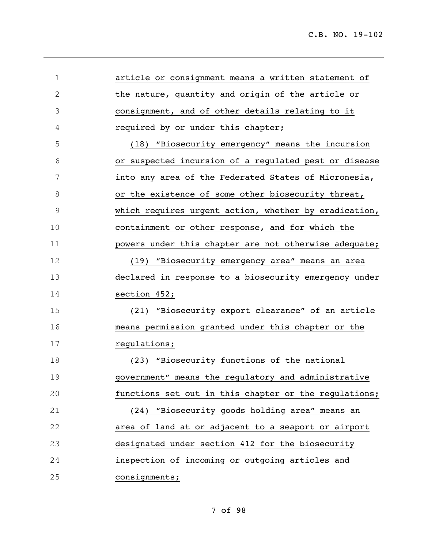| $\mathbf 1$   | article or consignment means a written statement of   |
|---------------|-------------------------------------------------------|
| $\sqrt{2}$    | the nature, quantity and origin of the article or     |
| 3             | consignment, and of other details relating to it      |
| 4             | required by or under this chapter;                    |
| 5             | (18) "Biosecurity emergency" means the incursion      |
| 6             | or suspected incursion of a regulated pest or disease |
| 7             | into any area of the Federated States of Micronesia,  |
| 8             | or the existence of some other biosecurity threat,    |
| $\mathcal{G}$ | which requires urgent action, whether by eradication, |
| 10            | containment or other response, and for which the      |
| 11            | powers under this chapter are not otherwise adequate; |
| 12            | (19) "Biosecurity emergency area" means an area       |
| 13            | declared in response to a biosecurity emergency under |
| 14            | section 452;                                          |
| 15            | (21) "Biosecurity export clearance" of an article     |
| 16            | means permission granted under this chapter or the    |
| 17            | regulations;                                          |
| 18            | (23) "Biosecurity functions of the national           |
| 19            | government" means the regulatory and administrative   |
| 20            | functions set out in this chapter or the regulations; |
| 21            | "Biosecurity goods holding area" means an<br>(24)     |
| 22            | area of land at or adjacent to a seaport or airport   |
| 23            | designated under section 412 for the biosecurity      |
| 24            | inspection of incoming or outgoing articles and       |
| 25            | consignments;                                         |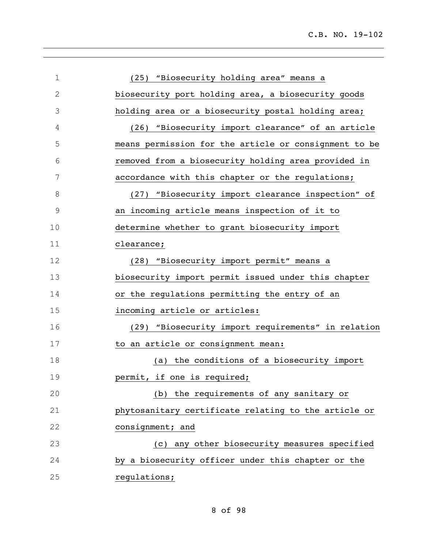| $\mathbf 1$ | (25) "Biosecurity holding area" means a               |
|-------------|-------------------------------------------------------|
| $\sqrt{2}$  | biosecurity port holding area, a biosecurity goods    |
| 3           | holding area or a biosecurity postal holding area;    |
| 4           | (26) "Biosecurity import clearance" of an article     |
| 5           | means permission for the article or consignment to be |
| 6           | removed from a biosecurity holding area provided in   |
| 7           | accordance with this chapter or the regulations;      |
| 8           | (27) "Biosecurity import clearance inspection" of     |
| $\mathsf 9$ | an incoming article means inspection of it to         |
| 10          | determine whether to grant biosecurity import         |
| 11          | clearance;                                            |
| 12          | (28) "Biosecurity import permit" means a              |
| 13          | biosecurity import permit issued under this chapter   |
| 14          | or the regulations permitting the entry of an         |
| 15          | incoming article or articles:                         |
| 16          | (29) "Biosecurity import requirements" in relation    |
| 17          | to an article or consignment mean:                    |
| 18          | (a) the conditions of a biosecurity import            |
| 19          | permit, if one is required;                           |
| 20          | (b) the requirements of any sanitary or               |
| 21          | phytosanitary certificate relating to the article or  |
| 22          | consignment; and                                      |
| 23          | (c) any other biosecurity measures specified          |
| 24          | by a biosecurity officer under this chapter or the    |
| 25          | regulations;                                          |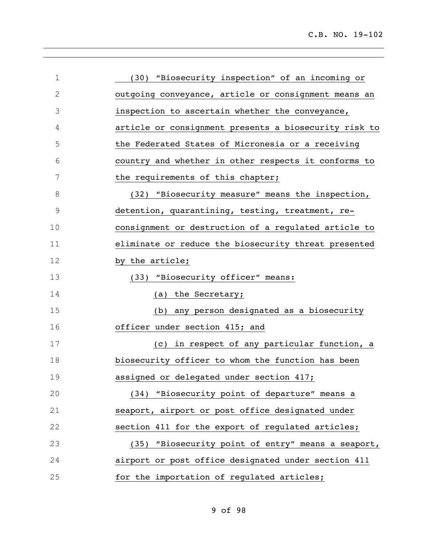| $\mathbf 1$ | (30) "Biosecurity inspection" of an incoming or       |
|-------------|-------------------------------------------------------|
| 2           | outgoing conveyance, article or consignment means an  |
| 3           | inspection to ascertain whether the conveyance,       |
| 4           | article or consignment presents a biosecurity risk to |
| 5           | the Federated States of Micronesia or a receiving     |
| 6           | country and whether in other respects it conforms to  |
| 7           | the requirements of this chapter;                     |
| 8           | (32) "Biosecurity measure" means the inspection,      |
| 9           | detention, quarantining, testing, treatment, re-      |
| 10          | consignment or destruction of a regulated article to  |
| 11          | eliminate or reduce the biosecurity threat presented  |
| 12          | by the article;                                       |
| 13          | (33) "Biosecurity officer" means:                     |
| 14          | (a) the Secretary;                                    |
| 15          | (b) any person designated as a biosecurity            |
| 16          | officer under section 415; and                        |
| 17          | (c) in respect of any particular function, a          |
| 18          | biosecurity officer to whom the function has been     |
| 19          | assigned or delegated under section 417;              |
| 20          | (34) "Biosecurity point of departure" means a         |
| 21          | seaport, airport or post office designated under      |
| 22          | section 411 for the export of regulated articles;     |
| 23          | (35) "Biosecurity point of entry" means a seaport,    |
| 24          | airport or post office designated under section 411   |
| 25          | for the importation of regulated articles;            |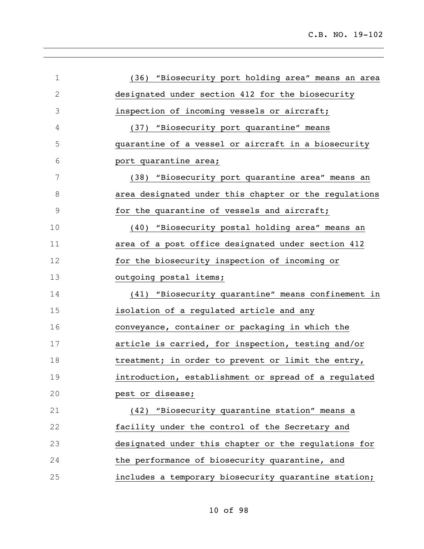| $\mathbf 1$ | (36) "Biosecurity port holding area" means an area    |
|-------------|-------------------------------------------------------|
| 2           | designated under section 412 for the biosecurity      |
| 3           | inspection of incoming vessels or aircraft;           |
| 4           | (37) "Biosecurity port quarantine" means              |
| 5           | quarantine of a vessel or aircraft in a biosecurity   |
| 6           | port quarantine area;                                 |
| 7           | (38) "Biosecurity port quarantine area" means an      |
| 8           | area designated under this chapter or the regulations |
| 9           | for the quarantine of vessels and aircraft;           |
| 10          | (40) "Biosecurity postal holding area" means an       |
| 11          | area of a post office designated under section 412    |
| 12          | for the biosecurity inspection of incoming or         |
| 13          | outgoing postal items;                                |
| 14          | (41) "Biosecurity quarantine" means confinement in    |
| 15          | isolation of a regulated article and any              |
| 16          | conveyance, container or packaging in which the       |
| 17          | article is carried, for inspection, testing and/or    |
| 18          | treatment; in order to prevent or limit the entry,    |
| 19          | introduction, establishment or spread of a regulated  |
| 20          | pest or disease;                                      |
| 21          | (42) "Biosecurity quarantine station" means a         |
| 22          | facility under the control of the Secretary and       |
| 23          | designated under this chapter or the regulations for  |
| 24          | the performance of biosecurity quarantine, and        |
| 25          | includes a temporary biosecurity quarantine station;  |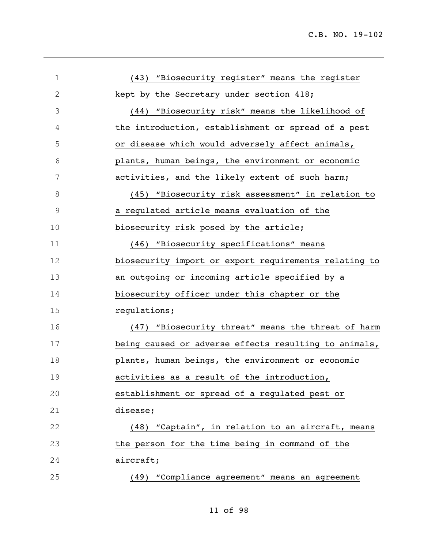| $1\,$       | (43) "Biosecurity register" means the register        |
|-------------|-------------------------------------------------------|
| $\mathbf 2$ | kept by the Secretary under section 418;              |
| 3           | (44) "Biosecurity risk" means the likelihood of       |
| 4           | the introduction, establishment or spread of a pest   |
| 5           | or disease which would adversely affect animals,      |
| 6           | plants, human beings, the environment or economic     |
| 7           | activities, and the likely extent of such harm;       |
| 8           | (45) "Biosecurity risk assessment" in relation to     |
| $\mathsf 9$ | a regulated article means evaluation of the           |
| 10          | biosecurity risk posed by the article;                |
| 11          | (46) "Biosecurity specifications" means               |
| 12          | biosecurity import or export requirements relating to |
| 13          | an outgoing or incoming article specified by a        |
| 14          | biosecurity officer under this chapter or the         |
| 15          | regulations;                                          |
| 16          | (47) "Biosecurity threat" means the threat of harm    |
| 17          | being caused or adverse effects resulting to animals, |
| 18          | plants, human beings, the environment or economic     |
| 19          | activities as a result of the introduction,           |
| 20          | establishment or spread of a regulated pest or        |
| 21          | disease;                                              |
| 22          | (48) "Captain", in relation to an aircraft, means     |
| 23          | the person for the time being in command of the       |
| 24          | aircraft;                                             |
| 25          | "Compliance agreement" means an agreement<br>(49)     |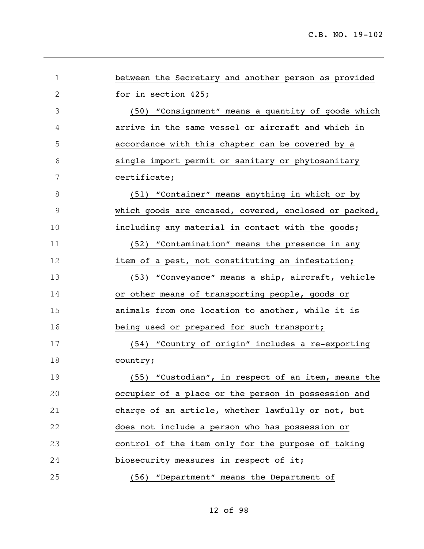| $\mathbf 1$   | between the Secretary and another person as provided  |
|---------------|-------------------------------------------------------|
| $\mathbf{2}$  | for in section 425;                                   |
| 3             | (50) "Consignment" means a quantity of goods which    |
| 4             | arrive in the same vessel or aircraft and which in    |
| 5             | accordance with this chapter can be covered by a      |
| 6             | single import permit or sanitary or phytosanitary     |
| 7             | certificate;                                          |
| 8             | (51) "Container" means anything in which or by        |
| $\mathcal{G}$ | which goods are encased, covered, enclosed or packed, |
| 10            | including any material in contact with the goods;     |
| 11            | (52) "Contamination" means the presence in any        |
| 12            | item of a pest, not constituting an infestation;      |
| 13            | (53) "Conveyance" means a ship, aircraft, vehicle     |
| 14            | or other means of transporting people, goods or       |
| 15            | animals from one location to another, while it is     |
| 16            | being used or prepared for such transport;            |
| 17            | (54) "Country of origin" includes a re-exporting      |
| 18            | country;                                              |
| 19            | (55) "Custodian", in respect of an item, means the    |
| 20            | occupier of a place or the person in possession and   |
| 21            | charge of an article, whether lawfully or not, but    |
| 22            | does not include a person who has possession or       |
| 23            | control of the item only for the purpose of taking    |
| 24            | biosecurity measures in respect of it;                |
| 25            | (56) "Department" means the Department of             |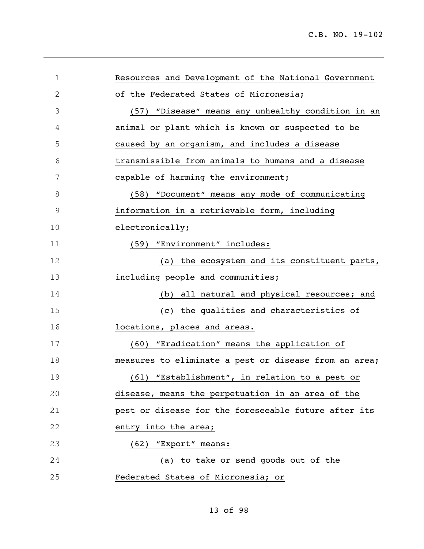| $\mathbf 1$   | Resources and Development of the National Government  |
|---------------|-------------------------------------------------------|
| 2             | of the Federated States of Micronesia;                |
| 3             | (57) "Disease" means any unhealthy condition in an    |
| 4             | animal or plant which is known or suspected to be     |
| 5             | caused by an organism, and includes a disease         |
| 6             | transmissible from animals to humans and a disease    |
| 7             | capable of harming the environment;                   |
| 8             | (58) "Document" means any mode of communicating       |
| $\mathcal{G}$ | information in a retrievable form, including          |
| 10            | electronically;                                       |
| 11            | (59) "Environment" includes:                          |
| 12            | (a) the ecosystem and its constituent parts,          |
| 13            | including people and communities;                     |
| 14            | (b) all natural and physical resources; and           |
| 15            | (c) the qualities and characteristics of              |
| 16            | locations, places and areas.                          |
| 17            | (60) "Eradication" means the application of           |
| 18            | measures to eliminate a pest or disease from an area; |
| 19            | (61) "Establishment", in relation to a pest or        |
| 20            | disease, means the perpetuation in an area of the     |
| 21            | pest or disease for the foreseeable future after its  |
| 22            | entry into the area;                                  |
| 23            | (62) "Export" means:                                  |
| 24            | (a) to take or send goods out of the                  |
| 25            | Federated States of Micronesia; or                    |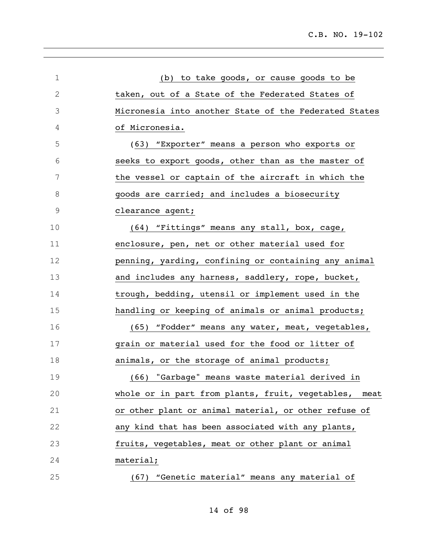| 1             | (b) to take goods, or cause goods to be                  |
|---------------|----------------------------------------------------------|
| $\mathbf{2}$  | taken, out of a State of the Federated States of         |
| 3             | Micronesia into another State of the Federated States    |
| 4             | of Micronesia.                                           |
| 5             | (63) "Exporter" means a person who exports or            |
| 6             | seeks to export goods, other than as the master of       |
| 7             | the vessel or captain of the aircraft in which the       |
| 8             | goods are carried; and includes a biosecurity            |
| $\mathcal{G}$ | clearance agent;                                         |
| 10            | (64) "Fittings" means any stall, box, cage,              |
| 11            | enclosure, pen, net or other material used for           |
| 12            | penning, yarding, confining or containing any animal     |
| 13            | and includes any harness, saddlery, rope, bucket,        |
| 14            | trough, bedding, utensil or implement used in the        |
| 15            | handling or keeping of animals or animal products;       |
| 16            | (65) "Fodder" means any water, meat, vegetables,         |
| 17            | grain or material used for the food or litter of         |
| 18            | animals, or the storage of animal products;              |
| 19            | (66) "Garbage" means waste material derived in           |
| 20            | whole or in part from plants, fruit, vegetables,<br>meat |
| 21            | or other plant or animal material, or other refuse of    |
| 22            | any kind that has been associated with any plants,       |
| 23            | fruits, vegetables, meat or other plant or animal        |
| 24            | material;                                                |
| 25            | (67) "Genetic material" means any material of            |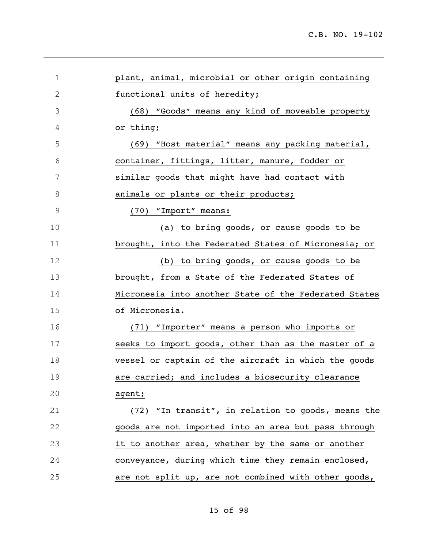| 1             | plant, animal, microbial or other origin containing   |
|---------------|-------------------------------------------------------|
| $\mathbf{2}$  | functional units of heredity;                         |
| 3             | (68) "Goods" means any kind of moveable property      |
| 4             | or thing;                                             |
| 5             | (69) "Host material" means any packing material,      |
| 6             | container, fittings, litter, manure, fodder or        |
| 7             | similar goods that might have had contact with        |
| 8             | animals or plants or their products;                  |
| $\mathcal{G}$ | (70) "Import" means:                                  |
| 10            | (a) to bring goods, or cause goods to be              |
| 11            | brought, into the Federated States of Micronesia; or  |
| 12            | (b) to bring goods, or cause goods to be              |
| 13            | brought, from a State of the Federated States of      |
| 14            | Micronesia into another State of the Federated States |
| 15            | of Micronesia.                                        |
| 16            | (71) "Importer" means a person who imports or         |
| 17            | seeks to import goods, other than as the master of a  |
| 18            | vessel or captain of the aircraft in which the goods  |
| 19            | are carried; and includes a biosecurity clearance     |
| 20            | agent;                                                |
| 21            | (72) "In transit", in relation to goods, means the    |
| 22            | goods are not imported into an area but pass through  |
| 23            | it to another area, whether by the same or another    |
| 24            | conveyance, during which time they remain enclosed,   |
| 25            | are not split up, are not combined with other goods,  |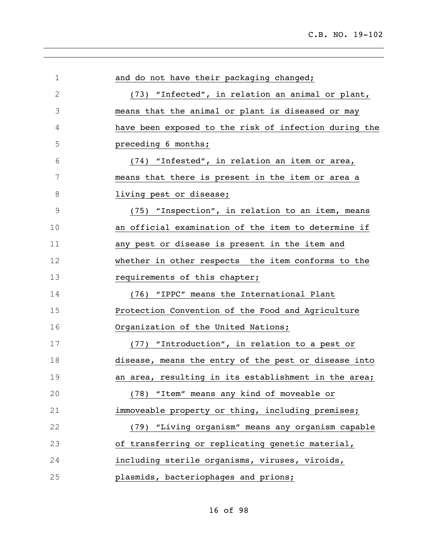| $\mathbf 1$   | and do not have their packaging changed;              |
|---------------|-------------------------------------------------------|
| $\mathbf{2}$  | (73) "Infected", in relation an animal or plant,      |
| 3             | means that the animal or plant is diseased or may     |
| 4             | have been exposed to the risk of infection during the |
| 5             | preceding 6 months;                                   |
| 6             | (74) "Infested", in relation an item or area,         |
| 7             | means that there is present in the item or area a     |
| 8             | living pest or disease;                               |
| $\mathcal{G}$ | (75) "Inspection", in relation to an item, means      |
| 10            | an official examination of the item to determine if   |
| 11            | any pest or disease is present in the item and        |
| 12            | whether in other respects the item conforms to the    |
| 13            | requirements of this chapter;                         |
| 14            | (76) "IPPC" means the International Plant             |
| 15            | Protection Convention of the Food and Agriculture     |
| 16            | Organization of the United Nations;                   |
| 17            | (77) "Introduction", in relation to a pest or         |
| 18            | disease, means the entry of the pest or disease into  |
| 19            | an area, resulting in its establishment in the area;  |
| 20            | (78) "Item" means any kind of moveable or             |
| 21            | immoveable property or thing, including premises;     |
| 22            | (79) "Living organism" means any organism capable     |
| 23            | of transferring or replicating genetic material,      |
| 24            | including sterile organisms, viruses, viroids,        |
| 25            | plasmids, bacteriophages and prions;                  |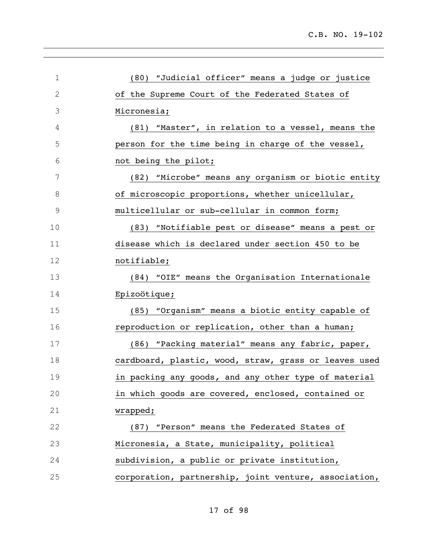| 1             | (80) "Judicial officer" means a judge or justice      |
|---------------|-------------------------------------------------------|
| $\mathbf{2}$  | of the Supreme Court of the Federated States of       |
| 3             | Micronesia;                                           |
| 4             | (81) "Master", in relation to a vessel, means the     |
| 5             | person for the time being in charge of the vessel,    |
| 6             | not being the pilot;                                  |
| 7             | (82) "Microbe" means any organism or biotic entity    |
| 8             | of microscopic proportions, whether unicellular,      |
| $\mathcal{G}$ | multicellular or sub-cellular in common form;         |
| 10            | (83) "Notifiable pest or disease" means a pest or     |
| 11            | disease which is declared under section 450 to be     |
| 12            | notifiable;                                           |
| 13            | (84) "OIE" means the Organisation Internationale      |
| 14            | Epizoötique;                                          |
| 15            | (85) "Organism" means a biotic entity capable of      |
| 16            | reproduction or replication, other than a human;      |
| 17            | (86) "Packing material" means any fabric, paper,      |
| 18            | cardboard, plastic, wood, straw, grass or leaves used |
| 19            | in packing any goods, and any other type of material  |
| 20            | in which goods are covered, enclosed, contained or    |
| 21            | wrapped;                                              |
| 22            | "Person" means the Federated States of<br>(87)        |
| 23            | Micronesia, a State, municipality, political          |
| 24            | subdivision, a public or private institution,         |
| 25            | corporation, partnership, joint venture, association, |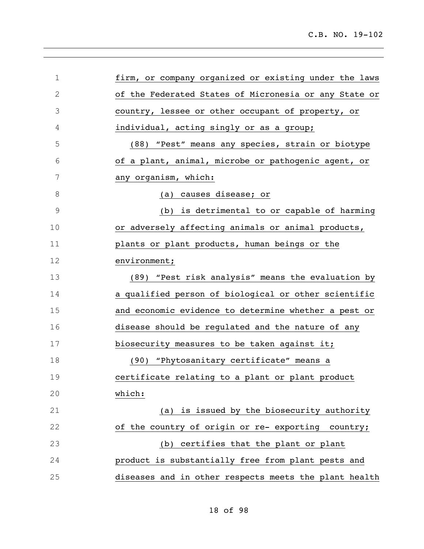| $\mathbf 1$ | firm, or company organized or existing under the laws |
|-------------|-------------------------------------------------------|
| $\mathbf 2$ | of the Federated States of Micronesia or any State or |
| 3           | country, lessee or other occupant of property, or     |
| 4           | individual, acting singly or as a group;              |
| 5           | (88) "Pest" means any species, strain or biotype      |
| 6           | of a plant, animal, microbe or pathogenic agent, or   |
| 7           | any organism, which:                                  |
| $\,8\,$     | (a) causes disease; or                                |
| $\mathsf 9$ | (b) is detrimental to or capable of harming           |
| 10          | or adversely affecting animals or animal products,    |
| 11          | plants or plant products, human beings or the         |
| 12          | environment;                                          |
| 13          | (89) "Pest risk analysis" means the evaluation by     |
| 14          | a qualified person of biological or other scientific  |
| 15          | and economic evidence to determine whether a pest or  |
| 16          | disease should be regulated and the nature of any     |
| 17          | biosecurity measures to be taken against it;          |
| 18          | (90) "Phytosanitary certificate" means a              |
| 19          | certificate relating to a plant or plant product      |
| 20          | which:                                                |
| 21          | (a) is issued by the biosecurity authority            |
| 22          | of the country of origin or re- exporting country;    |
| 23          | (b) certifies that the plant or plant                 |
| 24          | product is substantially free from plant pests and    |
| 25          | diseases and in other respects meets the plant health |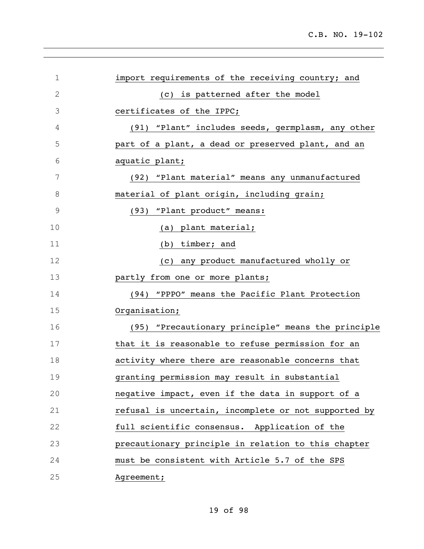| 1             | import requirements of the receiving country; and    |
|---------------|------------------------------------------------------|
| 2             | (c) is patterned after the model                     |
| 3             | certificates of the IPPC;                            |
| 4             | (91) "Plant" includes seeds, germplasm, any other    |
| 5             | part of a plant, a dead or preserved plant, and an   |
| 6             | aquatic plant;                                       |
| 7             | (92) "Plant material" means any unmanufactured       |
| 8             | material of plant origin, including grain;           |
| $\mathcal{G}$ | (93) "Plant product" means:                          |
| 10            | (a) plant material;                                  |
| 11            | (b) timber; and                                      |
| 12            | (c) any product manufactured wholly or               |
| 13            | partly from one or more plants;                      |
| 14            | (94) "PPPO" means the Pacific Plant Protection       |
| 15            | Organisation;                                        |
| 16            | (95) "Precautionary principle" means the principle   |
| 17            | that it is reasonable to refuse permission for an    |
| 18            | activity where there are reasonable concerns that    |
| 19            | granting permission may result in substantial        |
| 20            | negative impact, even if the data in support of a    |
| 21            | refusal is uncertain, incomplete or not supported by |
| 22            | full scientific consensus. Application of the        |
| 23            | precautionary principle in relation to this chapter  |
| 24            | must be consistent with Article 5.7 of the SPS       |
| 25            | Agreement;                                           |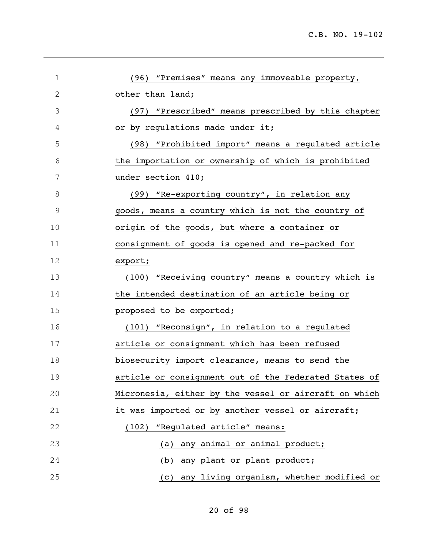| 1  | (96) "Premises" means any immoveable property,        |
|----|-------------------------------------------------------|
| 2  | other than land;                                      |
| 3  | (97) "Prescribed" means prescribed by this chapter    |
| 4  | or by regulations made under it;                      |
| 5  | (98) "Prohibited import" means a regulated article    |
| 6  | the importation or ownership of which is prohibited   |
| 7  | under section 410;                                    |
| 8  | (99) "Re-exporting country", in relation any          |
| 9  | goods, means a country which is not the country of    |
| 10 | origin of the goods, but where a container or         |
| 11 | consignment of goods is opened and re-packed for      |
| 12 | export;                                               |
| 13 | (100) "Receiving country" means a country which is    |
| 14 | the intended destination of an article being or       |
| 15 | proposed to be exported;                              |
| 16 | (101) "Reconsign", in relation to a regulated         |
| 17 | article or consignment which has been refused         |
| 18 | biosecurity import clearance, means to send the       |
| 19 | article or consignment out of the Federated States of |
| 20 | Micronesia, either by the vessel or aircraft on which |
| 21 | it was imported or by another vessel or aircraft;     |
| 22 | "Regulated article" means:<br>(102)                   |
| 23 | any animal or animal product;<br>(a)                  |
| 24 | any plant or plant product;<br>(b)                    |
| 25 | any living organism, whether modified or<br>(c)       |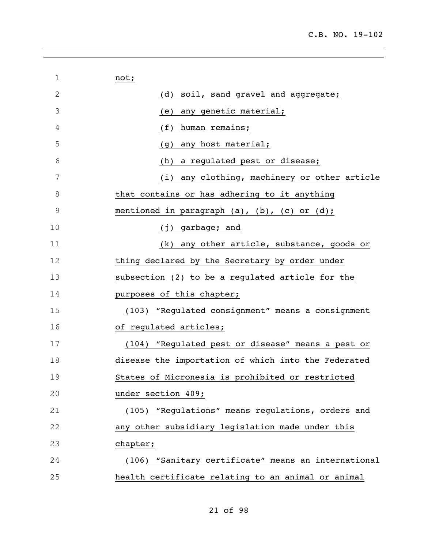| 1           | not;                                                |
|-------------|-----------------------------------------------------|
| 2           | soil, sand gravel and aggregate;<br>(d)             |
| 3           | any genetic material;<br>(e)                        |
| 4           | (f)<br>human remains;                               |
| 5           | any host material;<br>(g)                           |
| 6           | a regulated pest or disease;<br>(h)                 |
| 7           | any clothing, machinery or other article<br>(i)     |
| 8           | that contains or has adhering to it anything        |
| $\mathsf 9$ | mentioned in paragraph (a), (b), (c) or (d);        |
| 10          | (j) garbage; and                                    |
| 11          | any other article, substance, goods or<br>(k)       |
| 12          | thing declared by the Secretary by order under      |
| 13          | subsection (2) to be a regulated article for the    |
| 14          | purposes of this chapter;                           |
| 15          | (103) "Regulated consignment" means a consignment   |
| 16          | of regulated articles;                              |
| 17          | (104) "Regulated pest or disease" means a pest or   |
| 18          | disease the importation of which into the Federated |
| 19          | States of Micronesia is prohibited or restricted    |
| 20          | under section 409;                                  |
| 21          | (105) "Regulations" means regulations, orders and   |
| 22          | any other subsidiary legislation made under this    |
| 23          | chapter;                                            |
| 24          | (106) "Sanitary certificate" means an international |
| 25          | health certificate relating to an animal or animal  |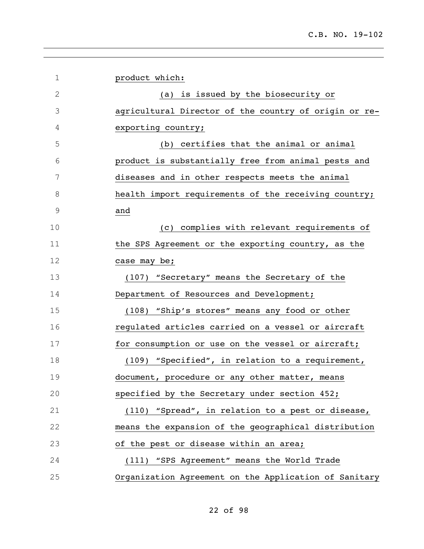| 1             | product which:                                        |
|---------------|-------------------------------------------------------|
| $\mathbf{2}$  | (a) is issued by the biosecurity or                   |
| 3             | agricultural Director of the country of origin or re- |
| 4             | exporting country;                                    |
| 5             | (b) certifies that the animal or animal               |
| 6             | product is substantially free from animal pests and   |
| 7             | diseases and in other respects meets the animal       |
| 8             | health import requirements of the receiving country;  |
| $\mathcal{G}$ | and                                                   |
| 10            | complies with relevant requirements of<br>(C)         |
| 11            | the SPS Agreement or the exporting country, as the    |
| 12            | case may be;                                          |
| 13            | (107) "Secretary" means the Secretary of the          |
| 14            | Department of Resources and Development;              |
| 15            | (108) "Ship's stores" means any food or other         |
| 16            | regulated articles carried on a vessel or aircraft    |
| 17            | for consumption or use on the vessel or aircraft;     |
| 18            | (109) "Specified", in relation to a requirement,      |
| 19            | document, procedure or any other matter, means        |
| 20            | specified by the Secretary under section 452;         |
| 21            | (110) "Spread", in relation to a pest or disease,     |
| 22            | means the expansion of the geographical distribution  |
| 23            | of the pest or disease within an area;                |
| 24            | (111) "SPS Agreement" means the World Trade           |
| 25            | Organization Agreement on the Application of Sanitary |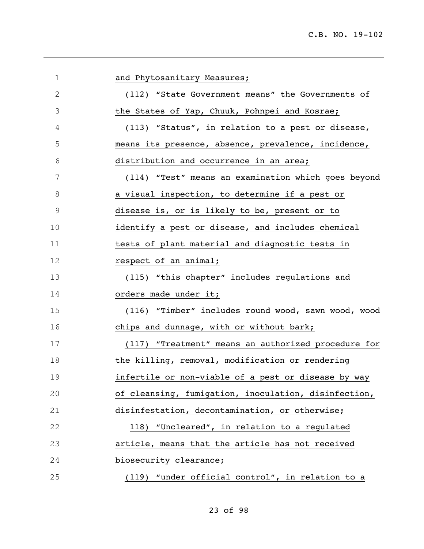| 1             | and Phytosanitary Measures;                          |
|---------------|------------------------------------------------------|
| 2             | (112) "State Government means" the Governments of    |
| 3             | the States of Yap, Chuuk, Pohnpei and Kosrae;        |
| 4             | (113) "Status", in relation to a pest or disease,    |
| 5             | means its presence, absence, prevalence, incidence,  |
| 6             | distribution and occurrence in an area;              |
| 7             | (114) "Test" means an examination which goes beyond  |
| 8             | a visual inspection, to determine if a pest or       |
| $\mathcal{G}$ | disease is, or is likely to be, present or to        |
| 10            | identify a pest or disease, and includes chemical    |
| 11            | tests of plant material and diagnostic tests in      |
| 12            | respect of an animal;                                |
| 13            | (115) "this chapter" includes regulations and        |
| 14            | orders made under it;                                |
| 15            | (116) "Timber" includes round wood, sawn wood, wood  |
| 16            | chips and dunnage, with or without bark;             |
| 17            | (117) "Treatment" means an authorized procedure for  |
| 18            | the killing, removal, modification or rendering      |
| 19            | infertile or non-viable of a pest or disease by way  |
| 20            | of cleansing, fumigation, inoculation, disinfection, |
| 21            | disinfestation, decontamination, or otherwise;       |
| 22            | 118) "Uncleared", in relation to a regulated         |
| 23            | article, means that the article has not received     |
| 24            | biosecurity clearance;                               |
| 25            | (119) "under official control", in relation to a     |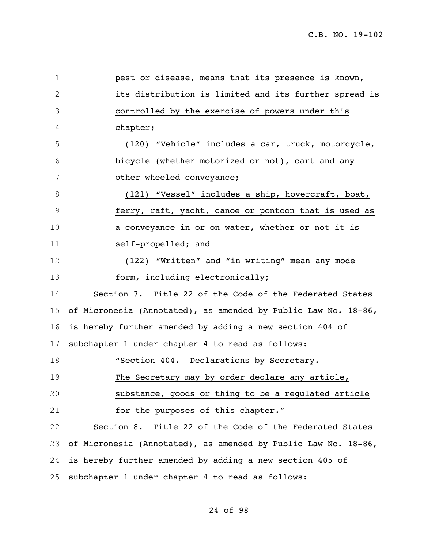| 1           | pest or disease, means that its presence is known,             |
|-------------|----------------------------------------------------------------|
| 2           | its distribution is limited and its further spread is          |
| 3           | controlled by the exercise of powers under this                |
| 4           | chapter;                                                       |
| 5           | (120) "Vehicle" includes a car, truck, motorcycle,             |
| 6           | bicycle (whether motorized or not), cart and any               |
| 7           | other wheeled conveyance;                                      |
| 8           | (121) "Vessel" includes a ship, hovercraft, boat,              |
| $\mathsf 9$ | ferry, raft, yacht, canoe or pontoon that is used as           |
| 10          | a conveyance in or on water, whether or not it is              |
| 11          | self-propelled; and                                            |
| 12          | (122) "Written" and "in writing" mean any mode                 |
| 13          | form, including electronically;                                |
| 14          | Section 7. Title 22 of the Code of the Federated States        |
| 15          | of Micronesia (Annotated), as amended by Public Law No. 18-86, |
| 16          | is hereby further amended by adding a new section 404 of       |
| 17          | subchapter 1 under chapter 4 to read as follows:               |
| 18          | "Section 404. Declarations by Secretary.                       |
| 19          | The Secretary may by order declare any article,                |
| 20          | substance, goods or thing to be a regulated article            |
| 21          | for the purposes of this chapter."                             |
| 22          | Section 8. Title 22 of the Code of the Federated States        |
| 23          | of Micronesia (Annotated), as amended by Public Law No. 18-86, |
| 24          | is hereby further amended by adding a new section 405 of       |
| 25          | subchapter 1 under chapter 4 to read as follows:               |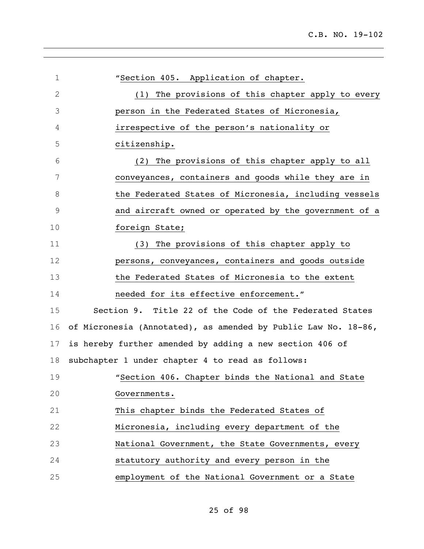| $\mathbf 1$   | "Section 405. Application of chapter.                          |
|---------------|----------------------------------------------------------------|
| $\mathbf{2}$  | The provisions of this chapter apply to every<br>(1)           |
| 3             | person in the Federated States of Micronesia,                  |
| 4             | irrespective of the person's nationality or                    |
| 5             | citizenship.                                                   |
| 6             | The provisions of this chapter apply to all<br>(2)             |
| 7             | conveyances, containers and goods while they are in            |
| 8             | the Federated States of Micronesia, including vessels          |
| $\mathcal{G}$ | and aircraft owned or operated by the government of a          |
| 10            | foreign State;                                                 |
| 11            | (3) The provisions of this chapter apply to                    |
| 12            | persons, conveyances, containers and goods outside             |
| 13            | the Federated States of Micronesia to the extent               |
| 14            | needed for its effective enforcement."                         |
| 15            | Section 9. Title 22 of the Code of the Federated States        |
| 16            | of Micronesia (Annotated), as amended by Public Law No. 18-86, |
| 17            | is hereby further amended by adding a new section 406 of       |
| 18            | subchapter 1 under chapter 4 to read as follows:               |
| 19            | "Section 406. Chapter binds the National and State             |
| 20            | Governments.                                                   |
| 21            | This chapter binds the Federated States of                     |
| 22            | Micronesia, including every department of the                  |
| 23            | National Government, the State Governments, every              |
| 24            | statutory authority and every person in the                    |
| 25            | employment of the National Government or a State               |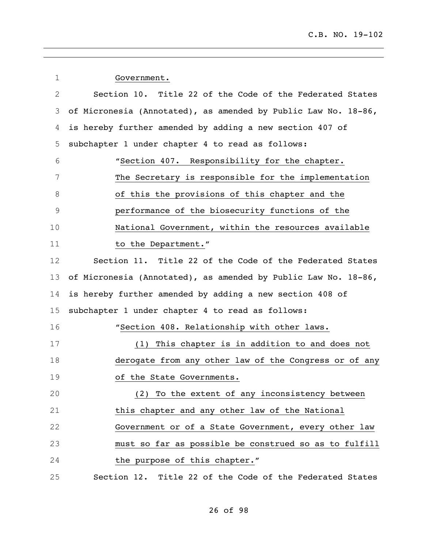| 1  | Government.                                                    |
|----|----------------------------------------------------------------|
| 2  | Section 10. Title 22 of the Code of the Federated States       |
| 3  | of Micronesia (Annotated), as amended by Public Law No. 18-86, |
| 4  | is hereby further amended by adding a new section 407 of       |
| 5  | subchapter 1 under chapter 4 to read as follows:               |
| 6  | "Section 407. Responsibility for the chapter.                  |
| 7  | The Secretary is responsible for the implementation            |
| 8  | of this the provisions of this chapter and the                 |
| 9  | performance of the biosecurity functions of the                |
| 10 | National Government, within the resources available            |
| 11 | to the Department."                                            |
| 12 | Section 11. Title 22 of the Code of the Federated States       |
| 13 | of Micronesia (Annotated), as amended by Public Law No. 18-86, |
| 14 | is hereby further amended by adding a new section 408 of       |
| 15 | subchapter 1 under chapter 4 to read as follows:               |
| 16 | "Section 408. Relationship with other laws.                    |
| 17 | (1) This chapter is in addition to and does not                |
| 18 | derogate from any other law of the Congress or of any          |
| 19 | of the State Governments.                                      |
| 20 | (2) To the extent of any inconsistency between                 |
| 21 | this chapter and any other law of the National                 |
| 22 | Government or of a State Government, every other law           |
| 23 | must so far as possible be construed so as to fulfill          |
| 24 | the purpose of this chapter."                                  |
| 25 | Section 12. Title 22 of the Code of the Federated States       |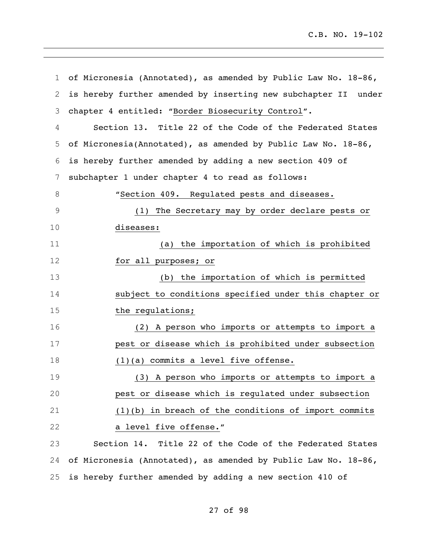| $\mathbf 1$ | of Micronesia (Annotated), as amended by Public Law No. 18-86, |
|-------------|----------------------------------------------------------------|
| 2           | is hereby further amended by inserting new subchapter II under |
| 3           | chapter 4 entitled: "Border Biosecurity Control".              |
| 4           | Section 13. Title 22 of the Code of the Federated States       |
| 5           | of Micronesia(Annotated), as amended by Public Law No. 18-86,  |
| 6           | is hereby further amended by adding a new section 409 of       |
| 7           | subchapter 1 under chapter 4 to read as follows:               |
| 8           | "Section 409. Regulated pests and diseases.                    |
| 9           | (1) The Secretary may by order declare pests or                |
| 10          | diseases:                                                      |
| 11          | (a) the importation of which is prohibited                     |
| 12          | for all purposes; or                                           |
| 13          | (b) the importation of which is permitted                      |
| 14          | subject to conditions specified under this chapter or          |
| 15          | the regulations;                                               |
| 16          | (2) A person who imports or attempts to import a               |
| 17          | pest or disease which is prohibited under subsection           |
| 18          | $(1)(a)$ commits a level five offense.                         |
| 19          | A person who imports or attempts to import a<br>(3)            |
| 20          | pest or disease which is regulated under subsection            |
| 21          | $(1)(b)$ in breach of the conditions of import commits         |
| 22          | a level five offense."                                         |
| 23          | Section 14. Title 22 of the Code of the Federated States       |
| 24          | of Micronesia (Annotated), as amended by Public Law No. 18-86, |
| 25          | is hereby further amended by adding a new section 410 of       |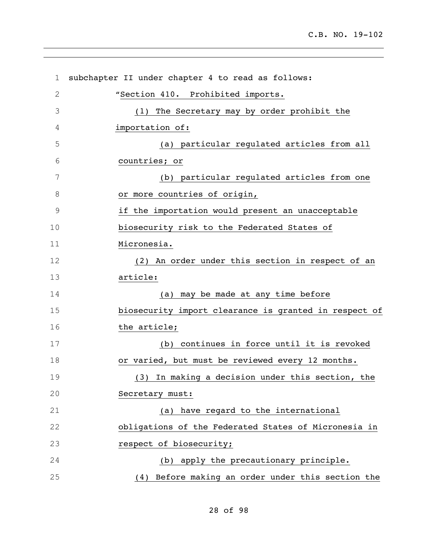| $\mathbf 1$ | subchapter II under chapter 4 to read as follows:     |
|-------------|-------------------------------------------------------|
| 2           | "Section 410. Prohibited imports.                     |
| 3           | (1) The Secretary may by order prohibit the           |
| 4           | importation of:                                       |
| 5           | (a) particular regulated articles from all            |
| 6           | countries; or                                         |
| 7           | (b) particular regulated articles from one            |
| 8           | or more countries of origin,                          |
| $\mathsf 9$ | if the importation would present an unacceptable      |
| 10          | biosecurity risk to the Federated States of           |
| 11          | Micronesia.                                           |
| 12          | (2) An order under this section in respect of an      |
| 13          | article:                                              |
| 14          | (a) may be made at any time before                    |
| 15          | biosecurity import clearance is granted in respect of |
| 16          | the article;                                          |
| 17          | (b) continues in force until it is revoked            |
| 18          | or varied, but must be reviewed every 12 months.      |
| 19          | (3) In making a decision under this section, the      |
| 20          | Secretary must:                                       |
| 21          | (a) have regard to the international                  |
| 22          | obligations of the Federated States of Micronesia in  |
| 23          | respect of biosecurity;                               |
| 24          | (b) apply the precautionary principle.                |
| 25          | (4) Before making an order under this section the     |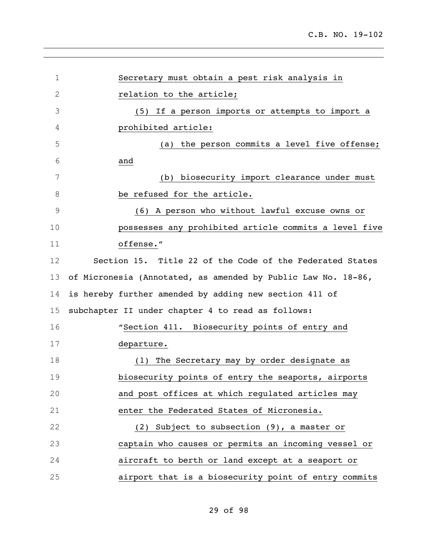| 1  | Secretary must obtain a pest risk analysis in                 |
|----|---------------------------------------------------------------|
| 2  | relation to the article;                                      |
| 3  | (5) If a person imports or attempts to import a               |
| 4  | prohibited article:                                           |
| 5  | (a) the person commits a level five offense;                  |
| 6  | and                                                           |
| 7  | (b) biosecurity import clearance under must                   |
| 8  | be refused for the article.                                   |
| 9  | (6) A person who without lawful excuse owns or                |
| 10 | possesses any prohibited article commits a level five         |
| 11 | offense."                                                     |
| 12 | Section 15. Title 22 of the Code of the Federated States      |
| 13 | of Micronesia (Annotated, as amended by Public Law No. 18-86, |
| 14 | is hereby further amended by adding new section 411 of        |
| 15 | subchapter II under chapter 4 to read as follows:             |
| 16 | "Section 411. Biosecurity points of entry and                 |
| 17 | departure.                                                    |
| 18 | The Secretary may by order designate as<br>(1)                |
| 19 | biosecurity points of entry the seaports, airports            |
| 20 | and post offices at which regulated articles may              |
| 21 | enter the Federated States of Micronesia.                     |
| 22 | (2) Subject to subsection (9), a master or                    |
| 23 | captain who causes or permits an incoming vessel or           |
| 24 | aircraft to berth or land except at a seaport or              |
| 25 | airport that is a biosecurity point of entry commits          |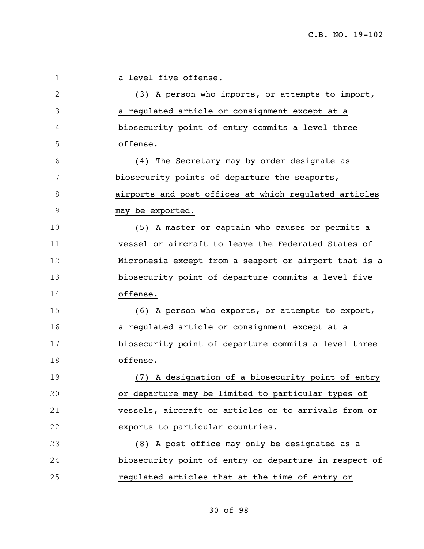| 1  | a level five offense.                                 |
|----|-------------------------------------------------------|
| 2  | (3) A person who imports, or attempts to import,      |
| 3  | a regulated article or consignment except at a        |
| 4  | biosecurity point of entry commits a level three      |
| 5  | offense.                                              |
| 6  | The Secretary may by order designate as<br>(4)        |
| 7  | biosecurity points of departure the seaports,         |
| 8  | airports and post offices at which regulated articles |
| 9  | may be exported.                                      |
| 10 | (5) A master or captain who causes or permits a       |
| 11 | vessel or aircraft to leave the Federated States of   |
| 12 | Micronesia except from a seaport or airport that is a |
| 13 | biosecurity point of departure commits a level five   |
| 14 | offense.                                              |
| 15 | (6) A person who exports, or attempts to export,      |
| 16 | a regulated article or consignment except at a        |
| 17 | biosecurity point of departure commits a level three  |
| 18 | offense.                                              |
| 19 | (7) A designation of a biosecurity point of entry     |
| 20 | or departure may be limited to particular types of    |
| 21 | vessels, aircraft or articles or to arrivals from or  |
| 22 | exports to particular countries.                      |
| 23 | (8) A post office may only be designated as a         |
| 24 | biosecurity point of entry or departure in respect of |
| 25 | regulated articles that at the time of entry or       |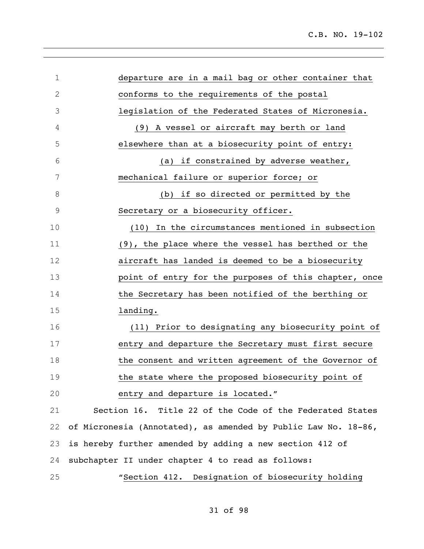| $\mathbf 1$  | departure are in a mail bag or other container that            |
|--------------|----------------------------------------------------------------|
| $\mathbf{2}$ | conforms to the requirements of the postal                     |
| 3            | legislation of the Federated States of Micronesia.             |
| 4            | (9) A vessel or aircraft may berth or land                     |
| 5            | elsewhere than at a biosecurity point of entry:                |
| 6            | (a) if constrained by adverse weather,                         |
| 7            | mechanical failure or superior force; or                       |
| 8            | (b) if so directed or permitted by the                         |
| $\mathsf 9$  | Secretary or a biosecurity officer.                            |
| 10           | In the circumstances mentioned in subsection<br>(10)           |
| 11           | (9), the place where the vessel has berthed or the             |
| 12           | aircraft has landed is deemed to be a biosecurity              |
| 13           | point of entry for the purposes of this chapter, once          |
| 14           | the Secretary has been notified of the berthing or             |
| 15           | landing.                                                       |
| 16           | (11) Prior to designating any biosecurity point of             |
| 17           | entry and departure the Secretary must first secure            |
| 18           | the consent and written agreement of the Governor of           |
| 19           | the state where the proposed biosecurity point of              |
| 20           | entry and departure is located."                               |
| 21           | Section 16. Title 22 of the Code of the Federated States       |
| 22           | of Micronesia (Annotated), as amended by Public Law No. 18-86, |
| 23           | is hereby further amended by adding a new section 412 of       |
| 24           | subchapter II under chapter 4 to read as follows:              |
| 25           | "Section 412. Designation of biosecurity holding               |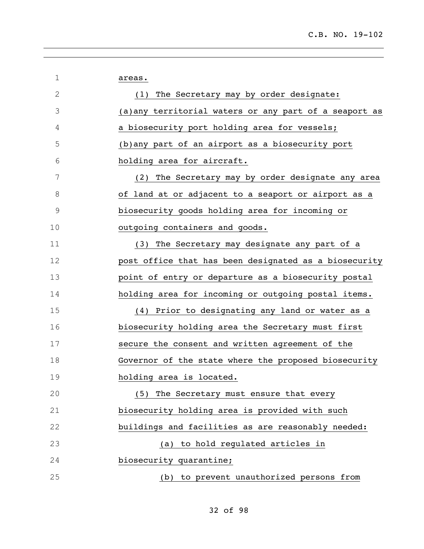| 1            | areas.                                                 |
|--------------|--------------------------------------------------------|
| $\mathbf{2}$ | The Secretary may by order designate:<br>(1)           |
| 3            | (a) any territorial waters or any part of a seaport as |
| 4            | a biosecurity port holding area for vessels;           |
| 5            | (b) any part of an airport as a biosecurity port       |
| 6            | holding area for aircraft.                             |
| 7            | (2) The Secretary may by order designate any area      |
| 8            | of land at or adjacent to a seaport or airport as a    |
| 9            | biosecurity goods holding area for incoming or         |
| 10           | outgoing containers and goods.                         |
| 11           | (3) The Secretary may designate any part of a          |
| 12           | post office that has been designated as a biosecurity  |
| 13           | point of entry or departure as a biosecurity postal    |
| 14           | holding area for incoming or outgoing postal items.    |
| 15           | (4) Prior to designating any land or water as a        |
| 16           | biosecurity holding area the Secretary must first      |
| 17           | secure the consent and written agreement of the        |
| 18           | Governor of the state where the proposed biosecurity   |
| 19           | holding area is located.                               |
| 20           | (5) The Secretary must ensure that every               |
| 21           | biosecurity holding area is provided with such         |
| 22           | buildings and facilities as are reasonably needed:     |
| 23           | (a) to hold regulated articles in                      |
| 24           | biosecurity quarantine;                                |
| 25           | (b) to prevent unauthorized persons from               |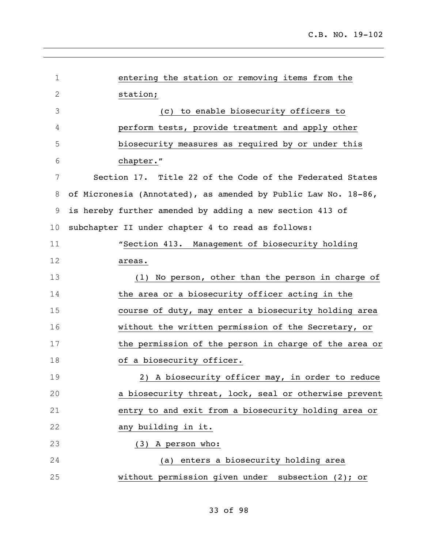| $\mathbf 1$  | entering the station or removing items from the                |
|--------------|----------------------------------------------------------------|
| $\mathbf{2}$ | station;                                                       |
| 3            | (c) to enable biosecurity officers to                          |
| 4            | perform tests, provide treatment and apply other               |
| 5            | biosecurity measures as required by or under this              |
| 6            | chapter."                                                      |
| 7            | Section 17. Title 22 of the Code of the Federated States       |
| 8            | of Micronesia (Annotated), as amended by Public Law No. 18-86, |
| 9            | is hereby further amended by adding a new section 413 of       |
| 10           | subchapter II under chapter 4 to read as follows:              |
| 11           | "Section 413. Management of biosecurity holding                |
| 12           | areas.                                                         |
| 13           | (1) No person, other than the person in charge of              |
| 14           | the area or a biosecurity officer acting in the                |
| 15           | course of duty, may enter a biosecurity holding area           |
| 16           | without the written permission of the Secretary, or            |
| 17           | the permission of the person in charge of the area or          |
| 18           | of a biosecurity officer.                                      |
| 19           | 2) A biosecurity officer may, in order to reduce               |
| 20           | a biosecurity threat, lock, seal or otherwise prevent          |
| 21           | entry to and exit from a biosecurity holding area or           |
| 22           | any building in it.                                            |
| 23           | (3) A person who:                                              |
| 24           | (a) enters a biosecurity holding area                          |
| 25           | without permission given under subsection (2); or              |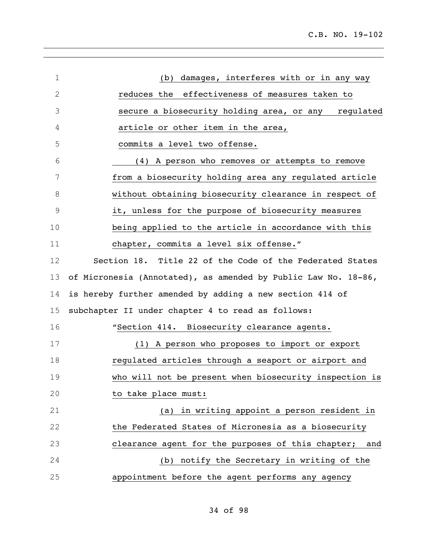| $\mathbf 1$  | damages, interferes with or in any way<br>(b)                  |
|--------------|----------------------------------------------------------------|
| $\mathbf{2}$ | effectiveness of measures taken to<br>reduces the              |
| 3            | secure a biosecurity holding area, or any regulated            |
| 4            | article or other item in the area,                             |
| 5            | commits a level two offense.                                   |
| 6            | (4) A person who removes or attempts to remove                 |
| 7            | from a biosecurity holding area any regulated article          |
| 8            | without obtaining biosecurity clearance in respect of          |
| 9            | it, unless for the purpose of biosecurity measures             |
| 10           | being applied to the article in accordance with this           |
| 11           | chapter, commits a level six offense."                         |
| 12           | Section 18. Title 22 of the Code of the Federated States       |
| 13           | of Micronesia (Annotated), as amended by Public Law No. 18-86, |
| 14           | is hereby further amended by adding a new section 414 of       |
| 15           | subchapter II under chapter 4 to read as follows:              |
| 16           | "Section 414. Biosecurity clearance agents.                    |
| 17           | (1) A person who proposes to import or export                  |
| 18           | regulated articles through a seaport or airport and            |
| 19           | who will not be present when biosecurity inspection is         |
| 20           | to take place must:                                            |
| 21           | (a) in writing appoint a person resident in                    |
| 22           | the Federated States of Micronesia as a biosecurity            |
| 23           | clearance agent for the purposes of this chapter; and          |
| 24           | (b) notify the Secretary in writing of the                     |
| 25           | appointment before the agent performs any agency               |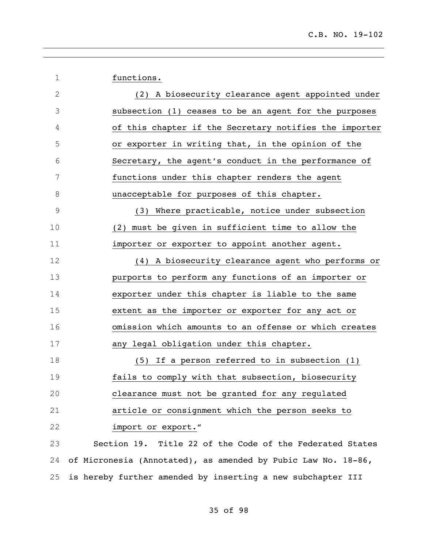1 functions.

| $\mathbf{2}$   | (2) A biosecurity clearance agent appointed under             |
|----------------|---------------------------------------------------------------|
| $\mathfrak{Z}$ | subsection (1) ceases to be an agent for the purposes         |
| 4              | of this chapter if the Secretary notifies the importer        |
| 5              | or exporter in writing that, in the opinion of the            |
| $\sqrt{6}$     | Secretary, the agent's conduct in the performance of          |
| $\overline{7}$ | functions under this chapter renders the agent                |
| $\,8\,$        | unacceptable for purposes of this chapter.                    |
| $\mathsf 9$    | (3) Where practicable, notice under subsection                |
| 10             | (2) must be given in sufficient time to allow the             |
| 11             | importer or exporter to appoint another agent.                |
| 12             | (4) A biosecurity clearance agent who performs or             |
| 13             | purports to perform any functions of an importer or           |
| 14             | exporter under this chapter is liable to the same             |
| 15             | extent as the importer or exporter for any act or             |
| 16             | omission which amounts to an offense or which creates         |
| 17             | any legal obligation under this chapter.                      |
| 18             | (5) If a person referred to in subsection (1)                 |
| 19             | fails to comply with that subsection, biosecurity             |
| 20             | clearance must not be granted for any regulated               |
| 21             | article or consignment which the person seeks to              |
| 22             | import or export."                                            |
| 23             | Section 19. Title 22 of the Code of the Federated States      |
| 24             | of Micronesia (Annotated), as amended by Pubic Law No. 18-86, |
| 25             | is hereby further amended by inserting a new subchapter III   |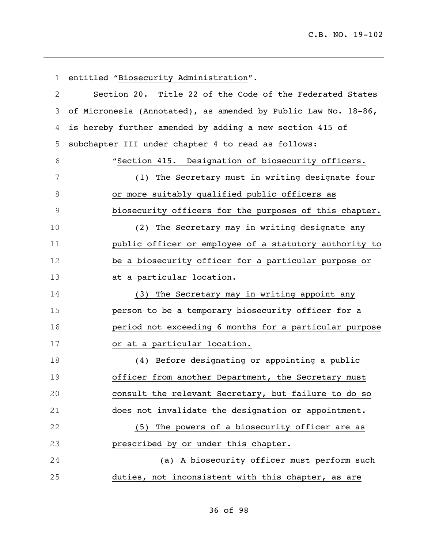| $\mathbf 1$    | entitled "Biosecurity Administration".                         |
|----------------|----------------------------------------------------------------|
| 2              | Section 20. Title 22 of the Code of the Federated States       |
| 3              | of Micronesia (Annotated), as amended by Public Law No. 18-86, |
| 4              | is hereby further amended by adding a new section 415 of       |
| 5              | subchapter III under chapter 4 to read as follows:             |
| 6              | "Section 415. Designation of biosecurity officers.             |
| $\overline{7}$ | (1) The Secretary must in writing designate four               |
| 8              | or more suitably qualified public officers as                  |
| $\mathsf 9$    | biosecurity officers for the purposes of this chapter.         |
| 10             | (2) The Secretary may in writing designate any                 |
| 11             | public officer or employee of a statutory authority to         |
| 12             | be a biosecurity officer for a particular purpose or           |
| 13             | at a particular location.                                      |
| 14             | (3) The Secretary may in writing appoint any                   |
| 15             | person to be a temporary biosecurity officer for a             |
| 16             | period not exceeding 6 months for a particular purpose         |
| 17             | or at a particular location.                                   |
| 18             | (4) Before designating or appointing a public                  |
| 19             | officer from another Department, the Secretary must            |
| 20             | consult the relevant Secretary, but failure to do so           |
| 21             | does not invalidate the designation or appointment.            |
| 22             | (5) The powers of a biosecurity officer are as                 |
| 23             | prescribed by or under this chapter.                           |
| 24             | (a) A biosecurity officer must perform such                    |
| 25             | duties, not inconsistent with this chapter, as are             |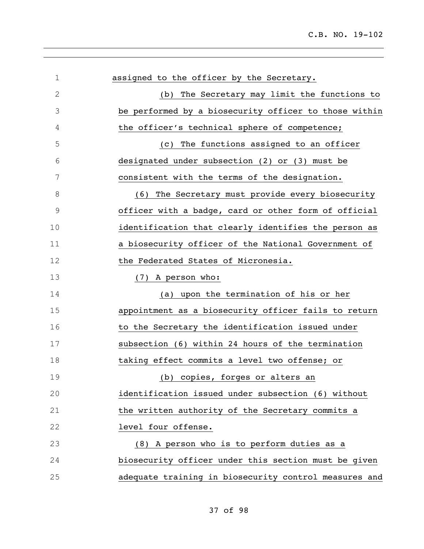| 1             | assigned to the officer by the Secretary.             |
|---------------|-------------------------------------------------------|
| $\mathbf{2}$  | The Secretary may limit the functions to<br>(b)       |
| 3             | be performed by a biosecurity officer to those within |
| 4             | the officer's technical sphere of competence;         |
| 5             | The functions assigned to an officer<br>(C)           |
| 6             | designated under subsection (2) or (3) must be        |
| 7             | consistent with the terms of the designation.         |
| 8             | The Secretary must provide every biosecurity<br>(6)   |
| $\mathcal{G}$ | officer with a badge, card or other form of official  |
| 10            | identification that clearly identifies the person as  |
| 11            | a biosecurity officer of the National Government of   |
| 12            | the Federated States of Micronesia.                   |
| 13            | (7) A person who:                                     |
| 14            | (a) upon the termination of his or her                |
| 15            | appointment as a biosecurity officer fails to return  |
| 16            | to the Secretary the identification issued under      |
| 17            | subsection (6) within 24 hours of the termination     |
| 18            | taking effect commits a level two offense; or         |
| 19            | (b) copies, forges or alters an                       |
| 20            | identification issued under subsection (6) without    |
| 21            | the written authority of the Secretary commits a      |
| 22            | level four offense.                                   |
| 23            | (8) A person who is to perform duties as a            |
| 24            | biosecurity officer under this section must be given  |
| 25            | adequate training in biosecurity control measures and |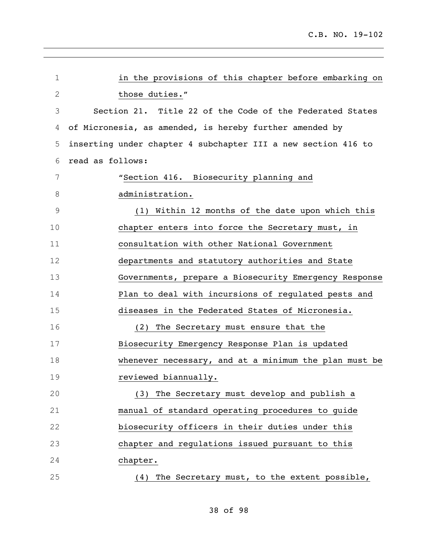| 1            | in the provisions of this chapter before embarking on         |
|--------------|---------------------------------------------------------------|
| $\mathbf{2}$ | those duties."                                                |
| 3            | Section 21. Title 22 of the Code of the Federated States      |
| 4            | of Micronesia, as amended, is hereby further amended by       |
| 5            | inserting under chapter 4 subchapter III a new section 416 to |
| 6            | read as follows:                                              |
| 7            | "Section 416. Biosecurity planning and                        |
| 8            | administration.                                               |
| 9            | (1) Within 12 months of the date upon which this              |
| 10           | chapter enters into force the Secretary must, in              |
| 11           | consultation with other National Government                   |
| 12           | departments and statutory authorities and State               |
| 13           | Governments, prepare a Biosecurity Emergency Response         |
| 14           | Plan to deal with incursions of regulated pests and           |
| 15           | diseases in the Federated States of Micronesia.               |
| 16           | The Secretary must ensure that the<br>(2)                     |
| 17           | Biosecurity Emergency Response Plan is updated                |
| 18           | whenever necessary, and at a minimum the plan must be         |
| 19           | reviewed biannually.                                          |
| 20           | (3) The Secretary must develop and publish a                  |
| 21           | manual of standard operating procedures to quide              |
| 22           | biosecurity officers in their duties under this               |
| 23           | chapter and regulations issued pursuant to this               |
| 24           | chapter.                                                      |
| 25           | The Secretary must, to the extent possible,<br>(4)            |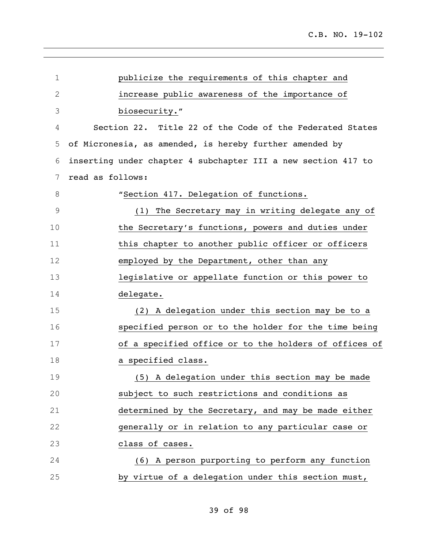| $\mathbf 1$    | publicize the requirements of this chapter and                |
|----------------|---------------------------------------------------------------|
| $\mathbf{2}$   | increase public awareness of the importance of                |
| 3              | biosecurity."                                                 |
| 4              | Section 22. Title 22 of the Code of the Federated States      |
| 5              | of Micronesia, as amended, is hereby further amended by       |
| 6              | inserting under chapter 4 subchapter III a new section 417 to |
| $\overline{7}$ | read as follows:                                              |
| 8              | "Section 417. Delegation of functions.                        |
| $\mathsf 9$    | The Secretary may in writing delegate any of<br>(1)           |
| 10             | the Secretary's functions, powers and duties under            |
| 11             | this chapter to another public officer or officers            |
| 12             | employed by the Department, other than any                    |
| 13             | legislative or appellate function or this power to            |
| 14             | delegate.                                                     |
| 15             | (2) A delegation under this section may be to a               |
| 16             | specified person or to the holder for the time being          |
| 17             | of a specified office or to the holders of offices of         |
| 18             | a specified class.                                            |
| 19             | (5) A delegation under this section may be made               |
| 20             | subject to such restrictions and conditions as                |
| 21             | determined by the Secretary, and may be made either           |
| 22             | generally or in relation to any particular case or            |
| 23             | class of cases.                                               |
| 24             | (6) A person purporting to perform any function               |
| 25             | by virtue of a delegation under this section must,            |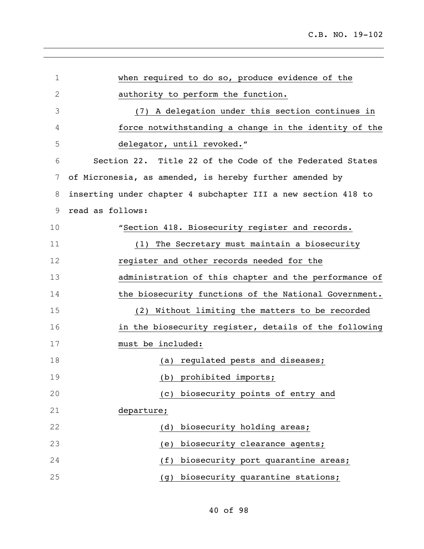| $\mathbf 1$  | when required to do so, produce evidence of the               |
|--------------|---------------------------------------------------------------|
| $\mathbf{2}$ | authority to perform the function.                            |
| 3            | (7) A delegation under this section continues in              |
| 4            | force notwithstanding a change in the identity of the         |
| 5            | delegator, until revoked."                                    |
| 6            | Section 22. Title 22 of the Code of the Federated States      |
| 7            | of Micronesia, as amended, is hereby further amended by       |
| 8            | inserting under chapter 4 subchapter III a new section 418 to |
| 9            | read as follows:                                              |
| 10           | "Section 418. Biosecurity register and records.               |
| 11           | The Secretary must maintain a biosecurity<br>(1)              |
| 12           | register and other records needed for the                     |
| 13           | administration of this chapter and the performance of         |
| 14           | the biosecurity functions of the National Government.         |
| 15           | (2) Without limiting the matters to be recorded               |
| 16           | in the biosecurity register, details of the following         |
| 17           | must be included:                                             |
| 18           | (a) regulated pests and diseases;                             |
| 19           | (b) prohibited imports;                                       |
| 20           | biosecurity points of entry and<br>(C)                        |
| 21           | departure;                                                    |
| 22           | biosecurity holding areas;<br>(d)                             |
| 23           | biosecurity clearance agents;<br>(e)                          |
| 24           | biosecurity port quarantine areas;<br>(f)                     |
| 25           | biosecurity quarantine stations;<br>(g)                       |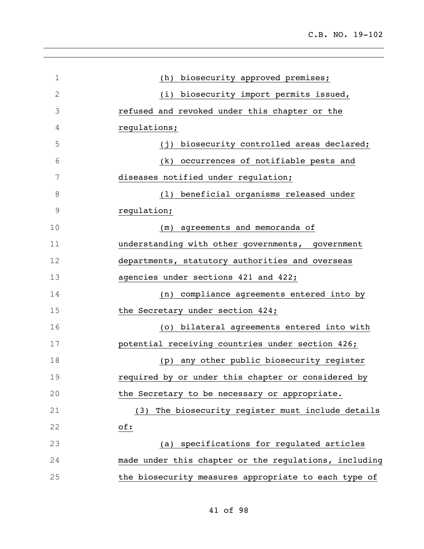C.B. NO. 19-102

| $\mathbf 1$   | biosecurity approved premises;<br>(h)                 |
|---------------|-------------------------------------------------------|
| $\mathbf{2}$  | (i) biosecurity import permits issued,                |
| 3             | refused and revoked under this chapter or the         |
| 4             | regulations;                                          |
| 5             | biosecurity controlled areas declared;<br>(i)         |
| 6             | (k) occurrences of notifiable pests and               |
| 7             | diseases notified under regulation;                   |
| 8             | beneficial organisms released under<br>(1)            |
| $\mathcal{G}$ | regulation;                                           |
| 10            | agreements and memoranda of<br>(m)                    |
| 11            | understanding with other governments, government      |
| 12            | departments, statutory authorities and overseas       |
| 13            | agencies under sections 421 and 422;                  |
| 14            | (n) compliance agreements entered into by             |
| 15            | the Secretary under section 424;                      |
| 16            | (o) bilateral agreements entered into with            |
| 17            | potential receiving countries under section 426;      |
| 18            | (p) any other public biosecurity register             |
| 19            | required by or under this chapter or considered by    |
| 20            | the Secretary to be necessary or appropriate.         |
| 21            | The biosecurity register must include details<br>(3)  |
| 22            | of:                                                   |
| 23            | (a) specifications for regulated articles             |
| 24            | made under this chapter or the regulations, including |
| 25            | the biosecurity measures appropriate to each type of  |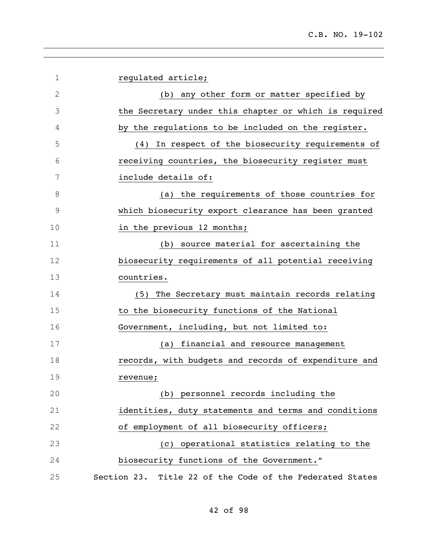| $\mathbf 1$  | regulated article;                                       |
|--------------|----------------------------------------------------------|
| $\mathbf{2}$ | (b) any other form or matter specified by                |
| 3            | the Secretary under this chapter or which is required    |
| 4            | by the regulations to be included on the register.       |
| 5            | In respect of the biosecurity requirements of<br>(4)     |
| 6            | receiving countries, the biosecurity register must       |
| 7            | include details of:                                      |
| 8            | (a) the requirements of those countries for              |
| 9            | which biosecurity export clearance has been granted      |
| 10           | in the previous 12 months;                               |
| 11           | source material for ascertaining the<br>(b)              |
| 12           | biosecurity requirements of all potential receiving      |
| 13           | countries.                                               |
| 14           | (5) The Secretary must maintain records relating         |
| 15           | to the biosecurity functions of the National             |
| 16           | Government, including, but not limited to:               |
| 17           | financial and resource management<br>(a)                 |
| 18           | records, with budgets and records of expenditure and     |
| 19           | revenue;                                                 |
| 20           | (b) personnel records including the                      |
| 21           | identities, duty statements and terms and conditions     |
| 22           | of employment of all biosecurity officers;               |
| 23           | (c) operational statistics relating to the               |
| 24           | biosecurity functions of the Government."                |
| 25           | Section 23. Title 22 of the Code of the Federated States |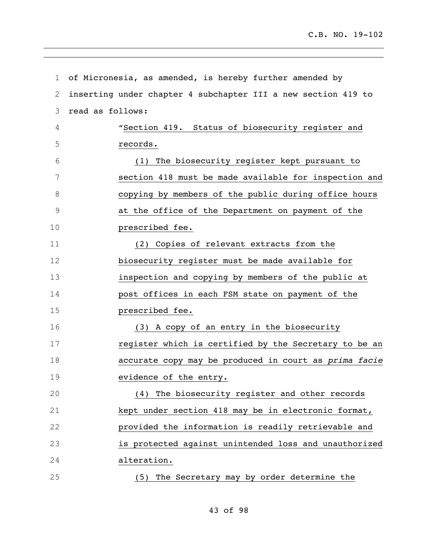| 1             | of Micronesia, as amended, is hereby further amended by       |
|---------------|---------------------------------------------------------------|
| 2             | inserting under chapter 4 subchapter III a new section 419 to |
| 3             | read as follows:                                              |
| 4             | "Section 419. Status of biosecurity register and              |
| 5             | records.                                                      |
| 6             | The biosecurity register kept pursuant to<br>(1)              |
| 7             | section 418 must be made available for inspection and         |
| 8             | copying by members of the public during office hours          |
| $\mathcal{G}$ | at the office of the Department on payment of the             |
| 10            | prescribed fee.                                               |
| 11            | (2) Copies of relevant extracts from the                      |
| 12            | biosecurity register must be made available for               |
| 13            | inspection and copying by members of the public at            |
| 14            | post offices in each FSM state on payment of the              |
| 15            | prescribed fee.                                               |
| 16            | (3) A copy of an entry in the biosecurity                     |
| 17            | register which is certified by the Secretary to be an         |
| 18            | accurate copy may be produced in court as prima facie         |
| 19            | evidence of the entry.                                        |
| 20            | The biosecurity register and other records<br>(4)             |
| 21            | kept under section 418 may be in electronic format,           |
| 22            | provided the information is readily retrievable and           |
| 23            | is protected against unintended loss and unauthorized         |
| 24            | alteration.                                                   |
| 25            | The Secretary may by order determine the<br>(5)               |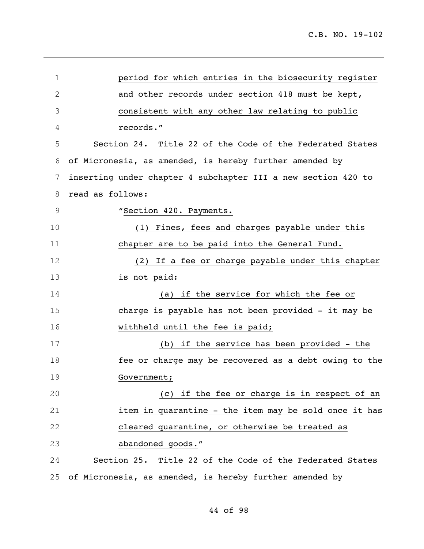| $\mathbf 1$  | period for which entries in the biosecurity register          |
|--------------|---------------------------------------------------------------|
| $\mathbf{2}$ | and other records under section 418 must be kept,             |
| 3            | consistent with any other law relating to public              |
| 4            | records."                                                     |
| 5            | Section 24. Title 22 of the Code of the Federated States      |
| 6            | of Micronesia, as amended, is hereby further amended by       |
| 7            | inserting under chapter 4 subchapter III a new section 420 to |
| 8            | read as follows:                                              |
| 9            | "Section 420. Payments.                                       |
| 10           | (1) Fines, fees and charges payable under this                |
| 11           | chapter are to be paid into the General Fund.                 |
| 12           | (2) If a fee or charge payable under this chapter             |
| 13           | is not paid:                                                  |
| 14           | (a) if the service for which the fee or                       |
| 15           | charge is payable has not been provided - it may be           |
| 16           | withheld until the fee is paid;                               |
| 17           | (b) if the service has been provided - the                    |
| 18           | fee or charge may be recovered as a debt owing to the         |
| 19           | Government;                                                   |
| 20           | (c) if the fee or charge is in respect of an                  |
| 21           | item in quarantine - the item may be sold once it has         |
| 22           | cleared quarantine, or otherwise be treated as                |
| 23           | abandoned goods."                                             |
| 24           | Section 25. Title 22 of the Code of the Federated States      |
| 25           | of Micronesia, as amended, is hereby further amended by       |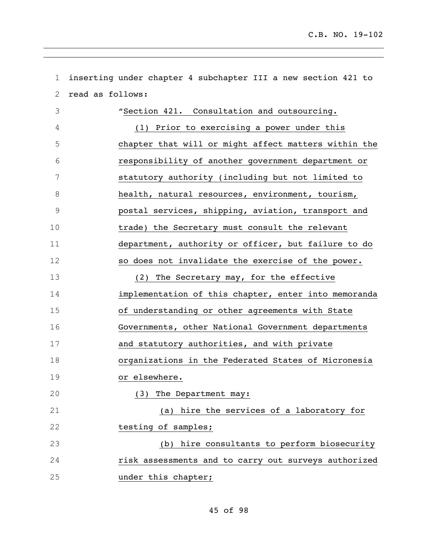| $\mathbf 1$ | inserting under chapter 4 subchapter III a new section 421 to |
|-------------|---------------------------------------------------------------|
| 2           | read as follows:                                              |
| 3           | "Section 421. Consultation and outsourcing.                   |
| 4           | (1) Prior to exercising a power under this                    |
| 5           | chapter that will or might affect matters within the          |
| 6           | responsibility of another government department or            |
| 7           | statutory authority (including but not limited to             |
| 8           | health, natural resources, environment, tourism,              |
| $\mathsf 9$ | postal services, shipping, aviation, transport and            |
| 10          | trade) the Secretary must consult the relevant                |
| 11          | department, authority or officer, but failure to do           |
| 12          | so does not invalidate the exercise of the power.             |
| 13          | (2) The Secretary may, for the effective                      |
| 14          | implementation of this chapter, enter into memoranda          |
| 15          | of understanding or other agreements with State               |
| 16          | Governments, other National Government departments            |
| 17          | and statutory authorities, and with private                   |
| 18          | organizations in the Federated States of Micronesia           |
| 19          | or elsewhere.                                                 |
| 20          | (3) The Department may:                                       |
| 21          | (a) hire the services of a laboratory for                     |
| 22          | testing of samples;                                           |
| 23          | (b) hire consultants to perform biosecurity                   |
| 24          | risk assessments and to carry out surveys authorized          |
| 25          | under this chapter;                                           |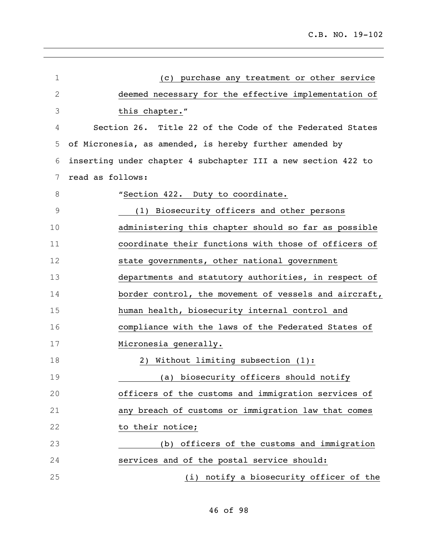| $\mathbf 1$  | (c) purchase any treatment or other service                   |
|--------------|---------------------------------------------------------------|
| $\mathbf{2}$ | deemed necessary for the effective implementation of          |
| 3            | this chapter."                                                |
| 4            | Section 26. Title 22 of the Code of the Federated States      |
| 5            | of Micronesia, as amended, is hereby further amended by       |
| 6            | inserting under chapter 4 subchapter III a new section 422 to |
| 7            | read as follows:                                              |
| 8            | "Section 422. Duty to coordinate.                             |
| 9            | (1) Biosecurity officers and other persons                    |
| 10           | administering this chapter should so far as possible          |
| 11           | coordinate their functions with those of officers of          |
| 12           | state governments, other national government                  |
| 13           | departments and statutory authorities, in respect of          |
| 14           | border control, the movement of vessels and aircraft,         |
| 15           | human health, biosecurity internal control and                |
| 16           | compliance with the laws of the Federated States of           |
| 17           | Micronesia generally.                                         |
| 18           | 2) Without limiting subsection (1):                           |
| 19           | (a) biosecurity officers should notify                        |
| 20           | officers of the customs and immigration services of           |
| 21           | any breach of customs or immigration law that comes           |
| 22           | to their notice;                                              |
| 23           | (b) officers of the customs and immigration                   |
| 24           | services and of the postal service should:                    |
| 25           | (i) notify a biosecurity officer of the                       |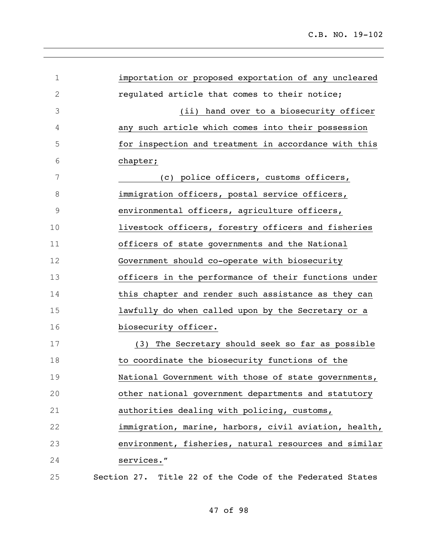| 1           | importation or proposed exportation of any uncleared     |
|-------------|----------------------------------------------------------|
| $\mathbf 2$ | requlated article that comes to their notice;            |
| 3           | (ii) hand over to a biosecurity officer                  |
| 4           | any such article which comes into their possession       |
| 5           | for inspection and treatment in accordance with this     |
| 6           | chapter;                                                 |
| 7           | (c) police officers, customs officers,                   |
| 8           | immigration officers, postal service officers,           |
| $\mathsf 9$ | environmental officers, agriculture officers,            |
| 10          | livestock officers, forestry officers and fisheries      |
| 11          | officers of state governments and the National           |
| 12          | Government should co-operate with biosecurity            |
| 13          | officers in the performance of their functions under     |
| 14          | this chapter and render such assistance as they can      |
| 15          | lawfully do when called upon by the Secretary or a       |
| 16          | biosecurity officer.                                     |
| 17          | (3) The Secretary should seek so far as possible         |
| 18          | to coordinate the biosecurity functions of the           |
| 19          | National Government with those of state governments,     |
| 20          | other national government departments and statutory      |
| 21          | authorities dealing with policing, customs,              |
| 22          | immigration, marine, harbors, civil aviation, health,    |
| 23          | environment, fisheries, natural resources and similar    |
| 24          | services."                                               |
| 25          | Section 27. Title 22 of the Code of the Federated States |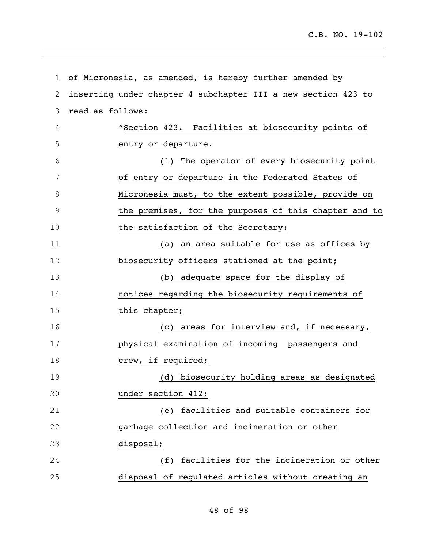| $\mathbf 1$ | of Micronesia, as amended, is hereby further amended by       |
|-------------|---------------------------------------------------------------|
| 2           | inserting under chapter 4 subchapter III a new section 423 to |
| 3           | read as follows:                                              |
| 4           | "Section 423. Facilities at biosecurity points of             |
| 5           | entry or departure.                                           |
| 6           | (1) The operator of every biosecurity point                   |
| 7           | of entry or departure in the Federated States of              |
| 8           | Micronesia must, to the extent possible, provide on           |
| $\mathsf 9$ | the premises, for the purposes of this chapter and to         |
| 10          | the satisfaction of the Secretary:                            |
| 11          | (a) an area suitable for use as offices by                    |
| 12          | biosecurity officers stationed at the point;                  |
| 13          | (b) adequate space for the display of                         |
| 14          | notices regarding the biosecurity requirements of             |
| 15          | this chapter;                                                 |
| 16          | (c) areas for interview and, if necessary,                    |
| 17          | physical examination of incoming passengers and               |
| 18          | crew, if required;                                            |
| 19          | (d) biosecurity holding areas as designated                   |
| 20          | under section 412;                                            |
| 21          | (e) facilities and suitable containers for                    |
| 22          | garbage collection and incineration or other                  |
| 23          | disposal;                                                     |
| 24          | facilities for the incineration or other<br>(f)               |
| 25          | disposal of regulated articles without creating an            |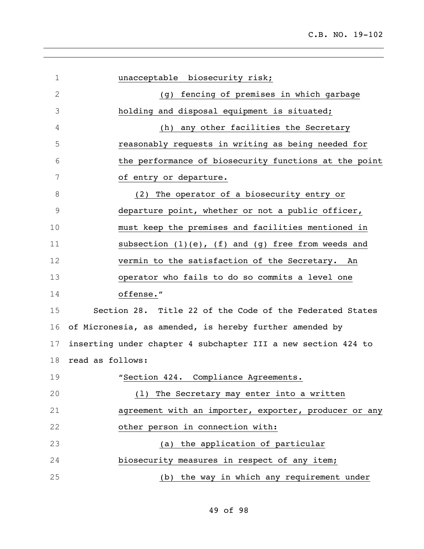| $\mathbf 1$  | unacceptable biosecurity risk;                                |
|--------------|---------------------------------------------------------------|
| $\mathbf{2}$ | fencing of premises in which garbage<br>(q)                   |
| 3            | holding and disposal equipment is situated;                   |
| 4            | (h) any other facilities the Secretary                        |
| 5            | reasonably requests in writing as being needed for            |
| 6            | the performance of biosecurity functions at the point         |
| 7            | of entry or departure.                                        |
| 8            | The operator of a biosecurity entry or<br>(2)                 |
| 9            | departure point, whether or not a public officer,             |
| 10           | must keep the premises and facilities mentioned in            |
| 11           | subsection $(1)(e)$ , $(f)$ and $(g)$ free from weeds and     |
| 12           | vermin to the satisfaction of the Secretary. An               |
| 13           | operator who fails to do so commits a level one               |
| 14           | offense."                                                     |
| 15           | Section 28. Title 22 of the Code of the Federated States      |
| 16           | of Micronesia, as amended, is hereby further amended by       |
| 17           | inserting under chapter 4 subchapter III a new section 424 to |
| 18           | read as follows:                                              |
| 19           | "Section 424. Compliance Agreements.                          |
| 20           | (1) The Secretary may enter into a written                    |
| 21           | agreement with an importer, exporter, producer or any         |
| 22           | other person in connection with:                              |
| 23           | (a) the application of particular                             |
| 24           | biosecurity measures in respect of any item;                  |
| 25           | (b) the way in which any requirement under                    |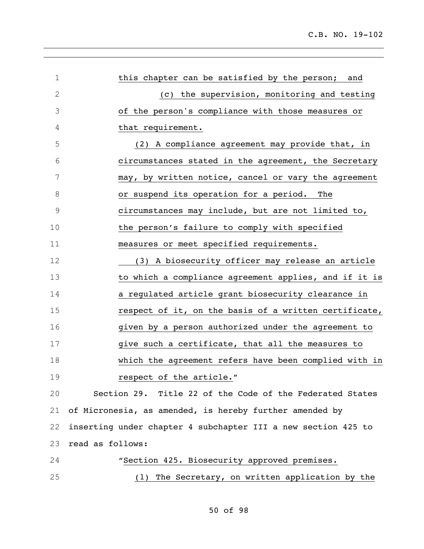| $\mathbf 1$   |                  | this chapter can be satisfied by the person; and              |
|---------------|------------------|---------------------------------------------------------------|
| $\mathbf{2}$  |                  | (c) the supervision, monitoring and testing                   |
| 3             |                  | of the person's compliance with those measures or             |
| 4             |                  | that requirement.                                             |
| 5             |                  | (2) A compliance agreement may provide that, in               |
| 6             |                  | circumstances stated in the agreement, the Secretary          |
| 7             |                  | may, by written notice, cancel or vary the agreement          |
| 8             |                  | or suspend its operation for a period. The                    |
| $\mathcal{G}$ |                  | circumstances may include, but are not limited to,            |
| 10            |                  | the person's failure to comply with specified                 |
| 11            |                  | measures or meet specified requirements.                      |
| 12            |                  | (3) A biosecurity officer may release an article              |
| 13            |                  | to which a compliance agreement applies, and if it is         |
| 14            |                  | a regulated article grant biosecurity clearance in            |
| 15            |                  | respect of it, on the basis of a written certificate,         |
| 16            |                  | given by a person authorized under the agreement to           |
| 17            |                  | give such a certificate, that all the measures to             |
| 18            |                  | which the agreement refers have been complied with in         |
| 19            |                  | respect of the article."                                      |
| 20            |                  | Section 29. Title 22 of the Code of the Federated States      |
| 21            |                  | of Micronesia, as amended, is hereby further amended by       |
| 22            |                  | inserting under chapter 4 subchapter III a new section 425 to |
| 23            | read as follows: |                                                               |
| 24            |                  | "Section 425. Biosecurity approved premises.                  |

(1) The Secretary, on written application by the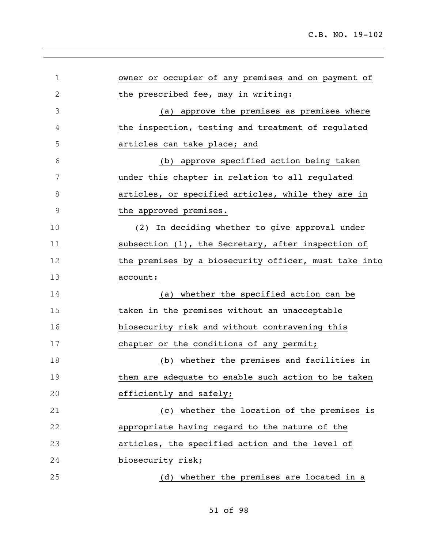| $\mathbf 1$ | owner or occupier of any premises and on payment of   |
|-------------|-------------------------------------------------------|
| $\mathbf 2$ | the prescribed fee, may in writing:                   |
| 3           | (a) approve the premises as premises where            |
| 4           | the inspection, testing and treatment of regulated    |
| 5           | articles can take place; and                          |
| 6           | (b) approve specified action being taken              |
| 7           | under this chapter in relation to all regulated       |
| 8           | articles, or specified articles, while they are in    |
| $\mathsf 9$ | the approved premises.                                |
| 10          | In deciding whether to give approval under<br>(2)     |
| 11          | subsection (1), the Secretary, after inspection of    |
| 12          | the premises by a biosecurity officer, must take into |
| 13          | account:                                              |
| 14          | (a) whether the specified action can be               |
| 15          | taken in the premises without an unacceptable         |
| 16          | biosecurity risk and without contravening this        |
| 17          | chapter or the conditions of any permit;              |
| 18          | whether the premises and facilities in<br>(b)         |
| 19          | them are adequate to enable such action to be taken   |
| 20          | efficiently and safely;                               |
| 21          | (c) whether the location of the premises is           |
| 22          | appropriate having regard to the nature of the        |
| 23          | articles, the specified action and the level of       |
| 24          | biosecurity risk;                                     |
| 25          | (d) whether the premises are located in a             |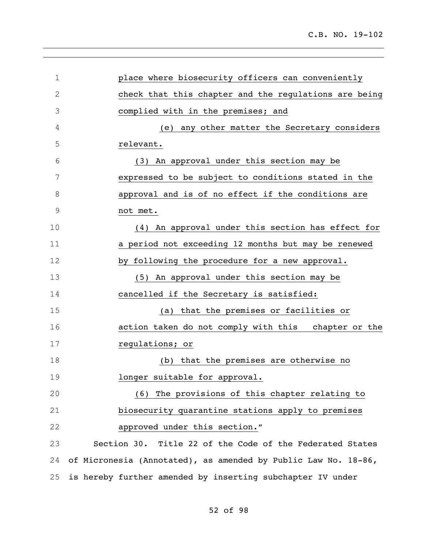| $\mathbf 1$  | place where biosecurity officers can conveniently              |
|--------------|----------------------------------------------------------------|
| $\mathbf{2}$ | check that this chapter and the regulations are being          |
| 3            | complied with in the premises; and                             |
| 4            | any other matter the Secretary considers<br>(e)                |
| 5            | relevant.                                                      |
| 6            | (3) An approval under this section may be                      |
| 7            | expressed to be subject to conditions stated in the            |
| 8            | approval and is of no effect if the conditions are             |
| 9            | not met.                                                       |
| 10           | (4) An approval under this section has effect for              |
| 11           | a period not exceeding 12 months but may be renewed            |
| 12           | by following the procedure for a new approval.                 |
| 13           | An approval under this section may be<br>(5)                   |
| 14           | cancelled if the Secretary is satisfied:                       |
| 15           | that the premises or facilities or<br>(a)                      |
| 16           | action taken do not comply with this chapter or the            |
| 17           | regulations; or                                                |
| 18           | (b) that the premises are otherwise no                         |
| 19           | longer suitable for approval.                                  |
| 20           | The provisions of this chapter relating to<br>(6)              |
| 21           | biosecurity quarantine stations apply to premises              |
| 22           | approved under this section."                                  |
| 23           | Section 30. Title 22 of the Code of the Federated States       |
| 24           | of Micronesia (Annotated), as amended by Public Law No. 18-86, |
| 25           | is hereby further amended by inserting subchapter IV under     |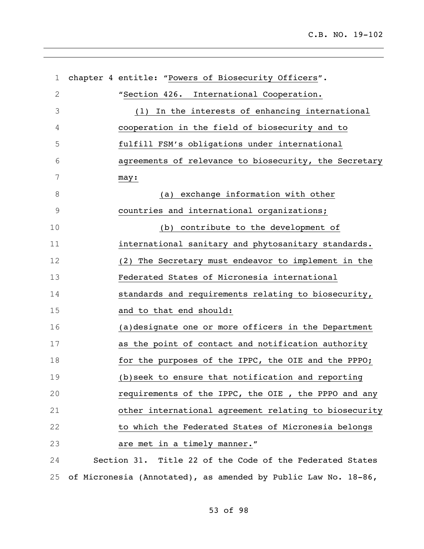| $\mathbf 1$    | chapter 4 entitle: "Powers of Biosecurity Officers".           |
|----------------|----------------------------------------------------------------|
| $\mathbf 2$    | "Section 426. International Cooperation.                       |
| 3              | In the interests of enhancing international<br>(1)             |
| 4              | cooperation in the field of biosecurity and to                 |
| 5              | fulfill FSM's obligations under international                  |
| 6              | agreements of relevance to biosecurity, the Secretary          |
| $\overline{7}$ | may:                                                           |
| 8              | (a) exchange information with other                            |
| $\mathsf 9$    | countries and international organizations;                     |
| 10             | (b) contribute to the development of                           |
| 11             | international sanitary and phytosanitary standards.            |
| 12             | (2) The Secretary must endeavor to implement in the            |
| 13             | Federated States of Micronesia international                   |
| 14             | standards and requirements relating to biosecurity,            |
| 15             | and to that end should:                                        |
| 16             | (a)designate one or more officers in the Department            |
| 17             | as the point of contact and notification authority             |
| 18             | for the purposes of the IPPC, the OIE and the PPPO;            |
| 19             | (b) seek to ensure that notification and reporting             |
| 20             | requirements of the IPPC, the OIE, the PPPO and any            |
| 21             | other international agreement relating to biosecurity          |
| 22             | to which the Federated States of Micronesia belongs            |
| 23             | are met in a timely manner."                                   |
| 24             | Section 31. Title 22 of the Code of the Federated States       |
| 25             | of Micronesia (Annotated), as amended by Public Law No. 18-86, |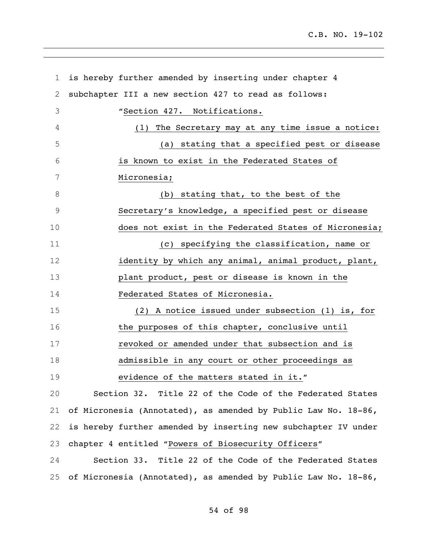| 1  | is hereby further amended by inserting under chapter 4         |
|----|----------------------------------------------------------------|
| 2  | subchapter III a new section 427 to read as follows:           |
| 3  | "Section 427. Notifications.                                   |
| 4  | The Secretary may at any time issue a notice:<br>(1)           |
| 5  | (a) stating that a specified pest or disease                   |
| 6  | is known to exist in the Federated States of                   |
| 7  | Micronesia;                                                    |
| 8  | (b) stating that, to the best of the                           |
| 9  | Secretary's knowledge, a specified pest or disease             |
| 10 | does not exist in the Federated States of Micronesia;          |
| 11 | (c) specifying the classification, name or                     |
| 12 | identity by which any animal, animal product, plant,           |
| 13 | plant product, pest or disease is known in the                 |
| 14 | Federated States of Micronesia.                                |
| 15 | (2) A notice issued under subsection (1) is, for               |
| 16 | the purposes of this chapter, conclusive until                 |
| 17 | revoked or amended under that subsection and is                |
| 18 | admissible in any court or other proceedings as                |
| 19 | evidence of the matters stated in it."                         |
| 20 | Section 32. Title 22 of the Code of the Federated States       |
| 21 | of Micronesia (Annotated), as amended by Public Law No. 18-86, |
| 22 | is hereby further amended by inserting new subchapter IV under |
| 23 | chapter 4 entitled "Powers of Biosecurity Officers"            |
| 24 | Section 33. Title 22 of the Code of the Federated States       |
| 25 | of Micronesia (Annotated), as amended by Public Law No. 18-86, |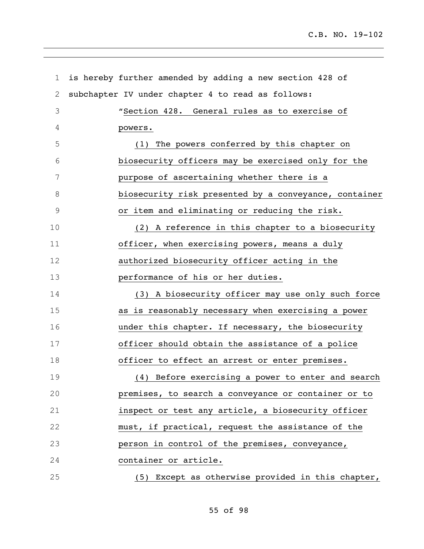| $\mathbf 1$  | is hereby further amended by adding a new section 428 of |
|--------------|----------------------------------------------------------|
| $\mathbf{2}$ | subchapter IV under chapter 4 to read as follows:        |
| 3            | "Section 428. General rules as to exercise of            |
| 4            | powers.                                                  |
| 5            | (1) The powers conferred by this chapter on              |
| 6            | biosecurity officers may be exercised only for the       |
| 7            | purpose of ascertaining whether there is a               |
| 8            | biosecurity risk presented by a conveyance, container    |
| $\mathsf 9$  | or item and eliminating or reducing the risk.            |
| 10           | (2) A reference in this chapter to a biosecurity         |
| 11           | officer, when exercising powers, means a duly            |
| 12           | authorized biosecurity officer acting in the             |
| 13           | performance of his or her duties.                        |
| 14           | (3) A biosecurity officer may use only such force        |
| 15           | as is reasonably necessary when exercising a power       |
| 16           | under this chapter. If necessary, the biosecurity        |
| 17           | officer should obtain the assistance of a police         |
| 18           | officer to effect an arrest or enter premises.           |
| 19           | (4) Before exercising a power to enter and search        |
| 20           | premises, to search a conveyance or container or to      |
| 21           | inspect or test any article, a biosecurity officer       |
| 22           | must, if practical, request the assistance of the        |
| 23           | person in control of the premises, conveyance,           |
| 24           | container or article.                                    |
| 25           | (5) Except as otherwise provided in this chapter,        |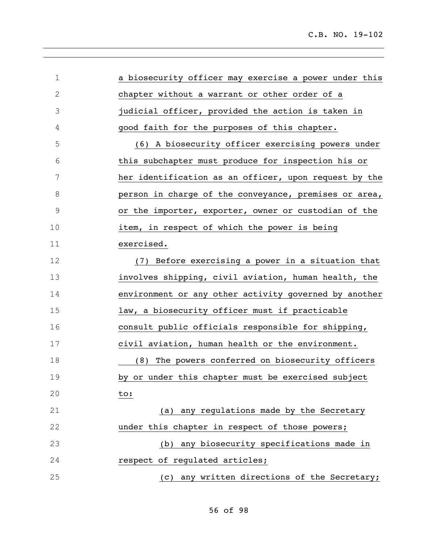| 1           | a biosecurity officer may exercise a power under this |
|-------------|-------------------------------------------------------|
| 2           | chapter without a warrant or other order of a         |
| 3           | judicial officer, provided the action is taken in     |
| 4           | good faith for the purposes of this chapter.          |
| 5           | (6) A biosecurity officer exercising powers under     |
| 6           | this subchapter must produce for inspection his or    |
| 7           | her identification as an officer, upon request by the |
| 8           | person in charge of the conveyance, premises or area, |
| $\mathsf 9$ | or the importer, exporter, owner or custodian of the  |
| 10          | item, in respect of which the power is being          |
| 11          | exercised.                                            |
| 12          | (7) Before exercising a power in a situation that     |
| 13          | involves shipping, civil aviation, human health, the  |
| 14          | environment or any other activity governed by another |
| 15          | law, a biosecurity officer must if practicable        |
| 16          | consult public officials responsible for shipping,    |
| 17          | civil aviation, human health or the environment.      |
| 18          | (8) The powers conferred on biosecurity officers      |
| 19          | by or under this chapter must be exercised subject    |
| 20          | to:                                                   |
| 21          | (a) any regulations made by the Secretary             |
| 22          | under this chapter in respect of those powers;        |
| 23          | (b) any biosecurity specifications made in            |
| 24          | respect of regulated articles;                        |
| 25          | (c) any written directions of the Secretary;          |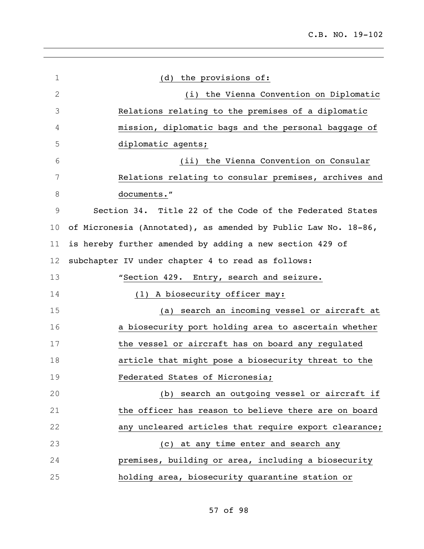| $\mathbf 1$ | (d) the provisions of:                                         |
|-------------|----------------------------------------------------------------|
| 2           | (i) the Vienna Convention on Diplomatic                        |
| 3           | Relations relating to the premises of a diplomatic             |
| 4           | mission, diplomatic bags and the personal baggage of           |
| 5           | diplomatic agents;                                             |
| 6           | (ii) the Vienna Convention on Consular                         |
| 7           | Relations relating to consular premises, archives and          |
| 8           | documents."                                                    |
| 9           | Section 34. Title 22 of the Code of the Federated States       |
| 10          | of Micronesia (Annotated), as amended by Public Law No. 18-86, |
| 11          | is hereby further amended by adding a new section 429 of       |
| 12          | subchapter IV under chapter 4 to read as follows:              |
| 13          | "Section 429. Entry, search and seizure.                       |
| 14          | (1) A biosecurity officer may:                                 |
| 15          | (a) search an incoming vessel or aircraft at                   |
| 16          | a biosecurity port holding area to ascertain whether           |
| 17          | the vessel or aircraft has on board any regulated              |
| 18          | article that might pose a biosecurity threat to the            |
| 19          | Federated States of Micronesia;                                |
| 20          | search an outgoing vessel or aircraft if<br>(b)                |
| 21          | the officer has reason to believe there are on board           |
| 22          | any uncleared articles that require export clearance;          |
| 23          | at any time enter and search any<br>(C)                        |
| 24          | premises, building or area, including a biosecurity            |
| 25          | holding area, biosecurity quarantine station or                |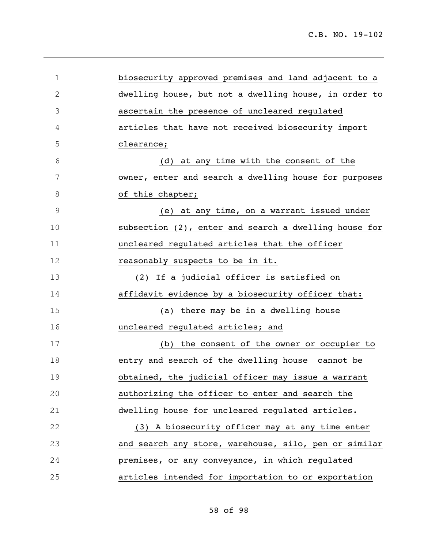| $\mathbf 1$  | biosecurity approved premises and land adjacent to a  |
|--------------|-------------------------------------------------------|
| $\mathbf{2}$ | dwelling house, but not a dwelling house, in order to |
| 3            | ascertain the presence of uncleared requlated         |
| 4            | articles that have not received biosecurity import    |
| 5            | clearance;                                            |
| 6            | at any time with the consent of the<br>(d)            |
| 7            | owner, enter and search a dwelling house for purposes |
| 8            | of this chapter;                                      |
| 9            | at any time, on a warrant issued under<br>(e)         |
| 10           | subsection (2), enter and search a dwelling house for |
| 11           | uncleared regulated articles that the officer         |
| 12           | reasonably suspects to be in it.                      |
| 13           | (2) If a judicial officer is satisfied on             |
| 14           | affidavit evidence by a biosecurity officer that:     |
| 15           | there may be in a dwelling house<br>(a)               |
| 16           | uncleared regulated articles; and                     |
| 17           | (b) the consent of the owner or occupier to           |
| 18           | entry and search of the dwelling house cannot be      |
| 19           | obtained, the judicial officer may issue a warrant    |
| 20           | authorizing the officer to enter and search the       |
| 21           | dwelling house for uncleared regulated articles.      |
| 22           | (3) A biosecurity officer may at any time enter       |
| 23           | and search any store, warehouse, silo, pen or similar |
| 24           | premises, or any conveyance, in which regulated       |
| 25           | articles intended for importation to or exportation   |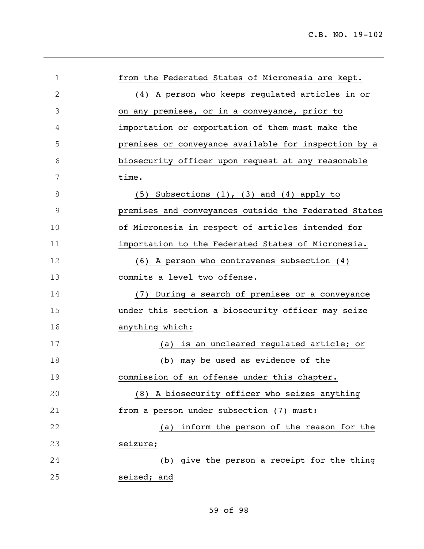| $\mathbf 1$                          | from the Federated States of Micronesia are kept.     |
|--------------------------------------|-------------------------------------------------------|
| $\mathfrak{2}% _{G}(\mathbb{Z}_{+})$ | (4) A person who keeps regulated articles in or       |
| 3                                    | on any premises, or in a conveyance, prior to         |
| 4                                    | importation or exportation of them must make the      |
| 5                                    | premises or conveyance available for inspection by a  |
| 6                                    | biosecurity officer upon request at any reasonable    |
| 7                                    | time.                                                 |
| 8                                    | Subsections $(1)$ , $(3)$ and $(4)$ apply to<br>(5)   |
| 9                                    | premises and conveyances outside the Federated States |
| 10                                   | of Micronesia in respect of articles intended for     |
| 11                                   | importation to the Federated States of Micronesia.    |
| 12                                   | (6) A person who contravenes subsection (4)           |
| 13                                   | commits a level two offense.                          |
| 14                                   | During a search of premises or a conveyance<br>(7)    |
| 15                                   | under this section a biosecurity officer may seize    |
| 16                                   | anything which:                                       |
| 17                                   | is an uncleared regulated article; or<br>(a)          |
| 18                                   | may be used as evidence of the<br>(b)                 |
| 19                                   | commission of an offense under this chapter.          |
| 20                                   | (8) A biosecurity officer who seizes anything         |
| 21                                   | from a person under subsection (7) must:              |
| 22                                   | inform the person of the reason for the<br>(a)        |
| 23                                   | seizure;                                              |
| 24                                   | give the person a receipt for the thing<br>(b)        |
| 25                                   | seized; and                                           |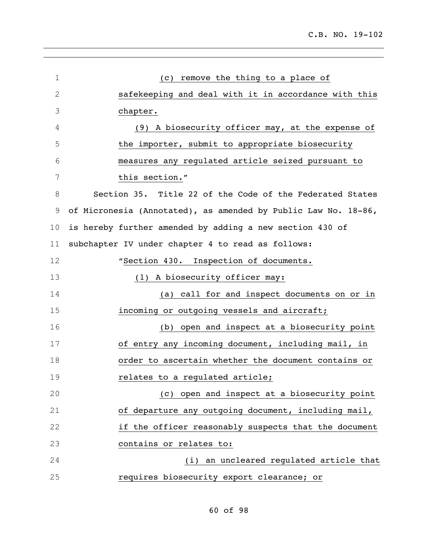| 1  | remove the thing to a place of<br>(C)                          |
|----|----------------------------------------------------------------|
| 2  | safekeeping and deal with it in accordance with this           |
| 3  | chapter.                                                       |
| 4  | (9) A biosecurity officer may, at the expense of               |
| 5  | the importer, submit to appropriate biosecurity                |
| 6  | measures any regulated article seized pursuant to              |
| 7  | this section."                                                 |
| 8  | Section 35. Title 22 of the Code of the Federated States       |
| 9  | of Micronesia (Annotated), as amended by Public Law No. 18-86, |
| 10 | is hereby further amended by adding a new section 430 of       |
| 11 | subchapter IV under chapter 4 to read as follows:              |
| 12 | "Section 430. Inspection of documents.                         |
| 13 | (1) A biosecurity officer may:                                 |
| 14 | (a) call for and inspect documents on or in                    |
| 15 | incoming or outgoing vessels and aircraft;                     |
| 16 | (b) open and inspect at a biosecurity point                    |
| 17 | of entry any incoming document, including mail, in             |
| 18 | order to ascertain whether the document contains or            |
| 19 | relates to a regulated article;                                |
| 20 | (c) open and inspect at a biosecurity point                    |
| 21 | of departure any outgoing document, including mail,            |
| 22 | if the officer reasonably suspects that the document           |
| 23 | contains or relates to:                                        |
| 24 | (i) an uncleared regulated article that                        |
| 25 | requires biosecurity export clearance; or                      |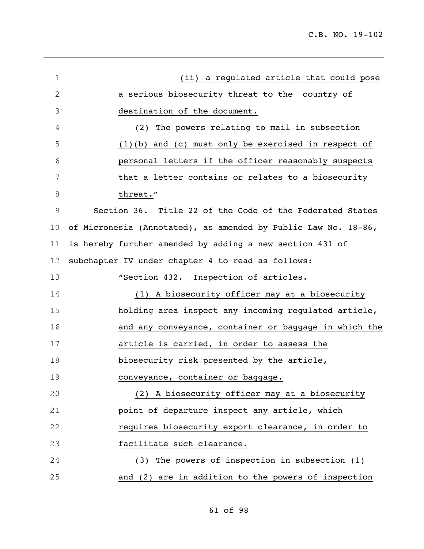| $\mathbf 1$  | (ii) a regulated article that could pose                       |
|--------------|----------------------------------------------------------------|
| $\mathbf{2}$ | a serious biosecurity threat to the country of                 |
| 3            | destination of the document.                                   |
| 4            | The powers relating to mail in subsection<br>(2)               |
| 5            | $(1)(b)$ and $(c)$ must only be exercised in respect of        |
| 6            | personal letters if the officer reasonably suspects            |
| 7            | that a letter contains or relates to a biosecurity             |
| 8            | threat."                                                       |
| $\mathsf 9$  | Section 36. Title 22 of the Code of the Federated States       |
| 10           | of Micronesia (Annotated), as amended by Public Law No. 18-86, |
| 11           | is hereby further amended by adding a new section 431 of       |
| 12           | subchapter IV under chapter 4 to read as follows:              |
| 13           | "Section 432. Inspection of articles.                          |
| 14           | (1) A biosecurity officer may at a biosecurity                 |
| 15           | holding area inspect any incoming regulated article,           |
| 16           | and any conveyance, container or baggage in which the          |
| 17           | article is carried, in order to assess the                     |
| 18           | biosecurity risk presented by the article,                     |
| 19           | conveyance, container or baggage.                              |
| 20           | (2) A biosecurity officer may at a biosecurity                 |
| 21           | point of departure inspect any article, which                  |
| 22           | requires biosecurity export clearance, in order to             |
| 23           | facilitate such clearance.                                     |
| 24           | (3) The powers of inspection in subsection (1)                 |
| 25           | and (2) are in addition to the powers of inspection            |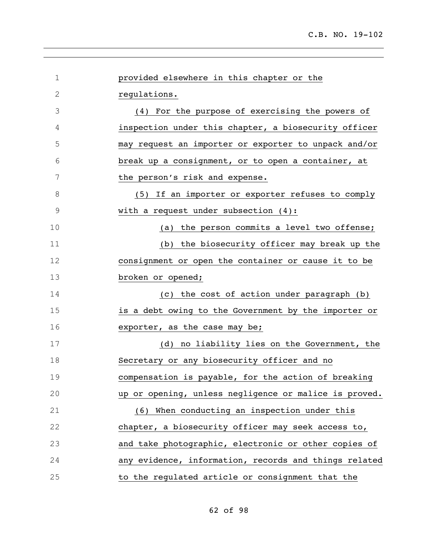| $\mathbf 1$ | provided elsewhere in this chapter or the             |
|-------------|-------------------------------------------------------|
| 2           | regulations.                                          |
| 3           | (4) For the purpose of exercising the powers of       |
| 4           | inspection under this chapter, a biosecurity officer  |
| 5           | may request an importer or exporter to unpack and/or  |
| 6           | break up a consignment, or to open a container, at    |
| 7           | the person's risk and expense.                        |
| 8           | (5) If an importer or exporter refuses to comply      |
| 9           | with a request under subsection $(4)$ :               |
| 10          | (a) the person commits a level two offense;           |
| 11          | (b) the biosecurity officer may break up the          |
| 12          | consignment or open the container or cause it to be   |
| 13          | broken or opened;                                     |
| 14          | (c) the cost of action under paragraph (b)            |
| 15          | is a debt owing to the Government by the importer or  |
| 16          | exporter, as the case may be;                         |
| 17          | (d) no liability lies on the Government, the          |
| 18          | Secretary or any biosecurity officer and no           |
| 19          | compensation is payable, for the action of breaking   |
| 20          | up or opening, unless negligence or malice is proved. |
| 21          | (6) When conducting an inspection under this          |
| 22          | chapter, a biosecurity officer may seek access to,    |
| 23          | and take photographic, electronic or other copies of  |
| 24          | any evidence, information, records and things related |
| 25          | to the regulated article or consignment that the      |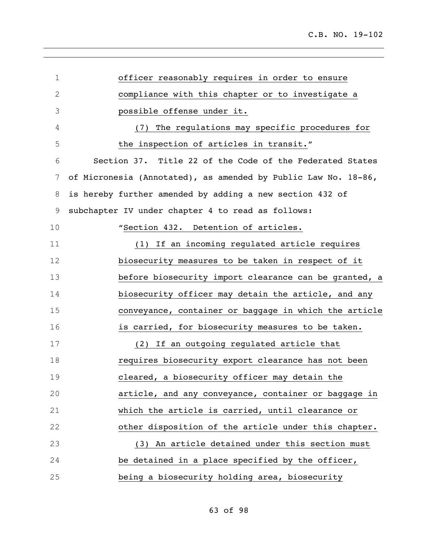| 1               | officer reasonably requires in order to ensure                 |
|-----------------|----------------------------------------------------------------|
| $\mathbf 2$     | compliance with this chapter or to investigate a               |
| 3               | possible offense under it.                                     |
| 4               | The regulations may specific procedures for<br>(7)             |
| 5               | the inspection of articles in transit."                        |
| 6               | Section 37. Title 22 of the Code of the Federated States       |
| $7\phantom{.0}$ | of Micronesia (Annotated), as amended by Public Law No. 18-86, |
| 8               | is hereby further amended by adding a new section 432 of       |
| 9               | subchapter IV under chapter 4 to read as follows:              |
| 10              | "Section 432. Detention of articles.                           |
| 11              | (1) If an incoming regulated article requires                  |
| 12              | biosecurity measures to be taken in respect of it              |
| 13              | before biosecurity import clearance can be granted, a          |
| 14              | biosecurity officer may detain the article, and any            |
| 15              | conveyance, container or baggage in which the article          |
| 16              | is carried, for biosecurity measures to be taken.              |
| 17              | (2) If an outgoing regulated article that                      |
| 18              | requires biosecurity export clearance has not been             |
| 19              | cleared, a biosecurity officer may detain the                  |
| 20              | article, and any conveyance, container or baggage in           |
| 21              | which the article is carried, until clearance or               |
| 22              | other disposition of the article under this chapter.           |
| 23              | (3) An article detained under this section must                |
| 24              | be detained in a place specified by the officer,               |
| 25              | being a biosecurity holding area, biosecurity                  |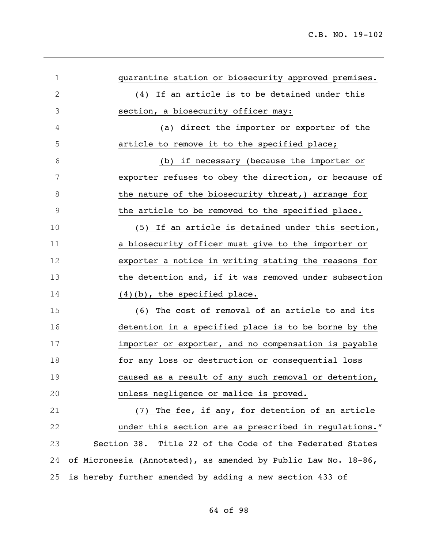| $\mathbf 1$   | quarantine station or biosecurity approved premises.           |
|---------------|----------------------------------------------------------------|
| $\mathbf{2}$  | If an article is to be detained under this<br>(4)              |
| 3             | section, a biosecurity officer may:                            |
| 4             | (a) direct the importer or exporter of the                     |
| 5             | article to remove it to the specified place;                   |
| 6             | (b) if necessary (because the importer or                      |
| 7             | exporter refuses to obey the direction, or because of          |
| 8             | the nature of the biosecurity threat, arrange for              |
| $\mathcal{G}$ | the article to be removed to the specified place.              |
| 10            | If an article is detained under this section,<br>(5)           |
| 11            | a biosecurity officer must give to the importer or             |
| 12            | exporter a notice in writing stating the reasons for           |
| 13            | the detention and, if it was removed under subsection          |
| 14            | $(4)(b)$ , the specified place.                                |
| 15            | The cost of removal of an article to and its<br>(6)            |
| 16            | detention in a specified place is to be borne by the           |
| 17            | importer or exporter, and no compensation is payable           |
| 18            | for any loss or destruction or consequential loss              |
| 19            | caused as a result of any such removal or detention,           |
| 20            | unless negligence or malice is proved.                         |
| 21            | The fee, if any, for detention of an article<br>(7)            |
| 22            | under this section are as prescribed in regulations."          |
| 23            | Section 38. Title 22 of the Code of the Federated States       |
| 24            | of Micronesia (Annotated), as amended by Public Law No. 18-86, |
| 25            | is hereby further amended by adding a new section 433 of       |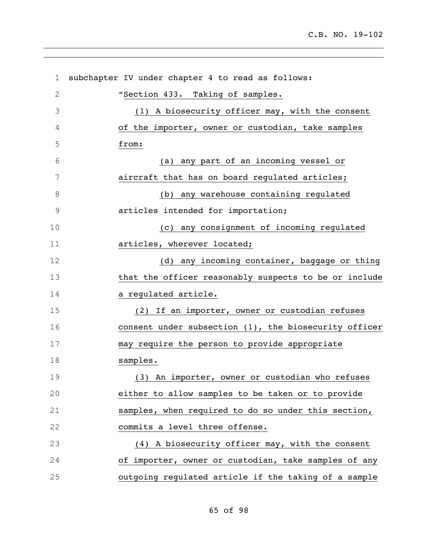| $\mathbf 1$  | subchapter IV under chapter 4 to read as follows:     |
|--------------|-------------------------------------------------------|
| $\mathbf{2}$ | "Section 433. Taking of samples.                      |
| 3            | (1) A biosecurity officer may, with the consent       |
| 4            | of the importer, owner or custodian, take samples     |
| 5            | from:                                                 |
| 6            | (a) any part of an incoming vessel or                 |
| 7            | aircraft that has on board regulated articles;        |
| $\,8\,$      | (b) any warehouse containing regulated                |
| $\mathsf 9$  | articles intended for importation;                    |
| 10           | (c) any consignment of incoming regulated             |
| 11           | articles, wherever located;                           |
| 12           | (d) any incoming container, baggage or thing          |
| 13           | that the officer reasonably suspects to be or include |
| 14           | a regulated article.                                  |
| 15           | (2) If an importer, owner or custodian refuses        |
| 16           | consent under subsection (1), the biosecurity officer |
| 17           | may require the person to provide appropriate         |
| 18           | samples.                                              |
| 19           | (3) An importer, owner or custodian who refuses       |
| 20           | either to allow samples to be taken or to provide     |
| 21           | samples, when required to do so under this section,   |
| 22           | commits a level three offense.                        |
| 23           | (4) A biosecurity officer may, with the consent       |
| 24           | of importer, owner or custodian, take samples of any  |
| 25           | outgoing regulated article if the taking of a sample  |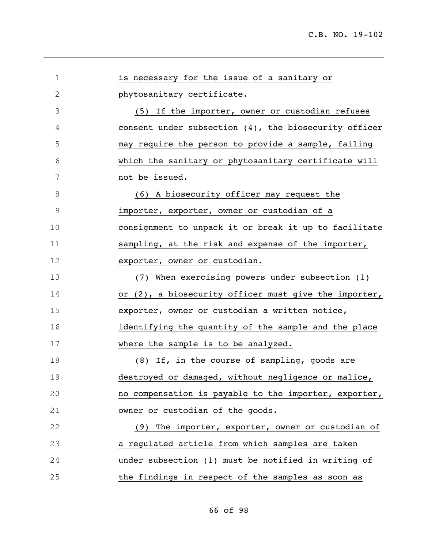| $\mathbf 1$ | is necessary for the issue of a sanitary or           |
|-------------|-------------------------------------------------------|
| $\mathbf 2$ | phytosanitary certificate.                            |
| 3           | (5) If the importer, owner or custodian refuses       |
| 4           | consent under subsection (4), the biosecurity officer |
| 5           | may require the person to provide a sample, failing   |
| 6           | which the sanitary or phytosanitary certificate will  |
| 7           | not be issued.                                        |
| $\,8\,$     | (6) A biosecurity officer may request the             |
| $\mathsf 9$ | importer, exporter, owner or custodian of a           |
| 10          | consignment to unpack it or break it up to facilitate |
| 11          | sampling, at the risk and expense of the importer,    |
| 12          | exporter, owner or custodian.                         |
| 13          | (7) When exercising powers under subsection (1)       |
| 14          | or (2), a biosecurity officer must give the importer, |
| 15          | exporter, owner or custodian a written notice,        |
| 16          | identifying the quantity of the sample and the place  |
| 17          | where the sample is to be analyzed.                   |
| 18          | (8) If, in the course of sampling, goods are          |
| 19          | destroyed or damaged, without negligence or malice,   |
| 20          | no compensation is payable to the importer, exporter, |
| 21          | owner or custodian of the goods.                      |
| 22          | (9) The importer, exporter, owner or custodian of     |
| 23          | a regulated article from which samples are taken      |
| 24          | under subsection (1) must be notified in writing of   |
| 25          | the findings in respect of the samples as soon as     |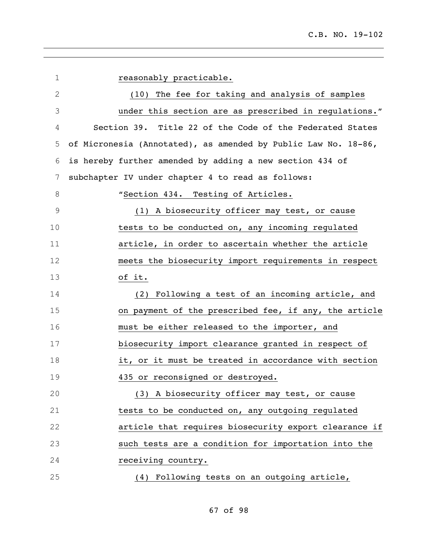| $\mathbf 1$   | reasonably practicable.                                        |
|---------------|----------------------------------------------------------------|
| $\mathbf{2}$  | (10) The fee for taking and analysis of samples                |
| 3             | under this section are as prescribed in regulations."          |
| 4             | Section 39. Title 22 of the Code of the Federated States       |
| 5             | of Micronesia (Annotated), as amended by Public Law No. 18-86, |
| 6             | is hereby further amended by adding a new section 434 of       |
| 7             | subchapter IV under chapter 4 to read as follows:              |
| 8             | "Section 434. Testing of Articles.                             |
| $\mathcal{G}$ | (1) A biosecurity officer may test, or cause                   |
| 10            | tests to be conducted on, any incoming regulated               |
| 11            | article, in order to ascertain whether the article             |
| 12            | meets the biosecurity import requirements in respect           |
| 13            | of it.                                                         |
| 14            | (2) Following a test of an incoming article, and               |
| 15            | on payment of the prescribed fee, if any, the article          |
| 16            | must be either released to the importer, and                   |
| 17            | biosecurity import clearance granted in respect of             |
| 18            | it, or it must be treated in accordance with section           |
| 19            | 435 or reconsigned or destroyed.                               |
| 20            | (3) A biosecurity officer may test, or cause                   |
| 21            | tests to be conducted on, any outgoing regulated               |
| 22            | article that requires biosecurity export clearance if          |
| 23            | such tests are a condition for importation into the            |
| 24            | receiving country.                                             |
| 25            | (4) Following tests on an outgoing article,                    |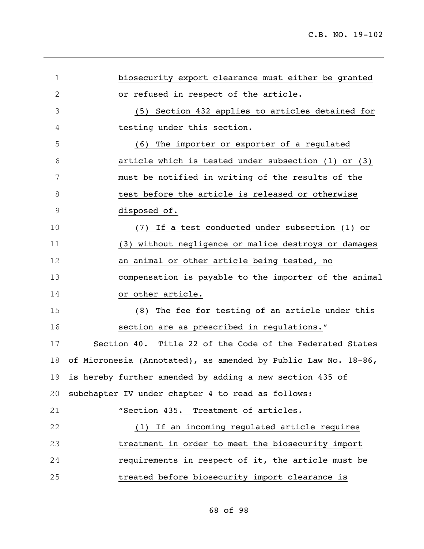| $\mathbf 1$ | biosecurity export clearance must either be granted            |
|-------------|----------------------------------------------------------------|
| $\mathbf 2$ | or refused in respect of the article.                          |
| 3           | (5) Section 432 applies to articles detained for               |
| 4           | testing under this section.                                    |
| 5           | (6) The importer or exporter of a regulated                    |
| 6           | article which is tested under subsection (1) or (3)            |
| 7           | must be notified in writing of the results of the              |
| 8           | test before the article is released or otherwise               |
| 9           | disposed of.                                                   |
| 10          | If a test conducted under subsection (1) or<br>(7)             |
| 11          | (3) without negligence or malice destroys or damages           |
| 12          | an animal or other article being tested, no                    |
| 13          | compensation is payable to the importer of the animal          |
| 14          | or other article.                                              |
| 15          | (8) The fee for testing of an article under this               |
| 16          | section are as prescribed in regulations."                     |
| 17          | Section 40. Title 22 of the Code of the Federated States       |
| 18          | of Micronesia (Annotated), as amended by Public Law No. 18-86, |
| 19          | is hereby further amended by adding a new section 435 of       |
| 20          | subchapter IV under chapter 4 to read as follows:              |
| 21          | "Section 435. Treatment of articles.                           |
| 22          | (1) If an incoming regulated article requires                  |
| 23          | treatment in order to meet the biosecurity import              |
| 24          | requirements in respect of it, the article must be             |
| 25          | treated before biosecurity import clearance is                 |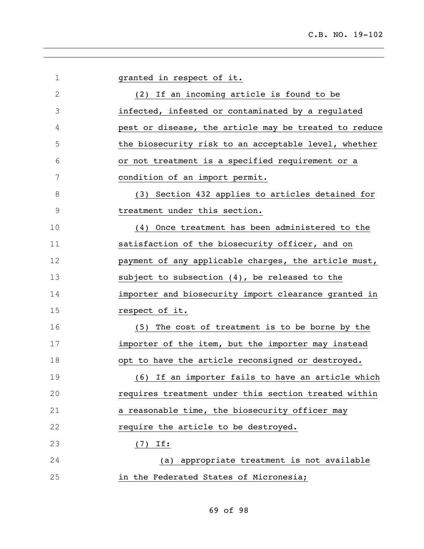| $\mathbf 1$   | granted in respect of it.                             |
|---------------|-------------------------------------------------------|
| $\mathbf{2}$  | (2) If an incoming article is found to be             |
| 3             | infected, infested or contaminated by a regulated     |
| 4             | pest or disease, the article may be treated to reduce |
| 5             | the biosecurity risk to an acceptable level, whether  |
| 6             | or not treatment is a specified requirement or a      |
| 7             | condition of an import permit.                        |
| 8             | (3) Section 432 applies to articles detained for      |
| $\mathcal{G}$ | treatment under this section.                         |
| 10            | Once treatment has been administered to the<br>(4)    |
| 11            | satisfaction of the biosecurity officer, and on       |
| 12            | payment of any applicable charges, the article must,  |
| 13            | subject to subsection $(4)$ , be released to the      |
| 14            | importer and biosecurity import clearance granted in  |
| 15            | respect of it.                                        |
| 16            | (5) The cost of treatment is to be borne by the       |
| 17            | importer of the item, but the importer may instead    |
| 18            | opt to have the article reconsigned or destroyed.     |
| 19            | (6) If an importer fails to have an article which     |
| 20            | requires treatment under this section treated within  |
| 21            | a reasonable time, the biosecurity officer may        |
| 22            | require the article to be destroyed.                  |
| 23            | $(7)$ If:                                             |
| 24            | (a) appropriate treatment is not available            |
| 25            | in the Federated States of Micronesia;                |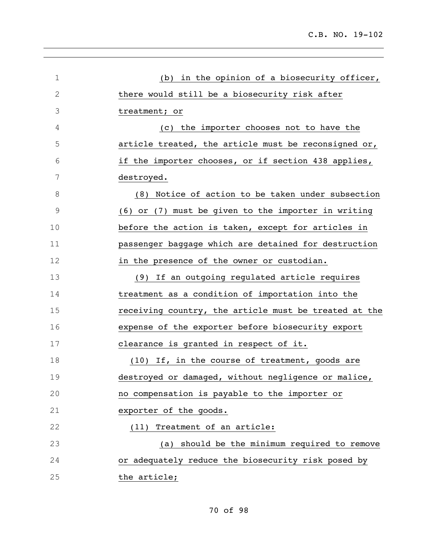| 1             | (b) in the opinion of a biosecurity officer,          |
|---------------|-------------------------------------------------------|
| $\mathbf{2}$  | there would still be a biosecurity risk after         |
| 3             | treatment; or                                         |
| 4             | (c) the importer chooses not to have the              |
| 5             | article treated, the article must be reconsigned or,  |
| 6             | if the importer chooses, or if section 438 applies,   |
| 7             | destroyed.                                            |
| 8             | (8) Notice of action to be taken under subsection     |
| $\mathcal{G}$ | (6) or (7) must be given to the importer in writing   |
| 10            | before the action is taken, except for articles in    |
| 11            | passenger baggage which are detained for destruction  |
| 12            | in the presence of the owner or custodian.            |
| 13            | (9) If an outgoing regulated article requires         |
| 14            | treatment as a condition of importation into the      |
| 15            | receiving country, the article must be treated at the |
| 16            | expense of the exporter before biosecurity export     |
| 17            | clearance is granted in respect of it.                |
| 18            | (10) If, in the course of treatment, goods are        |
| 19            | destroyed or damaged, without negligence or malice,   |
| 20            | no compensation is payable to the importer or         |
| 21            | exporter of the goods.                                |
| 22            | Treatment of an article:<br>(11)                      |
| 23            | (a) should be the minimum required to remove          |
| 24            | or adequately reduce the biosecurity risk posed by    |
| 25            | the article;                                          |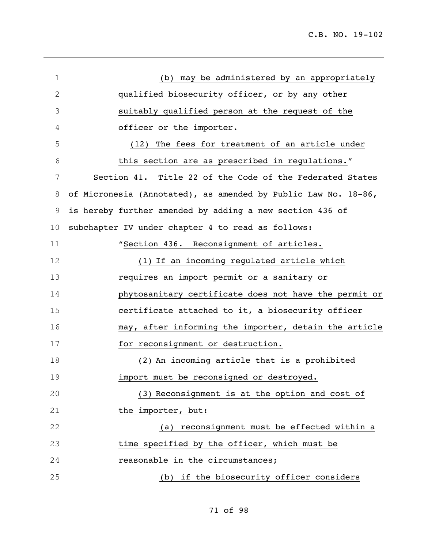| $\mathbf 1$  | (b) may be administered by an appropriately                    |
|--------------|----------------------------------------------------------------|
| $\mathbf{2}$ | qualified biosecurity officer, or by any other                 |
| 3            | suitably qualified person at the request of the                |
| 4            | officer or the importer.                                       |
| 5            | (12) The fees for treatment of an article under                |
| 6            | this section are as prescribed in regulations."                |
| 7            | Section 41. Title 22 of the Code of the Federated States       |
| 8            | of Micronesia (Annotated), as amended by Public Law No. 18-86, |
| $\mathsf 9$  | is hereby further amended by adding a new section 436 of       |
| 10           | subchapter IV under chapter 4 to read as follows:              |
| 11           | "Section 436. Reconsignment of articles.                       |
| 12           | (1) If an incoming regulated article which                     |
| 13           | requires an import permit or a sanitary or                     |
| 14           | phytosanitary certificate does not have the permit or          |
| 15           | certificate attached to it, a biosecurity officer              |
| 16           | may, after informing the importer, detain the article          |
| 17           | for reconsignment or destruction.                              |
| 18           | (2) An incoming article that is a prohibited                   |
| 19           | import must be reconsigned or destroyed.                       |
| 20           | (3) Reconsignment is at the option and cost of                 |
| 21           | the importer, but:                                             |
| 22           | (a) reconsignment must be effected within a                    |
| 23           | time specified by the officer, which must be                   |
| 24           | reasonable in the circumstances;                               |
| 25           | (b) if the biosecurity officer considers                       |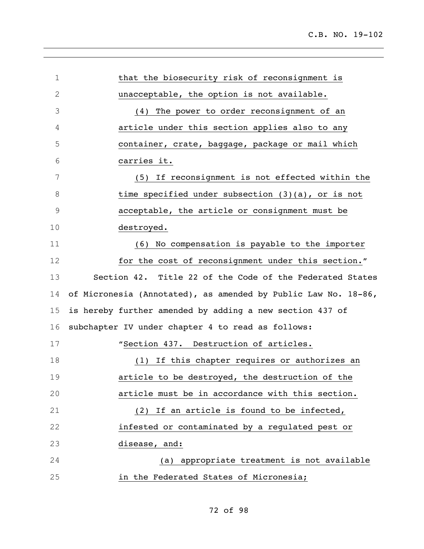| 1           | that the biosecurity risk of reconsignment is                  |
|-------------|----------------------------------------------------------------|
| 2           | unacceptable, the option is not available.                     |
| 3           | (4) The power to order reconsignment of an                     |
| 4           | article under this section applies also to any                 |
| 5           | container, crate, baggage, package or mail which               |
| 6           | carries it.                                                    |
| 7           | (5) If reconsignment is not effected within the                |
| 8           | time specified under subsection $(3)(a)$ , or is not           |
| $\mathsf 9$ | acceptable, the article or consignment must be                 |
| 10          | destroyed.                                                     |
| 11          | (6) No compensation is payable to the importer                 |
| 12          | for the cost of reconsignment under this section."             |
| 13          | Section 42. Title 22 of the Code of the Federated States       |
| 14          | of Micronesia (Annotated), as amended by Public Law No. 18-86, |
| 15          | is hereby further amended by adding a new section 437 of       |
| 16          | subchapter IV under chapter 4 to read as follows:              |
| 17          | "Section 437. Destruction of articles.                         |
| 18          | If this chapter requires or authorizes an<br>(1)               |
| 19          | article to be destroyed, the destruction of the                |
| 20          | article must be in accordance with this section.               |
| 21          | (2) If an article is found to be infected,                     |
| 22          | infested or contaminated by a regulated pest or                |
| 23          | disease, and:                                                  |
| 24          | (a) appropriate treatment is not available                     |
| 25          | in the Federated States of Micronesia;                         |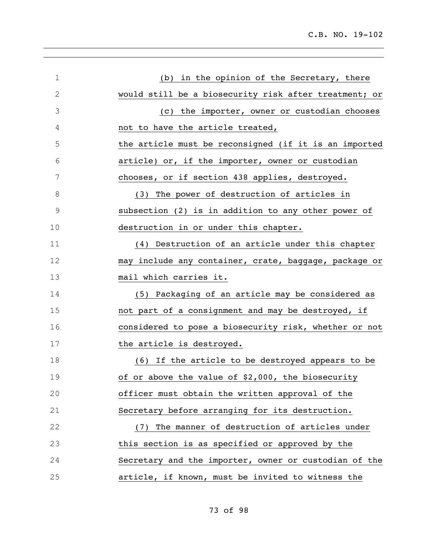| $\mathbf 1$   | in the opinion of the Secretary, there<br>(b)         |
|---------------|-------------------------------------------------------|
| $\mathbf{2}$  | would still be a biosecurity risk after treatment; or |
| 3             | the importer, owner or custodian chooses<br>(C)       |
| 4             | not to have the article treated,                      |
| 5             | the article must be reconsigned (if it is an imported |
| 6             | article) or, if the importer, owner or custodian      |
| 7             | chooses, or if section 438 applies, destroyed.        |
| 8             | (3) The power of destruction of articles in           |
| $\mathcal{G}$ | subsection (2) is in addition to any other power of   |
| 10            | destruction in or under this chapter.                 |
| 11            | (4) Destruction of an article under this chapter      |
| 12            | may include any container, crate, baggage, package or |
| 13            | mail which carries it.                                |
| 14            | (5) Packaging of an article may be considered as      |
| 15            | not part of a consignment and may be destroyed, if    |
| 16            | considered to pose a biosecurity risk, whether or not |
| 17            | the article is destroyed.                             |
| 18            | (6) If the article to be destroyed appears to be      |
| 19            | of or above the value of \$2,000, the biosecurity     |
| 20            | officer must obtain the written approval of the       |
| 21            | Secretary before arranging for its destruction.       |
| 22            | (7) The manner of destruction of articles under       |
| 23            | this section is as specified or approved by the       |
| 24            | Secretary and the importer, owner or custodian of the |
| 25            | article, if known, must be invited to witness the     |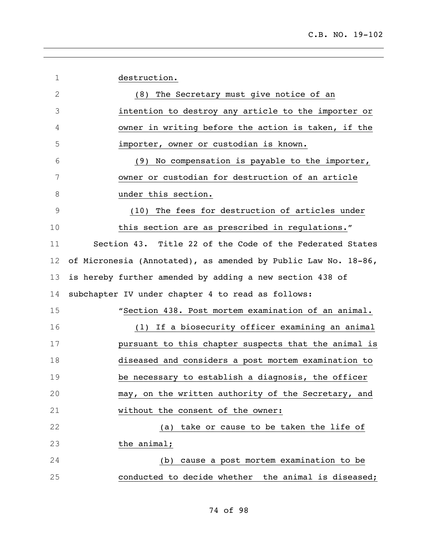| $\mathbf 1$  | destruction.                                                   |
|--------------|----------------------------------------------------------------|
| $\mathbf{2}$ | (8) The Secretary must give notice of an                       |
| 3            | intention to destroy any article to the importer or            |
| 4            | owner in writing before the action is taken, if the            |
| 5            | importer, owner or custodian is known.                         |
| 6            | (9) No compensation is payable to the importer,                |
| 7            | owner or custodian for destruction of an article               |
| 8            | under this section.                                            |
| 9            | (10) The fees for destruction of articles under                |
| 10           | this section are as prescribed in regulations."                |
| 11           | Section 43. Title 22 of the Code of the Federated States       |
| 12           | of Micronesia (Annotated), as amended by Public Law No. 18-86, |
| 13           | is hereby further amended by adding a new section 438 of       |
| 14           | subchapter IV under chapter 4 to read as follows:              |
| 15           | "Section 438. Post mortem examination of an animal.            |
| 16           | (1) If a biosecurity officer examining an animal               |
| 17           | pursuant to this chapter suspects that the animal is           |
| 18           | diseased and considers a post mortem examination to            |
| 19           | be necessary to establish a diagnosis, the officer             |
| 20           | may, on the written authority of the Secretary, and            |
| 21           | without the consent of the owner:                              |
| 22           | take or cause to be taken the life of<br>(a)                   |
| 23           | the animal;                                                    |
| 24           | cause a post mortem examination to be<br>(b)                   |
| 25           | conducted to decide whether the animal is diseased;            |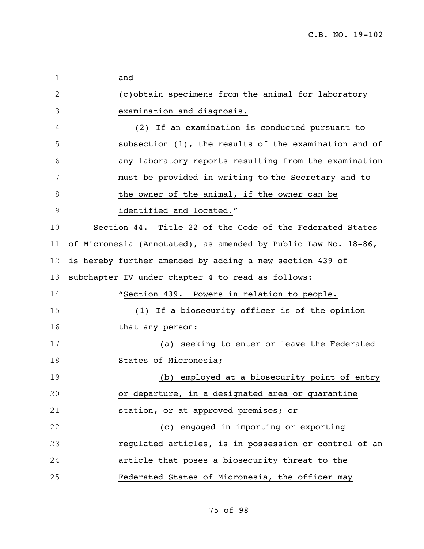| 1            | and                                                            |
|--------------|----------------------------------------------------------------|
| $\mathbf{2}$ | (c) obtain specimens from the animal for laboratory            |
| 3            | examination and diagnosis.                                     |
| 4            | If an examination is conducted pursuant to<br>(2)              |
| 5            | subsection (1), the results of the examination and of          |
| 6            | any laboratory reports resulting from the examination          |
| 7            | must be provided in writing to the Secretary and to            |
| 8            | the owner of the animal, if the owner can be                   |
| 9            | identified and located."                                       |
| 10           | Section 44. Title 22 of the Code of the Federated States       |
| 11           | of Micronesia (Annotated), as amended by Public Law No. 18-86, |
| 12           | is hereby further amended by adding a new section 439 of       |
| 13           | subchapter IV under chapter 4 to read as follows:              |
| 14           | "Section 439. Powers in relation to people.                    |
| 15           | If a biosecurity officer is of the opinion<br>(1)              |
| 16           | that any person:                                               |
| 17           | seeking to enter or leave the Federated<br>(a)                 |
| 18           | States of Micronesia;                                          |
| 19           | (b) employed at a biosecurity point of entry                   |
| 20           | or departure, in a designated area or quarantine               |
| 21           | station, or at approved premises; or                           |
| 22           | (c) engaged in importing or exporting                          |
| 23           | regulated articles, is in possession or control of an          |
| 24           | article that poses a biosecurity threat to the                 |
| 25           | Federated States of Micronesia, the officer may                |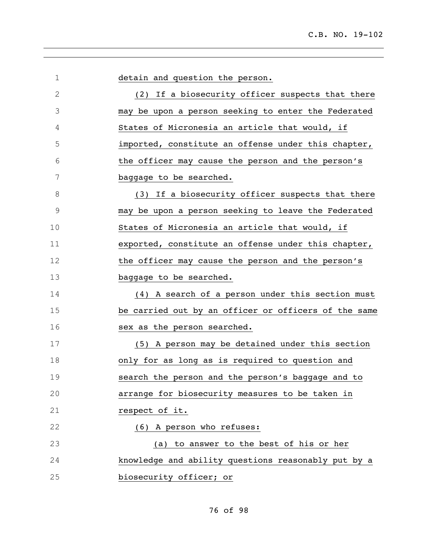| $\mathbf 1$  | detain and question the person.                      |
|--------------|------------------------------------------------------|
| $\mathbf{2}$ | (2) If a biosecurity officer suspects that there     |
| 3            | may be upon a person seeking to enter the Federated  |
| 4            | States of Micronesia an article that would, if       |
| 5            | imported, constitute an offense under this chapter,  |
| 6            | the officer may cause the person and the person's    |
| 7            | baggage to be searched.                              |
| 8            | (3) If a biosecurity officer suspects that there     |
| 9            | may be upon a person seeking to leave the Federated  |
| 10           | States of Micronesia an article that would, if       |
| 11           | exported, constitute an offense under this chapter,  |
| 12           | the officer may cause the person and the person's    |
| 13           | baggage to be searched.                              |
| 14           | (4) A search of a person under this section must     |
| 15           | be carried out by an officer or officers of the same |
| 16           | sex as the person searched.                          |
| 17           | (5) A person may be detained under this section      |
| 18           | only for as long as is required to question and      |
| 19           | search the person and the person's baggage and to    |
| 20           | arrange for biosecurity measures to be taken in      |
| 21           | respect of it.                                       |
| 22           | (6) A person who refuses:                            |
| 23           | (a) to answer to the best of his or her              |
| 24           | knowledge and ability questions reasonably put by a  |
| 25           | biosecurity officer; or                              |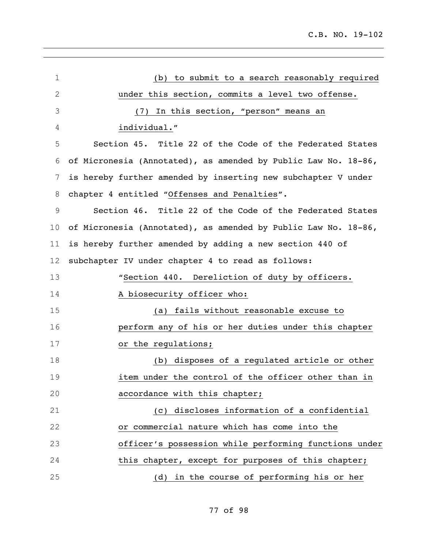| 1  | (b) to submit to a search reasonably required                  |
|----|----------------------------------------------------------------|
| 2  | under this section, commits a level two offense.               |
| 3  | In this section, "person" means an<br>(7)                      |
| 4  | individual."                                                   |
| 5  | Section 45. Title 22 of the Code of the Federated States       |
| 6  | of Micronesia (Annotated), as amended by Public Law No. 18-86, |
| 7  | is hereby further amended by inserting new subchapter V under  |
| 8  | chapter 4 entitled "Offenses and Penalties".                   |
| 9  | Section 46. Title 22 of the Code of the Federated States       |
| 10 | of Micronesia (Annotated), as amended by Public Law No. 18-86, |
| 11 | is hereby further amended by adding a new section 440 of       |
| 12 | subchapter IV under chapter 4 to read as follows:              |
| 13 | "Section 440. Dereliction of duty by officers.                 |
| 14 | A biosecurity officer who:                                     |
| 15 | (a) fails without reasonable excuse to                         |
| 16 | perform any of his or her duties under this chapter            |
| 17 | or the regulations;                                            |
| 18 | (b) disposes of a regulated article or other                   |
| 19 | item under the control of the officer other than in            |
| 20 | accordance with this chapter;                                  |
| 21 | (c) discloses information of a confidential                    |
| 22 | or commercial nature which has come into the                   |
| 23 | officer's possession while performing functions under          |
| 24 | this chapter, except for purposes of this chapter;             |
| 25 | (d) in the course of performing his or her                     |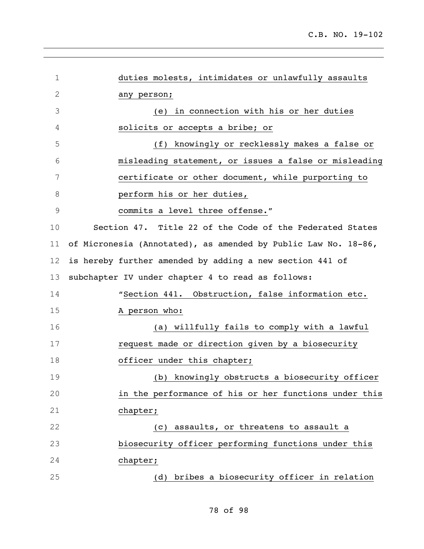| $\mathbf 1$    | duties molests, intimidates or unlawfully assaults             |
|----------------|----------------------------------------------------------------|
| $\sqrt{2}$     | any person;                                                    |
| 3              | (e) in connection with his or her duties                       |
| 4              | solicits or accepts a bribe; or                                |
| 5              | (f) knowingly or recklessly makes a false or                   |
| 6              | misleading statement, or issues a false or misleading          |
| 7              | certificate or other document, while purporting to             |
| 8              | perform his or her duties,                                     |
| $\overline{9}$ | commits a level three offense."                                |
| 10             | Section 47. Title 22 of the Code of the Federated States       |
| 11             | of Micronesia (Annotated), as amended by Public Law No. 18-86, |
| 12             | is hereby further amended by adding a new section 441 of       |
| 13             | subchapter IV under chapter 4 to read as follows:              |
| 14             | "Section 441. Obstruction, false information etc.              |
| 15             | A person who:                                                  |
| 16             | (a) willfully fails to comply with a lawful                    |
| 17             | request made or direction given by a biosecurity               |
| 18             | officer under this chapter;                                    |
| 19             | (b) knowingly obstructs a biosecurity officer                  |
| 20             | in the performance of his or her functions under this          |
| 21             | chapter;                                                       |
| 22             | (c) assaults, or threatens to assault a                        |
| 23             | biosecurity officer performing functions under this            |
| 24             | chapter;                                                       |
| 25             | (d) bribes a biosecurity officer in relation                   |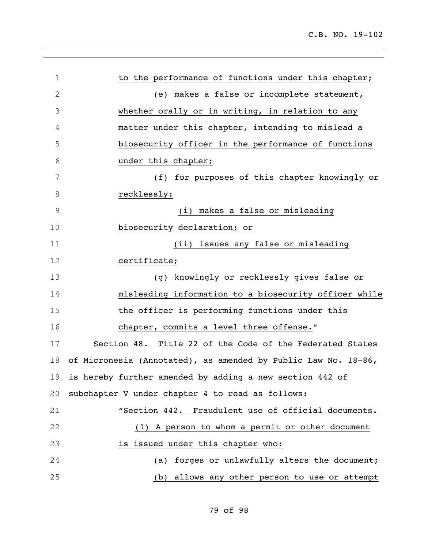| $\mathbf 1$    | to the performance of functions under this chapter;            |
|----------------|----------------------------------------------------------------|
| $\overline{2}$ | (e) makes a false or incomplete statement,                     |
| 3              | whether orally or in writing, in relation to any               |
| 4              | matter under this chapter, intending to mislead a              |
| 5              | biosecurity officer in the performance of functions            |
| 6              | under this chapter;                                            |
| 7              | (f) for purposes of this chapter knowingly or                  |
| 8              | recklessly:                                                    |
| $\mathcal{G}$  | (i) makes a false or misleading                                |
| 10             | biosecurity declaration; or                                    |
| 11             | (ii) issues any false or misleading                            |
| 12             | certificate;                                                   |
| 13             | (g) knowingly or recklessly gives false or                     |
| 14             | misleading information to a biosecurity officer while          |
| 15             | the officer is performing functions under this                 |
| 16             | chapter, commits a level three offense."                       |
| 17             | Section 48. Title 22 of the Code of the Federated States       |
| 18             | of Micronesia (Annotated), as amended by Public Law No. 18-86, |
|                | 19 is hereby further amended by adding a new section 442 of    |
| 20             | subchapter V under chapter 4 to read as follows:               |
| 21             | "Section 442. Fraudulent use of official documents.            |
| 22             | (1) A person to whom a permit or other document                |
| 23             | is issued under this chapter who:                              |
| 24             | (a) forges or unlawfully alters the document;                  |
| 25             | (b) allows any other person to use or attempt                  |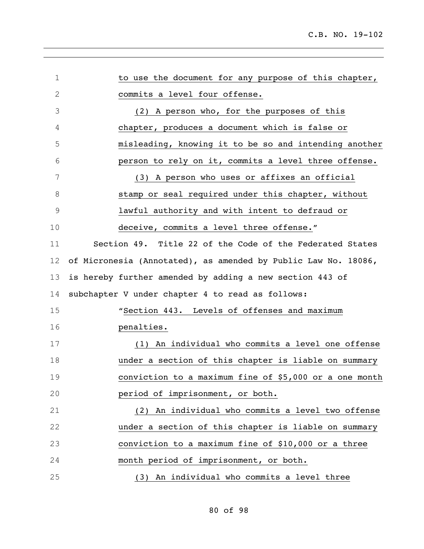| $\mathbf 1$ | to use the document for any purpose of this chapter,           |
|-------------|----------------------------------------------------------------|
| 2           | commits a level four offense.                                  |
| 3           | (2) A person who, for the purposes of this                     |
| 4           | chapter, produces a document which is false or                 |
| 5           | misleading, knowing it to be so and intending another          |
| 6           | person to rely on it, commits a level three offense.           |
| 7           | (3) A person who uses or affixes an official                   |
| 8           | stamp or seal required under this chapter, without             |
| 9           | lawful authority and with intent to defraud or                 |
| 10          | deceive, commits a level three offense."                       |
| 11          | Section 49. Title 22 of the Code of the Federated States       |
| 12          | of Micronesia (Annotated), as amended by Public Law No. 18086, |
| 13          | is hereby further amended by adding a new section 443 of       |
| 14          | subchapter V under chapter 4 to read as follows:               |
| 15          | "Section 443. Levels of offenses and maximum                   |
| 16          | penalties.                                                     |
| 17          | (1) An individual who commits a level one offense              |
| 18          | under a section of this chapter is liable on summary           |
| 19          | conviction to a maximum fine of \$5,000 or a one month         |
| 20          | period of imprisonment, or both.                               |
| 21          | (2) An individual who commits a level two offense              |
| 22          | under a section of this chapter is liable on summary           |
| 23          | conviction to a maximum fine of \$10,000 or a three            |
| 24          | month period of imprisonment, or both.                         |
| 25          | (3) An individual who commits a level three                    |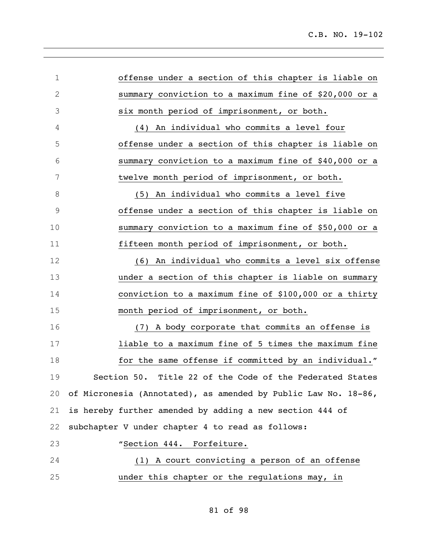| $\mathbf 1$  | offense under a section of this chapter is liable on           |
|--------------|----------------------------------------------------------------|
| $\mathbf{2}$ | summary conviction to a maximum fine of \$20,000 or a          |
| 3            | six month period of imprisonment, or both.                     |
| 4            | (4) An individual who commits a level four                     |
| 5            | offense under a section of this chapter is liable on           |
| 6            | summary conviction to a maximum fine of \$40,000 or a          |
| 7            | twelve month period of imprisonment, or both.                  |
| 8            | (5) An individual who commits a level five                     |
| 9            | offense under a section of this chapter is liable on           |
| 10           | summary conviction to a maximum fine of \$50,000 or a          |
| 11           | fifteen month period of imprisonment, or both.                 |
| 12           | (6) An individual who commits a level six offense              |
| 13           | under a section of this chapter is liable on summary           |
| 14           | conviction to a maximum fine of \$100,000 or a thirty          |
| 15           | month period of imprisonment, or both.                         |
| 16           | (7) A body corporate that commits an offense is                |
| 17           | liable to a maximum fine of 5 times the maximum fine           |
| 18           | for the same offense if committed by an individual."           |
| 19           | Section 50. Title 22 of the Code of the Federated States       |
| 20           | of Micronesia (Annotated), as amended by Public Law No. 18-86, |
| 21           | is hereby further amended by adding a new section 444 of       |
| 22           | subchapter V under chapter 4 to read as follows:               |
| 23           | "Section 444. Forfeiture.                                      |
| 24           | (1) A court convicting a person of an offense                  |
| 25           | under this chapter or the regulations may, in                  |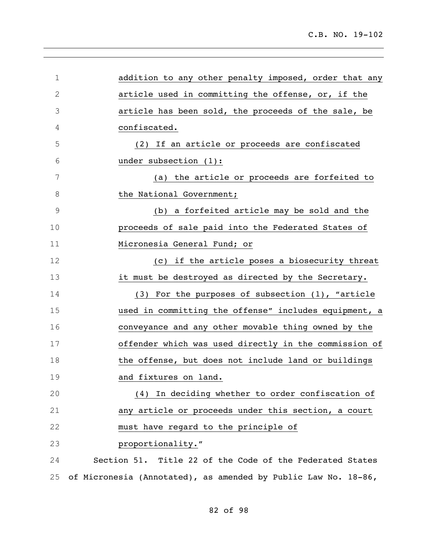| $\mathbf 1$   | addition to any other penalty imposed, order that any          |
|---------------|----------------------------------------------------------------|
| $\mathbf{2}$  | article used in committing the offense, or, if the             |
| 3             | article has been sold, the proceeds of the sale, be            |
| 4             | confiscated.                                                   |
| 5             | (2) If an article or proceeds are confiscated                  |
| 6             | under subsection (1):                                          |
| 7             | (a) the article or proceeds are forfeited to                   |
| 8             | the National Government;                                       |
| $\mathcal{G}$ | (b) a forfeited article may be sold and the                    |
| 10            | proceeds of sale paid into the Federated States of             |
| 11            | Micronesia General Fund; or                                    |
| 12            | (c) if the article poses a biosecurity threat                  |
| 13            | it must be destroyed as directed by the Secretary.             |
| 14            | (3) For the purposes of subsection (1), "article               |
| 15            | used in committing the offense" includes equipment, a          |
| 16            | conveyance and any other movable thing owned by the            |
| 17            | offender which was used directly in the commission of          |
| 18            | the offense, but does not include land or buildings            |
| 19            | and fixtures on land.                                          |
| 20            | (4) In deciding whether to order confiscation of               |
| 21            | any article or proceeds under this section, a court            |
| 22            | must have regard to the principle of                           |
| 23            | proportionality."                                              |
| 24            | Section 51. Title 22 of the Code of the Federated States       |
| 25            | of Micronesia (Annotated), as amended by Public Law No. 18-86, |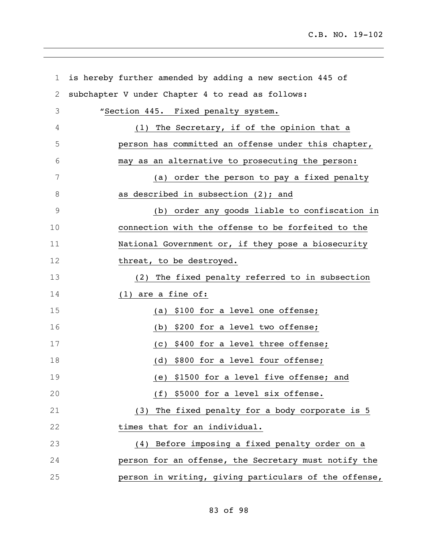| 1              | is hereby further amended by adding a new section 445 of |
|----------------|----------------------------------------------------------|
| $\overline{2}$ | subchapter V under Chapter 4 to read as follows:         |
| 3              | "Section 445. Fixed penalty system.                      |
| 4              | (1) The Secretary, if of the opinion that a              |
| 5              | person has committed an offense under this chapter,      |
| 6              | may as an alternative to prosecuting the person:         |
| 7              | (a) order the person to pay a fixed penalty              |
| 8              | as described in subsection (2); and                      |
| 9              | (b) order any goods liable to confiscation in            |
| 10             | connection with the offense to be forfeited to the       |
| 11             | National Government or, if they pose a biosecurity       |
| 12             | threat, to be destroyed.                                 |
| 13             | (2) The fixed penalty referred to in subsection          |
| 14             | $(1)$ are a fine of:                                     |
| 15             | (a) \$100 for a level one offense;                       |
| 16             | (b) \$200 for a level two offense;                       |
| 17             | (c) \$400 for a level three offense;                     |
| 18             | (d) \$800 for a level four offense;                      |
| 19             | (e) \$1500 for a level five offense; and                 |
| 20             | (f) \$5000 for a level six offense.                      |
| 21             | (3) The fixed penalty for a body corporate is 5          |
| 22             | times that for an individual.                            |
| 23             | (4) Before imposing a fixed penalty order on a           |
| 24             | person for an offense, the Secretary must notify the     |
| 25             | person in writing, giving particulars of the offense,    |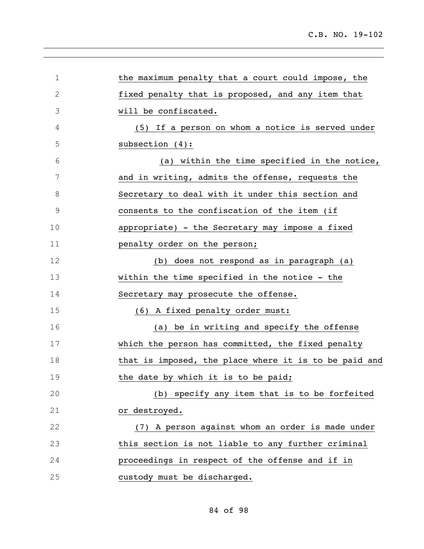| 1            | the maximum penalty that a court could impose, the    |
|--------------|-------------------------------------------------------|
| $\mathbf{2}$ | fixed penalty that is proposed, and any item that     |
| 3            | will be confiscated.                                  |
| 4            | (5) If a person on whom a notice is served under      |
| 5            | subsection $(4)$ :                                    |
| 6            | (a) within the time specified in the notice,          |
| 7            | and in writing, admits the offense, requests the      |
| 8            | Secretary to deal with it under this section and      |
| $\mathsf 9$  | consents to the confiscation of the item (if          |
| 10           | appropriate) - the Secretary may impose a fixed       |
| 11           | penalty order on the person;                          |
| 12           | (b) does not respond as in paragraph (a)              |
| 13           | within the time specified in the notice - the         |
| 14           | Secretary may prosecute the offense.                  |
| 15           | (6) A fixed penalty order must:                       |
| 16           | (a) be in writing and specify the offense             |
| 17           | which the person has committed, the fixed penalty     |
| 18           | that is imposed, the place where it is to be paid and |
| 19           | the date by which it is to be paid;                   |
| 20           | (b) specify any item that is to be forfeited          |
| 21           | or destroyed.                                         |
| 22           | (7) A person against whom an order is made under      |
| 23           | this section is not liable to any further criminal    |
| 24           | proceedings in respect of the offense and if in       |
| 25           | custody must be discharged.                           |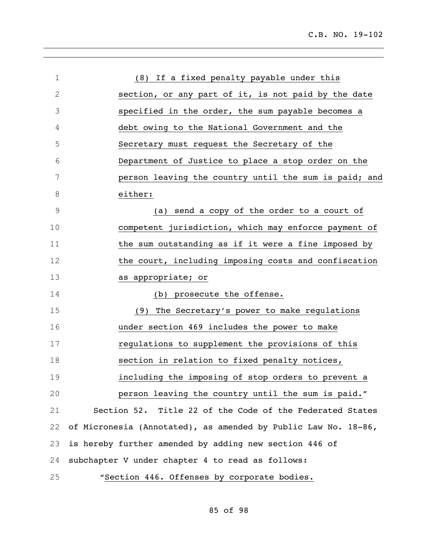| $\mathbf 1$    | (8) If a fixed penalty payable under this                      |
|----------------|----------------------------------------------------------------|
| 2              |                                                                |
|                | section, or any part of it, is not paid by the date            |
| 3              | specified in the order, the sum payable becomes a              |
| 4              | debt owing to the National Government and the                  |
| 5              | Secretary must request the Secretary of the                    |
| 6              | Department of Justice to place a stop order on the             |
| 7              | person leaving the country until the sum is paid; and          |
| 8              | either:                                                        |
| $\overline{9}$ | (a) send a copy of the order to a court of                     |
| 10             | competent jurisdiction, which may enforce payment of           |
| 11             | the sum outstanding as if it were a fine imposed by            |
| 12             | the court, including imposing costs and confiscation           |
| 13             | as appropriate; or                                             |
| 14             | (b) prosecute the offense.                                     |
| 15             | The Secretary's power to make regulations<br>(9)               |
| 16             | under section 469 includes the power to make                   |
| 17             | regulations to supplement the provisions of this               |
| 18             | section in relation to fixed penalty notices,                  |
| 19             | including the imposing of stop orders to prevent a             |
| 20             | person leaving the country until the sum is paid."             |
| 21             | Section 52. Title 22 of the Code of the Federated States       |
| 22             | of Micronesia (Annotated), as amended by Public Law No. 18-86, |
| 23             | is hereby further amended by adding new section 446 of         |
| 24             | subchapter V under chapter 4 to read as follows:               |
| 25             | "Section 446. Offenses by corporate bodies.                    |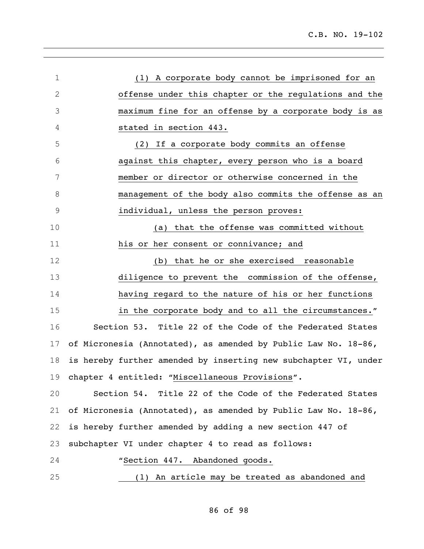| $\mathbf 1$ | (1) A corporate body cannot be imprisoned for an                |
|-------------|-----------------------------------------------------------------|
| 2           | offense under this chapter or the regulations and the           |
| 3           | maximum fine for an offense by a corporate body is as           |
| 4           | stated in section 443.                                          |
| 5           | If a corporate body commits an offense<br>(2)                   |
| 6           | against this chapter, every person who is a board               |
| 7           | member or director or otherwise concerned in the                |
| 8           | management of the body also commits the offense as an           |
| 9           | individual, unless the person proves:                           |
| 10          | (a) that the offense was committed without                      |
| 11          | his or her consent or connivance; and                           |
| 12          | (b) that he or she exercised reasonable                         |
| 13          | diligence to prevent the commission of the offense,             |
| 14          | having regard to the nature of his or her functions             |
| 15          | in the corporate body and to all the circumstances."            |
| 16          | Section 53. Title 22 of the Code of the Federated States        |
| 17          | of Micronesia (Annotated), as amended by Public Law No. 18-86,  |
| 18          | is hereby further amended by inserting new subchapter VI, under |
| 19          | chapter 4 entitled: "Miscellaneous Provisions".                 |
| 20          | Section 54. Title 22 of the Code of the Federated States        |
| 21          | of Micronesia (Annotated), as amended by Public Law No. 18-86,  |
| 22          | is hereby further amended by adding a new section 447 of        |
| 23          | subchapter VI under chapter 4 to read as follows:               |
| 24          | "Section 447. Abandoned goods.                                  |
| 25          | (1) An article may be treated as abandoned and                  |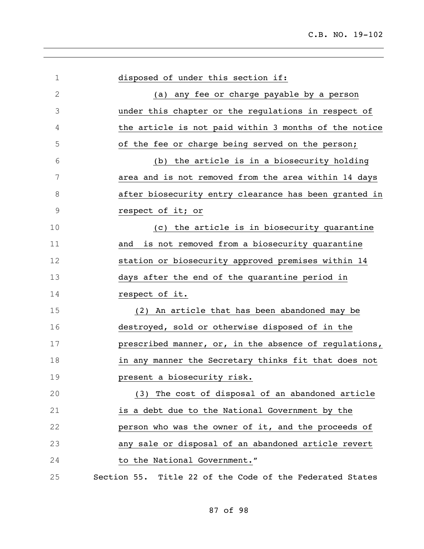| 1           | disposed of under this section if:                       |
|-------------|----------------------------------------------------------|
| $\mathbf 2$ | (a) any fee or charge payable by a person                |
| 3           | under this chapter or the regulations in respect of      |
| 4           | the article is not paid within 3 months of the notice    |
| 5           | of the fee or charge being served on the person;         |
| 6           | (b) the article is in a biosecurity holding              |
| 7           | area and is not removed from the area within 14 days     |
| 8           | after biosecurity entry clearance has been granted in    |
| $\mathsf 9$ | respect of it; or                                        |
| 10          | (c) the article is in biosecurity quarantine             |
| 11          | is not removed from a biosecurity quarantine<br>and      |
| 12          | station or biosecurity approved premises within 14       |
| 13          | days after the end of the quarantine period in           |
| 14          | respect of it.                                           |
| 15          | (2) An article that has been abandoned may be            |
| 16          | destroyed, sold or otherwise disposed of in the          |
| 17          | prescribed manner, or, in the absence of regulations,    |
| 18          | in any manner the Secretary thinks fit that does not     |
| 19          | present a biosecurity risk.                              |
| 20          | (3) The cost of disposal of an abandoned article         |
| 21          | is a debt due to the National Government by the          |
| 22          | person who was the owner of it, and the proceeds of      |
| 23          | any sale or disposal of an abandoned article revert      |
| 24          | to the National Government."                             |
| 25          | Section 55. Title 22 of the Code of the Federated States |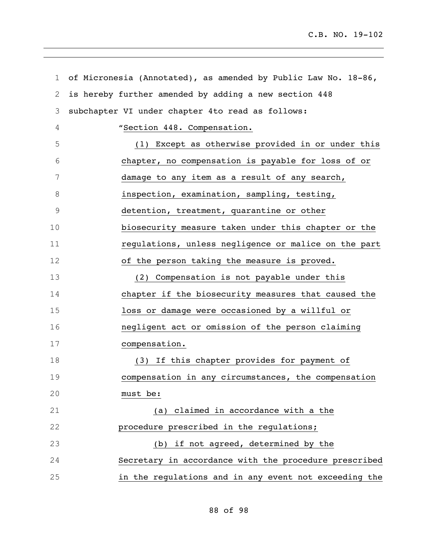| $\mathbf 1$    | of Micronesia (Annotated), as amended by Public Law No. 18-86, |
|----------------|----------------------------------------------------------------|
| $\overline{2}$ | is hereby further amended by adding a new section 448          |
| 3              | subchapter VI under chapter 4to read as follows:               |
| $\overline{4}$ | "Section 448. Compensation.                                    |
| 5              | (1) Except as otherwise provided in or under this              |
| 6              | chapter, no compensation is payable for loss of or             |
| 7              | damage to any item as a result of any search,                  |
| 8              | inspection, examination, sampling, testing,                    |
| 9              | detention, treatment, quarantine or other                      |
| 10             | biosecurity measure taken under this chapter or the            |
| 11             | regulations, unless negligence or malice on the part           |
| 12             | of the person taking the measure is proved.                    |
| 13             | (2) Compensation is not payable under this                     |
| 14             | chapter if the biosecurity measures that caused the            |
| 15             | loss or damage were occasioned by a willful or                 |
| 16             | negligent act or omission of the person claiming               |
| 17             | compensation.                                                  |
| 18             | (3) If this chapter provides for payment of                    |
| 19             | compensation in any circumstances, the compensation            |
| 20             | must be:                                                       |
| 21             | (a) claimed in accordance with a the                           |
| 22             | procedure prescribed in the regulations;                       |
| 23             | (b) if not agreed, determined by the                           |
| 24             | Secretary in accordance with the procedure prescribed          |
| 25             | in the regulations and in any event not exceeding the          |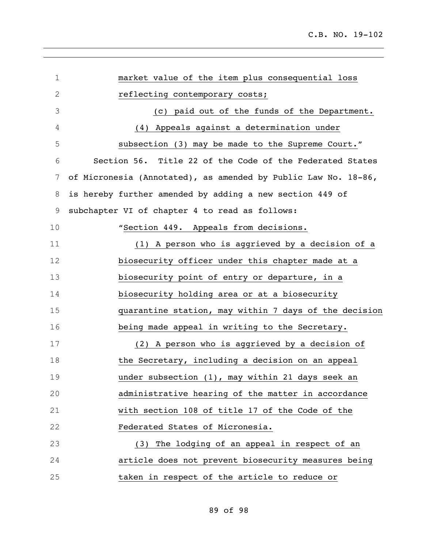| $\mathbf 1$  | market value of the item plus consequential loss               |
|--------------|----------------------------------------------------------------|
| $\mathbf{2}$ | reflecting contemporary costs;                                 |
| 3            | (c) paid out of the funds of the Department.                   |
| 4            | (4) Appeals against a determination under                      |
| 5            | subsection (3) may be made to the Supreme Court."              |
| 6            | Section 56. Title 22 of the Code of the Federated States       |
| 7            | of Micronesia (Annotated), as amended by Public Law No. 18-86, |
| 8            | is hereby further amended by adding a new section 449 of       |
| 9            | subchapter VI of chapter 4 to read as follows:                 |
| 10           | "Section 449. Appeals from decisions.                          |
| 11           | (1) A person who is aggrieved by a decision of a               |
| 12           | biosecurity officer under this chapter made at a               |
| 13           | biosecurity point of entry or departure, in a                  |
| 14           | biosecurity holding area or at a biosecurity                   |
| 15           | quarantine station, may within 7 days of the decision          |
| 16           | being made appeal in writing to the Secretary.                 |
| 17           | (2) A person who is aggrieved by a decision of                 |
| 18           | the Secretary, including a decision on an appeal               |
| 19           | under subsection (1), may within 21 days seek an               |
| 20           | administrative hearing of the matter in accordance             |
| 21           | with section 108 of title 17 of the Code of the                |
| 22           | Federated States of Micronesia.                                |
| 23           | (3) The lodging of an appeal in respect of an                  |
| 24           | article does not prevent biosecurity measures being            |
| 25           | taken in respect of the article to reduce or                   |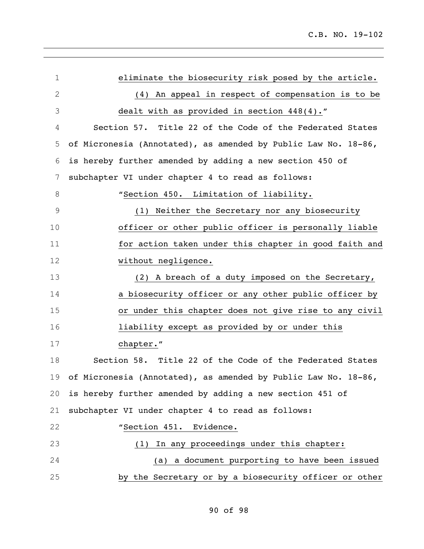C.B. NO. 19-102

| $\mathbf 1$   | eliminate the biosecurity risk posed by the article.              |
|---------------|-------------------------------------------------------------------|
| 2             | (4) An appeal in respect of compensation is to be                 |
| 3             | dealt with as provided in section $448(4)$ ."                     |
| 4             | Section 57. Title 22 of the Code of the Federated States          |
| 5             | of Micronesia (Annotated), as amended by Public Law No. 18-86,    |
| 6             | is hereby further amended by adding a new section 450 of          |
| 7             | subchapter VI under chapter 4 to read as follows:                 |
| 8             | "Section 450. Limitation of liability.                            |
| $\mathcal{G}$ | Neither the Secretary nor any biosecurity<br>(1)                  |
| 10            | officer or other public officer is personally liable              |
| 11            | for action taken under this chapter in good faith and             |
| 12            | without negligence.                                               |
| 13            | (2) A breach of a duty imposed on the Secretary,                  |
| 14            | a biosecurity officer or any other public officer by              |
| 15            | or under this chapter does not give rise to any civil             |
| 16            | liability except as provided by or under this                     |
| 17            | chapter."                                                         |
| 18            | Section 58. Title 22 of the Code of the Federated States          |
|               | 19 of Micronesia (Annotated), as amended by Public Law No. 18-86, |
| 20            | is hereby further amended by adding a new section 451 of          |
| 21            | subchapter VI under chapter 4 to read as follows:                 |
| 22            | "Section 451. Evidence.                                           |
| 23            | In any proceedings under this chapter:<br>(1)                     |
| 24            | (a) a document purporting to have been issued                     |
| 25            | by the Secretary or by a biosecurity officer or other             |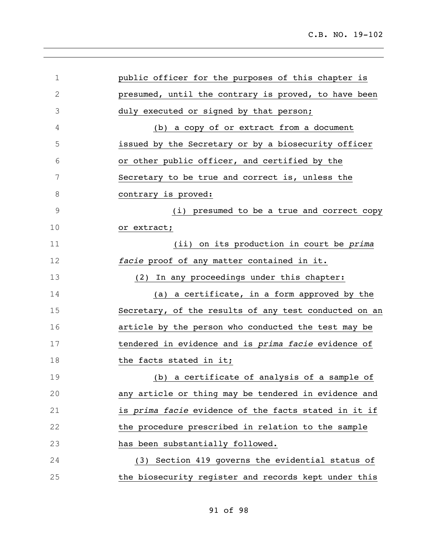| $\mathbf 1$   | public officer for the purposes of this chapter is    |
|---------------|-------------------------------------------------------|
| $\mathbf{2}$  | presumed, until the contrary is proved, to have been  |
| 3             | duly executed or signed by that person;               |
| 4             | (b) a copy of or extract from a document              |
| 5             | issued by the Secretary or by a biosecurity officer   |
| 6             | or other public officer, and certified by the         |
| 7             | Secretary to be true and correct is, unless the       |
| 8             | contrary is proved:                                   |
| $\mathcal{G}$ | (i) presumed to be a true and correct copy            |
| 10            | or extract;                                           |
| 11            | (ii) on its production in court be prima              |
| 12            | facie proof of any matter contained in it.            |
| 13            | In any proceedings under this chapter:<br>(2)         |
| 14            | (a) a certificate, in a form approved by the          |
| 15            | Secretary, of the results of any test conducted on an |
| 16            | article by the person who conducted the test may be   |
| 17            | tendered in evidence and is prima facie evidence of   |
| 18            | the facts stated in it;                               |
| 19            | (b) a certificate of analysis of a sample of          |
| 20            | any article or thing may be tendered in evidence and  |
| 21            | is prima facie evidence of the facts stated in it if  |
| 22            | the procedure prescribed in relation to the sample    |
| 23            | has been substantially followed.                      |
| 24            | (3) Section 419 governs the evidential status of      |
| 25            | the biosecurity register and records kept under this  |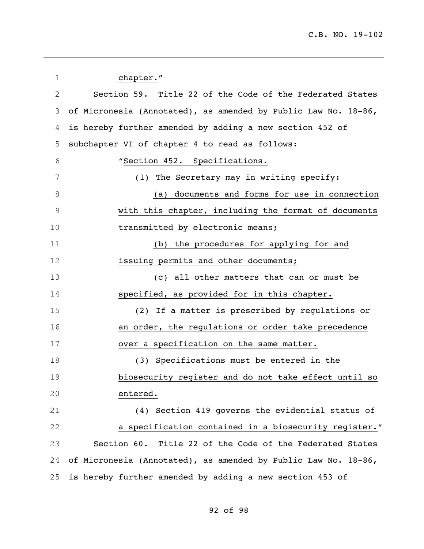| $\mathbf 1$  | chapter."                                                      |
|--------------|----------------------------------------------------------------|
| $\mathbf{2}$ | Section 59. Title 22 of the Code of the Federated States       |
| 3            | of Micronesia (Annotated), as amended by Public Law No. 18-86, |
| 4            | is hereby further amended by adding a new section 452 of       |
| 5            | subchapter VI of chapter 4 to read as follows:                 |
| 6            | "Section 452. Specifications.                                  |
| 7            | (1) The Secretary may in writing specify:                      |
| 8            | (a) documents and forms for use in connection                  |
| $\mathsf 9$  | with this chapter, including the format of documents           |
| 10           | transmitted by electronic means;                               |
| 11           | (b) the procedures for applying for and                        |
| 12           | issuing permits and other documents;                           |
| 13           | (c) all other matters that can or must be                      |
| 14           | specified, as provided for in this chapter.                    |
| 15           | (2) If a matter is prescribed by regulations or                |
| 16           | an order, the regulations or order take precedence             |
| 17           | over a specification on the same matter.                       |
| 18           | Specifications must be entered in the<br>(3)                   |
| 19           | biosecurity register and do not take effect until so           |
| 20           | entered.                                                       |
| 21           | (4) Section 419 governs the evidential status of               |
| 22           | a specification contained in a biosecurity register."          |
| 23           | Section 60. Title 22 of the Code of the Federated States       |
| 24           | of Micronesia (Annotated), as amended by Public Law No. 18-86, |
| 25           | is hereby further amended by adding a new section 453 of       |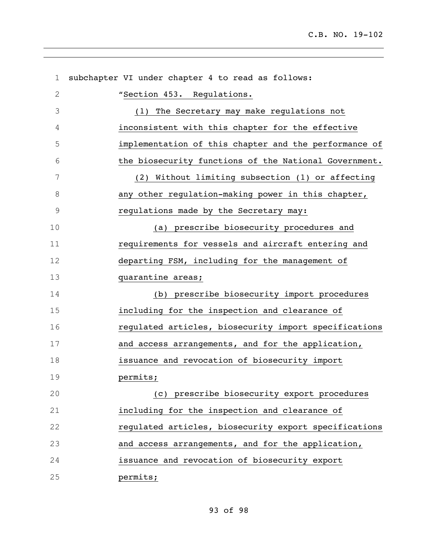| $\mathbf 1$  | subchapter VI under chapter 4 to read as follows:     |
|--------------|-------------------------------------------------------|
| $\mathbf{2}$ | "Section 453. Regulations.                            |
| 3            | The Secretary may make regulations not<br>(1)         |
| 4            | inconsistent with this chapter for the effective      |
| 5            | implementation of this chapter and the performance of |
| 6            | the biosecurity functions of the National Government. |
| 7            | (2) Without limiting subsection (1) or affecting      |
| 8            | any other regulation-making power in this chapter,    |
| $\mathsf 9$  | regulations made by the Secretary may:                |
| 10           | (a) prescribe biosecurity procedures and              |
| 11           | requirements for vessels and aircraft entering and    |
| 12           | departing FSM, including for the management of        |
| 13           | quarantine areas;                                     |
| 14           | (b) prescribe biosecurity import procedures           |
| 15           | including for the inspection and clearance of         |
| 16           | regulated articles, biosecurity import specifications |
| 17           | and access arrangements, and for the application,     |
| 18           | issuance and revocation of biosecurity import         |
| 19           | permits;                                              |
| 20           | (c) prescribe biosecurity export procedures           |
| 21           | including for the inspection and clearance of         |
| 22           | regulated articles, biosecurity export specifications |
| 23           | and access arrangements, and for the application,     |
| 24           | issuance and revocation of biosecurity export         |
| 25           | permits;                                              |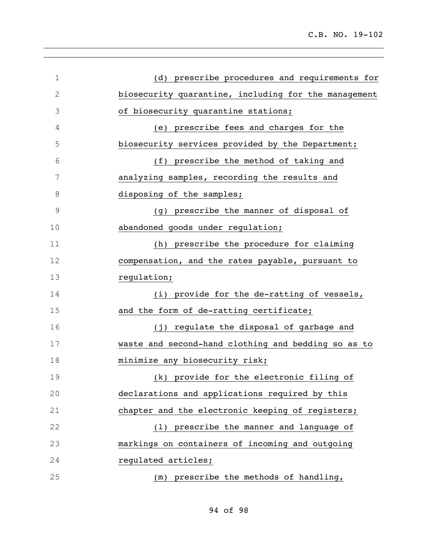| $\mathbf 1$  | (d) prescribe procedures and requirements for        |
|--------------|------------------------------------------------------|
| $\mathbf{2}$ | biosecurity quarantine, including for the management |
| 3            | of biosecurity quarantine stations;                  |
| 4            | (e) prescribe fees and charges for the               |
| 5            | biosecurity services provided by the Department;     |
| 6            | (f) prescribe the method of taking and               |
| 7            | analyzing samples, recording the results and         |
| 8            | disposing of the samples;                            |
| $\mathsf 9$  | (g) prescribe the manner of disposal of              |
| 10           | abandoned goods under regulation;                    |
| 11           | (h) prescribe the procedure for claiming             |
| 12           | compensation, and the rates payable, pursuant to     |
| 13           | regulation;                                          |
| 14           | (i) provide for the de-ratting of vessels,           |
| 15           | and the form of de-ratting certificate;              |
| 16           | (j) regulate the disposal of garbage and             |
| 17           | waste and second-hand clothing and bedding so as to  |
| 18           | minimize any biosecurity risk;                       |
| 19           | (k) provide for the electronic filing of             |
| 20           | declarations and applications required by this       |
| 21           | chapter and the electronic keeping of registers;     |
| 22           | (1) prescribe the manner and language of             |
| 23           | markings on containers of incoming and outgoing      |
| 24           | regulated articles;                                  |
| 25           | (m) prescribe the methods of handling,               |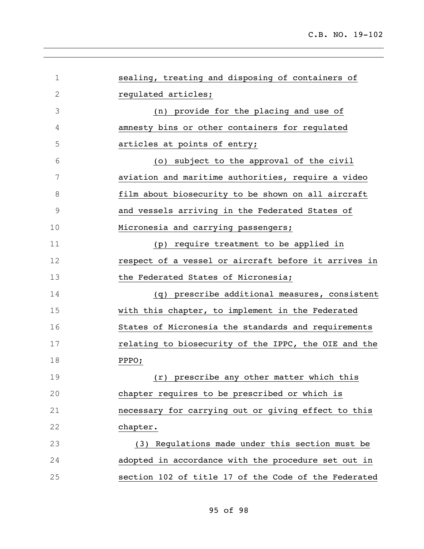| $\mathbf 1$                          | sealing, treating and disposing of containers of     |
|--------------------------------------|------------------------------------------------------|
| $\mathfrak{2}% _{G}(\mathbb{Z}_{+})$ | regulated articles;                                  |
| 3                                    | (n) provide for the placing and use of               |
| 4                                    | amnesty bins or other containers for regulated       |
| 5                                    | articles at points of entry;                         |
| 6                                    | (o) subject to the approval of the civil             |
| 7                                    | aviation and maritime authorities, require a video   |
| 8                                    | film about biosecurity to be shown on all aircraft   |
| $\mathsf 9$                          | and vessels arriving in the Federated States of      |
| 10                                   | Micronesia and carrying passengers;                  |
| 11                                   | (p) require treatment to be applied in               |
| 12                                   | respect of a vessel or aircraft before it arrives in |
| 13                                   | the Federated States of Micronesia;                  |
| 14                                   | (q) prescribe additional measures, consistent        |
| 15                                   | with this chapter, to implement in the Federated     |
| 16                                   | States of Micronesia the standards and requirements  |
| 17                                   | relating to biosecurity of the IPPC, the OIE and the |
| 18                                   | PPPO;                                                |
| 19                                   | (r) prescribe any other matter which this            |
| 20                                   | chapter requires to be prescribed or which is        |
| 21                                   | necessary for carrying out or giving effect to this  |
| 22                                   | chapter.                                             |
| 23                                   | (3) Regulations made under this section must be      |
| 24                                   | adopted in accordance with the procedure set out in  |
| 25                                   | section 102 of title 17 of the Code of the Federated |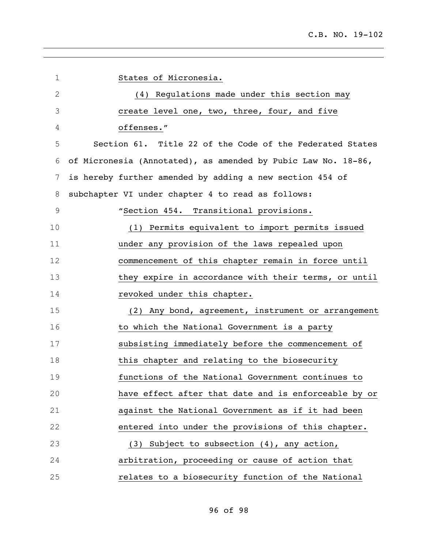| 1             | States of Micronesia.                                         |
|---------------|---------------------------------------------------------------|
| $\mathfrak 2$ | (4) Regulations made under this section may                   |
| 3             | create level one, two, three, four, and five                  |
| 4             | offenses."                                                    |
| 5             | Section 61. Title 22 of the Code of the Federated States      |
| 6             | of Micronesia (Annotated), as amended by Pubic Law No. 18-86, |
| 7             | is hereby further amended by adding a new section 454 of      |
| 8             | subchapter VI under chapter 4 to read as follows:             |
| $\mathcal{G}$ | "Section 454. Transitional provisions.                        |
| 10            | (1) Permits equivalent to import permits issued               |
| 11            | under any provision of the laws repealed upon                 |
| 12            | commencement of this chapter remain in force until            |
| 13            | they expire in accordance with their terms, or until          |
| 14            | revoked under this chapter.                                   |
| 15            | (2) Any bond, agreement, instrument or arrangement            |
| 16            | to which the National Government is a party                   |
| 17            | subsisting immediately before the commencement of             |
| 18            | this chapter and relating to the biosecurity                  |
| 19            | functions of the National Government continues to             |
| 20            | have effect after that date and is enforceable by or          |
| 21            | against the National Government as if it had been             |
| 22            | entered into under the provisions of this chapter.            |
| 23            | Subject to subsection (4), any action,<br>(3)                 |
| 24            | arbitration, proceeding or cause of action that               |
| 25            | relates to a biosecurity function of the National             |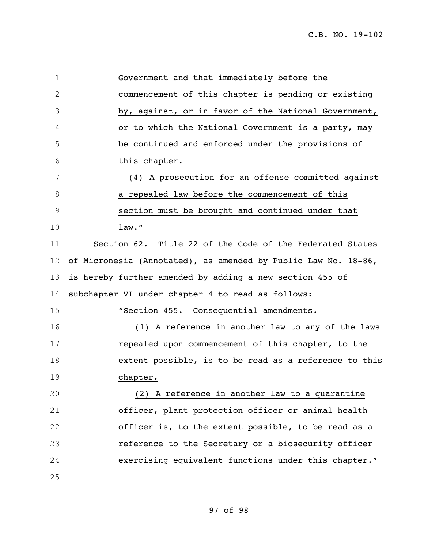| $\mathbf 1$   | Government and that immediately before the                     |
|---------------|----------------------------------------------------------------|
| $\mathbf{2}$  | commencement of this chapter is pending or existing            |
| 3             | by, against, or in favor of the National Government,           |
| 4             | or to which the National Government is a party, may            |
| 5             | be continued and enforced under the provisions of              |
| 6             | this chapter.                                                  |
| 7             | (4) A prosecution for an offense committed against             |
| 8             | a repealed law before the commencement of this                 |
| $\mathcal{G}$ | section must be brought and continued under that               |
| 10            | law."                                                          |
| 11            | Section 62. Title 22 of the Code of the Federated States       |
| 12            | of Micronesia (Annotated), as amended by Public Law No. 18-86, |
| 13            | is hereby further amended by adding a new section 455 of       |
| 14            | subchapter VI under chapter 4 to read as follows:              |
| 15            | "Section 455. Consequential amendments.                        |
| 16            | (1) A reference in another law to any of the laws              |
| 17            | repealed upon commencement of this chapter, to the             |
| 18            | extent possible, is to be read as a reference to this          |
| 19            | chapter.                                                       |
| 20            | (2) A reference in another law to a quarantine                 |
| 21            | officer, plant protection officer or animal health             |
| 22            | officer is, to the extent possible, to be read as a            |
| 23            | reference to the Secretary or a biosecurity officer            |
| 24            | exercising equivalent functions under this chapter."           |
| 25            |                                                                |